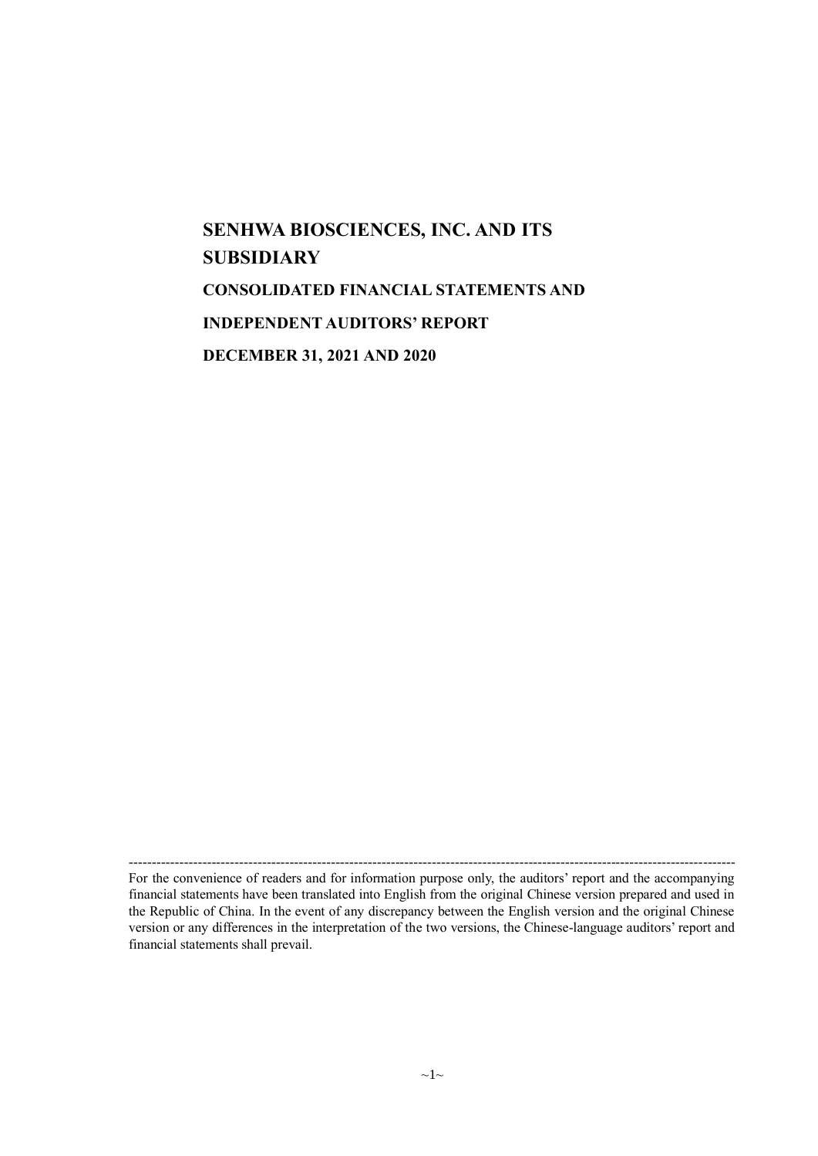# **SENHWA BIOSCIENCES, INC. AND ITS SUBSIDIARY CONSOLIDATED FINANCIAL STATEMENTS AND INDEPENDENT AUDITORS' REPORT DECEMBER 31, 2021 AND 2020**

------------------------------------------------------------------------------------------------------------------------------------

For the convenience of readers and for information purpose only, the auditors' report and the accompanying financial statements have been translated into English from the original Chinese version prepared and used in the Republic of China. In the event of any discrepancy between the English version and the original Chinese version or any differences in the interpretation of the two versions, the Chinese-language auditors' report and financial statements shall prevail.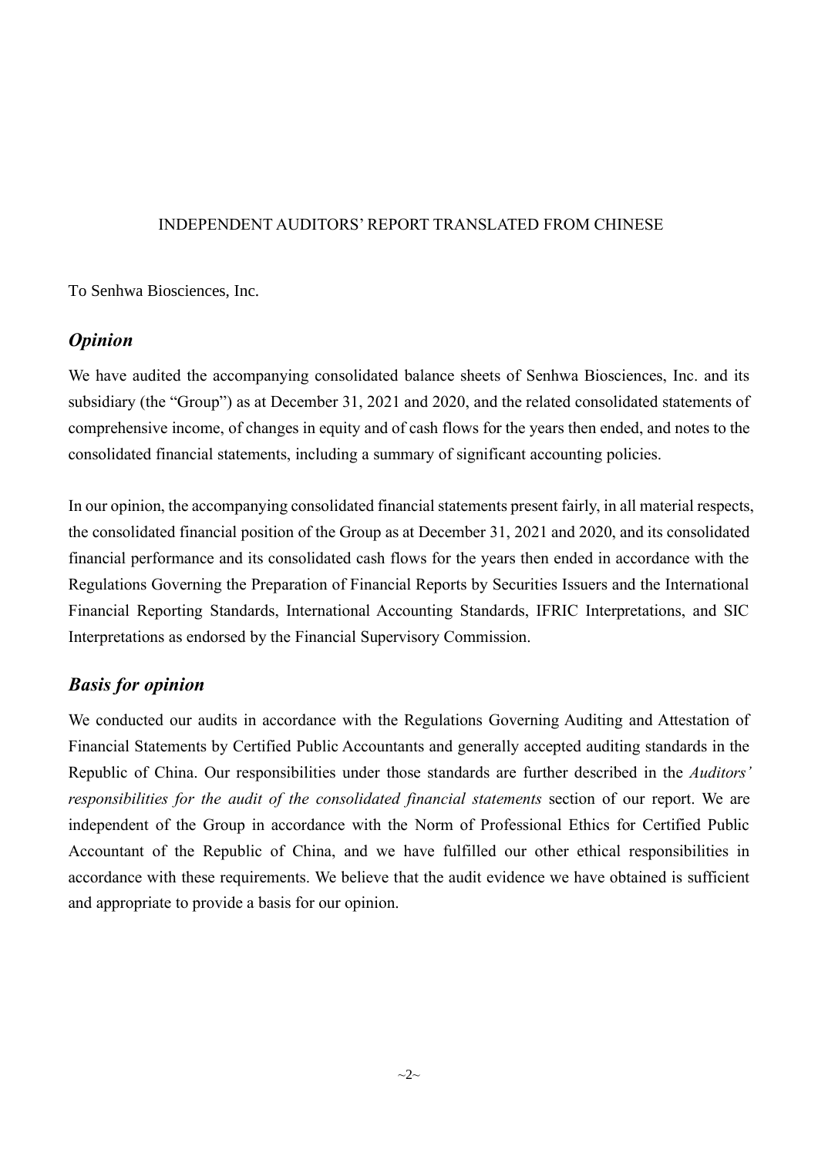#### INDEPENDENT AUDITORS' REPORT TRANSLATED FROM CHINESE

To Senhwa Biosciences, Inc.

## *Opinion*

We have audited the accompanying consolidated balance sheets of Senhwa Biosciences, Inc. and its subsidiary (the "Group") as at December 31, 2021 and 2020, and the related consolidated statements of comprehensive income, of changes in equity and of cash flows for the years then ended, and notes to the consolidated financial statements, including a summary of significant accounting policies.

In our opinion, the accompanying consolidated financial statements present fairly, in all material respects, the consolidated financial position of the Group as at December 31, 2021 and 2020, and its consolidated financial performance and its consolidated cash flows for the years then ended in accordance with the Regulations Governing the Preparation of Financial Reports by Securities Issuers and the International Financial Reporting Standards, International Accounting Standards, IFRIC Interpretations, and SIC Interpretations as endorsed by the Financial Supervisory Commission.

## *Basis for opinion*

We conducted our audits in accordance with the Regulations Governing Auditing and Attestation of Financial Statements by Certified Public Accountants and generally accepted auditing standards in the Republic of China. Our responsibilities under those standards are further described in the *Auditors' responsibilities for the audit of the consolidated financial statements* section of our report. We are independent of the Group in accordance with the Norm of Professional Ethics for Certified Public Accountant of the Republic of China, and we have fulfilled our other ethical responsibilities in accordance with these requirements. We believe that the audit evidence we have obtained is sufficient and appropriate to provide a basis for our opinion.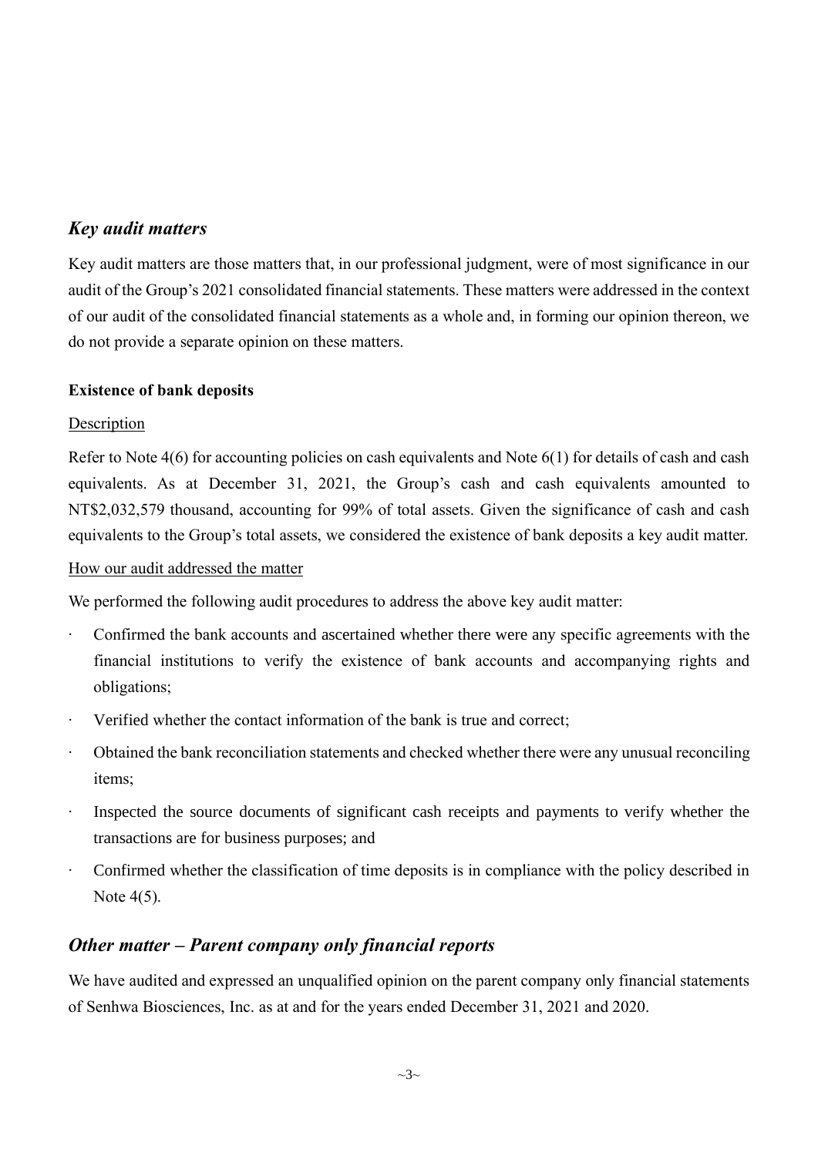## *Key audit matters*

Key audit matters are those matters that, in our professional judgment, were of most significance in our audit of the Group's 2021 consolidated financial statements. These matters were addressed in the context of our audit of the consolidated financial statements as a whole and, in forming our opinion thereon, we do not provide a separate opinion on these matters.

### **Existence of bank deposits**

### **Description**

Refer to Note 4(6) for accounting policies on cash equivalents and Note 6(1) for details of cash and cash equivalents. As at December 31, 2021, the Group's cash and cash equivalents amounted to NT\$2,032,579 thousand, accounting for 99% of total assets. Given the significance of cash and cash equivalents to the Group's total assets, we considered the existence of bank deposits a key audit matter.

#### How our audit addressed the matter

We performed the following audit procedures to address the above key audit matter:

- Confirmed the bank accounts and ascertained whether there were any specific agreements with the financial institutions to verify the existence of bank accounts and accompanying rights and obligations;
- ‧ Verified whether the contact information of the bank is true and correct;
- Obtained the bank reconciliation statements and checked whether there were any unusual reconciling items;
- ‧ Inspected the source documents of significant cash receipts and payments to verify whether the transactions are for business purposes; and
- ‧ Confirmed whether the classification of time deposits is in compliance with the policy described in Note 4(5).

## *Other matter – Parent company only financial reports*

We have audited and expressed an unqualified opinion on the parent company only financial statements of Senhwa Biosciences, Inc. as at and for the years ended December 31, 2021 and 2020.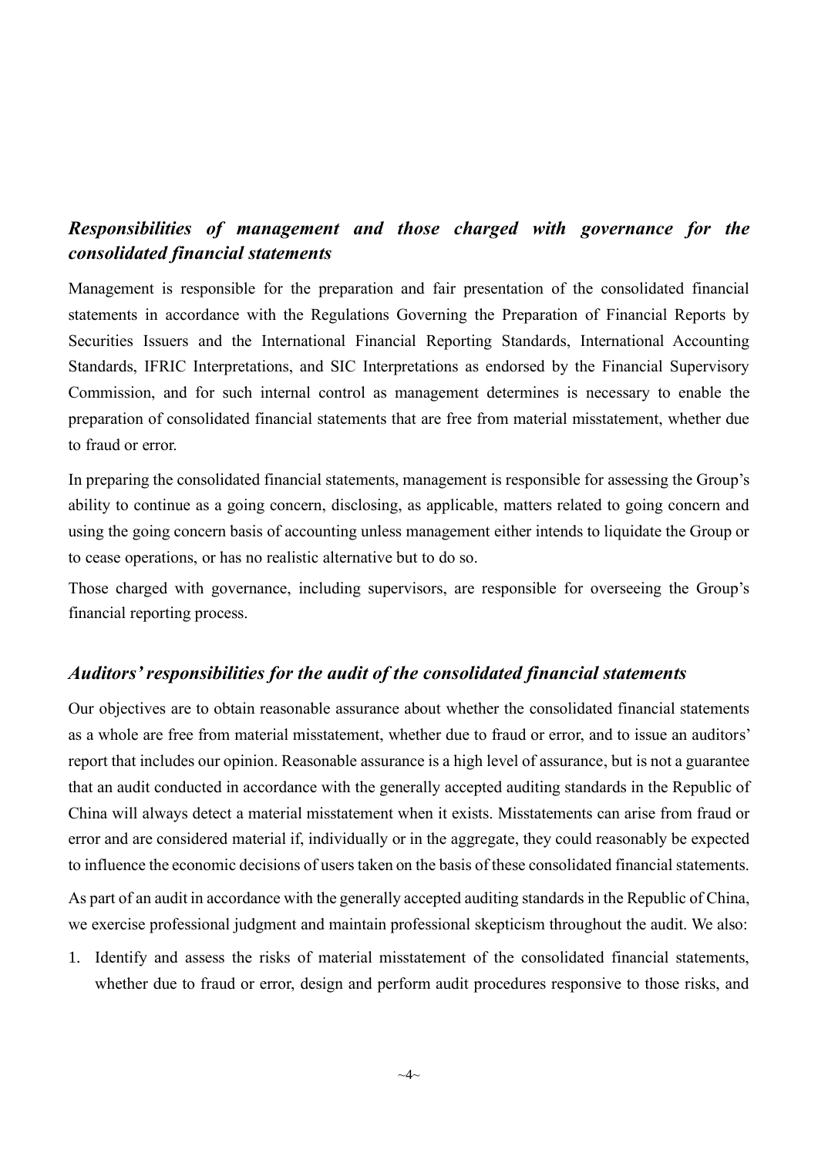## *Responsibilities of management and those charged with governance for the consolidated financial statements*

Management is responsible for the preparation and fair presentation of the consolidated financial statements in accordance with the Regulations Governing the Preparation of Financial Reports by Securities Issuers and the International Financial Reporting Standards, International Accounting Standards, IFRIC Interpretations, and SIC Interpretations as endorsed by the Financial Supervisory Commission, and for such internal control as management determines is necessary to enable the preparation of consolidated financial statements that are free from material misstatement, whether due to fraud or error.

In preparing the consolidated financial statements, management is responsible for assessing the Group's ability to continue as a going concern, disclosing, as applicable, matters related to going concern and using the going concern basis of accounting unless management either intends to liquidate the Group or to cease operations, or has no realistic alternative but to do so.

Those charged with governance, including supervisors, are responsible for overseeing the Group's financial reporting process.

### *Auditors' responsibilities for the audit of the consolidated financial statements*

Our objectives are to obtain reasonable assurance about whether the consolidated financial statements as a whole are free from material misstatement, whether due to fraud or error, and to issue an auditors' report that includes our opinion. Reasonable assurance is a high level of assurance, but is not a guarantee that an audit conducted in accordance with the generally accepted auditing standards in the Republic of China will always detect a material misstatement when it exists. Misstatements can arise from fraud or error and are considered material if, individually or in the aggregate, they could reasonably be expected to influence the economic decisions of users taken on the basis of these consolidated financial statements.

As part of an audit in accordance with the generally accepted auditing standards in the Republic of China, we exercise professional judgment and maintain professional skepticism throughout the audit. We also:

1. Identify and assess the risks of material misstatement of the consolidated financial statements, whether due to fraud or error, design and perform audit procedures responsive to those risks, and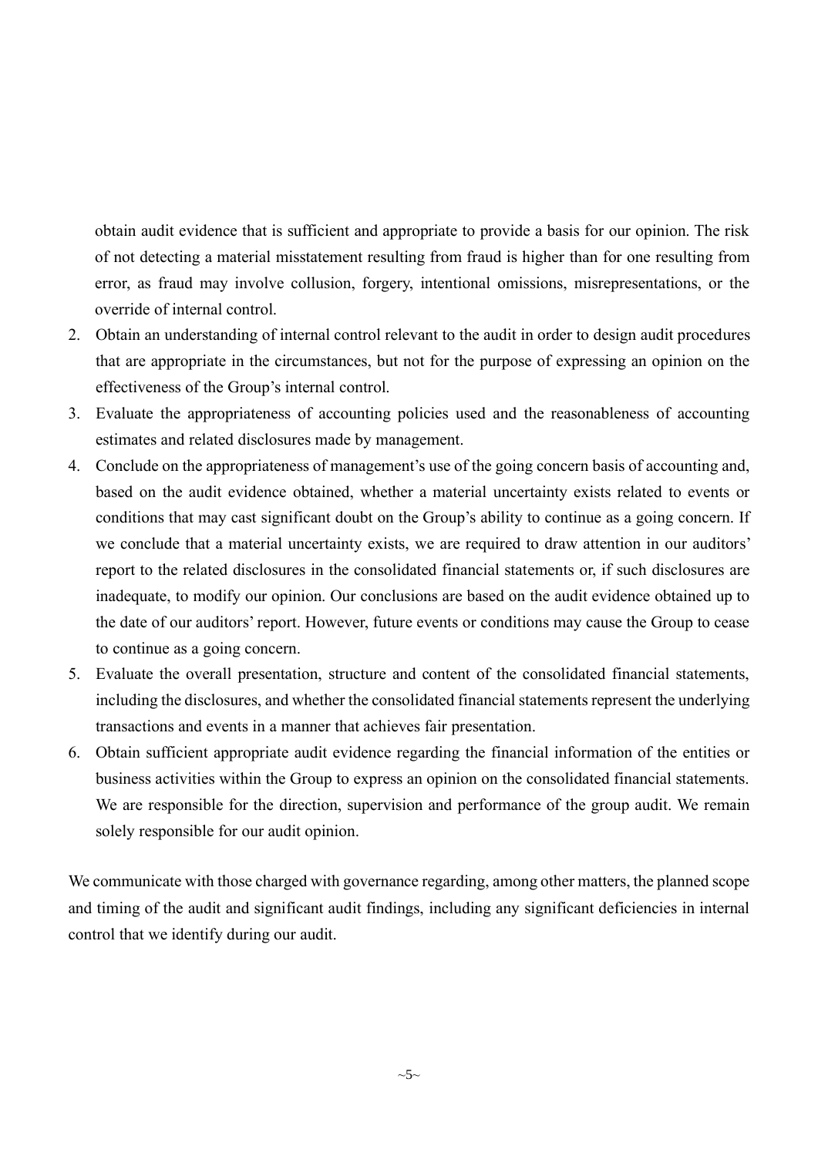obtain audit evidence that is sufficient and appropriate to provide a basis for our opinion. The risk of not detecting a material misstatement resulting from fraud is higher than for one resulting from error, as fraud may involve collusion, forgery, intentional omissions, misrepresentations, or the override of internal control.

- 2. Obtain an understanding of internal control relevant to the audit in order to design audit procedures that are appropriate in the circumstances, but not for the purpose of expressing an opinion on the effectiveness of the Group's internal control.
- 3. Evaluate the appropriateness of accounting policies used and the reasonableness of accounting estimates and related disclosures made by management.
- 4. Conclude on the appropriateness of management's use of the going concern basis of accounting and, based on the audit evidence obtained, whether a material uncertainty exists related to events or conditions that may cast significant doubt on the Group's ability to continue as a going concern. If we conclude that a material uncertainty exists, we are required to draw attention in our auditors' report to the related disclosures in the consolidated financial statements or, if such disclosures are inadequate, to modify our opinion. Our conclusions are based on the audit evidence obtained up to the date of our auditors' report. However, future events or conditions may cause the Group to cease to continue as a going concern.
- 5. Evaluate the overall presentation, structure and content of the consolidated financial statements, including the disclosures, and whether the consolidated financial statements represent the underlying transactions and events in a manner that achieves fair presentation.
- 6. Obtain sufficient appropriate audit evidence regarding the financial information of the entities or business activities within the Group to express an opinion on the consolidated financial statements. We are responsible for the direction, supervision and performance of the group audit. We remain solely responsible for our audit opinion.

We communicate with those charged with governance regarding, among other matters, the planned scope and timing of the audit and significant audit findings, including any significant deficiencies in internal control that we identify during our audit.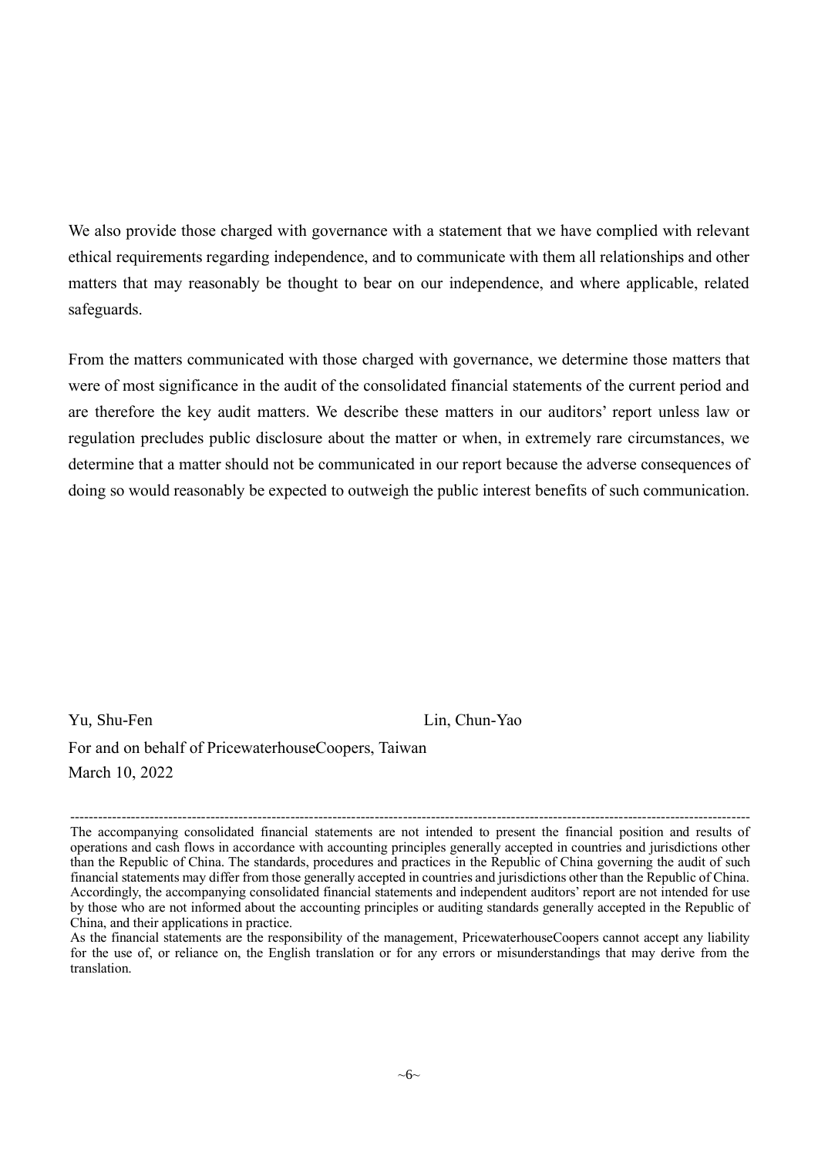We also provide those charged with governance with a statement that we have complied with relevant ethical requirements regarding independence, and to communicate with them all relationships and other matters that may reasonably be thought to bear on our independence, and where applicable, related safeguards.

From the matters communicated with those charged with governance, we determine those matters that were of most significance in the audit of the consolidated financial statements of the current period and are therefore the key audit matters. We describe these matters in our auditors' report unless law or regulation precludes public disclosure about the matter or when, in extremely rare circumstances, we determine that a matter should not be communicated in our report because the adverse consequences of doing so would reasonably be expected to outweigh the public interest benefits of such communication.

Yu, Shu-Fen Lin, Chun-Yao

For and on behalf of PricewaterhouseCoopers, Taiwan March 10, 2022

<sup>-------------------------------------------------------------------------------------------------------------------------------------------------</sup> The accompanying consolidated financial statements are not intended to present the financial position and results of operations and cash flows in accordance with accounting principles generally accepted in countries and jurisdictions other than the Republic of China. The standards, procedures and practices in the Republic of China governing the audit of such financial statements may differ from those generally accepted in countries and jurisdictions other than the Republic of China. Accordingly, the accompanying consolidated financial statements and independent auditors' report are not intended for use by those who are not informed about the accounting principles or auditing standards generally accepted in the Republic of China, and their applications in practice.

As the financial statements are the responsibility of the management, PricewaterhouseCoopers cannot accept any liability for the use of, or reliance on, the English translation or for any errors or misunderstandings that may derive from the translation.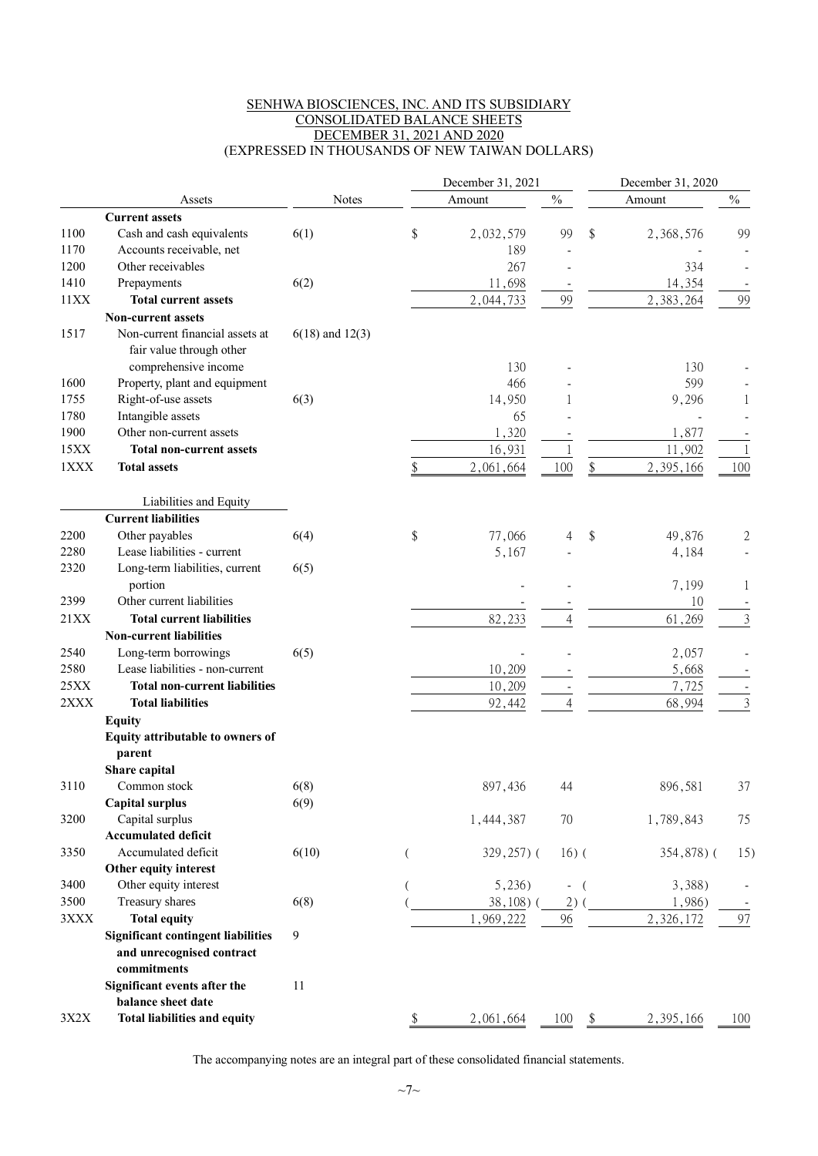#### SENHWA BIOSCIENCES, INC. AND ITS SUBSIDIARY CONSOLIDATED BALANCE SHEETS DECEMBER 31, 2021 AND 2020 (EXPRESSED IN THOUSANDS OF NEW TAIWAN DOLLARS)

| $\frac{0}{0}$<br>$\%$<br><b>Notes</b><br>Amount<br>Amount<br>Assets<br><b>Current assets</b><br>\$<br>1100<br>\$<br>Cash and cash equivalents<br>6(1)<br>2,032,579<br>99<br>2,368,576<br>99<br>1170<br>Accounts receivable, net<br>189<br>1200<br>Other receivables<br>267<br>334<br>1410<br>6(2)<br>11,698<br>14,354<br>Prepayments<br>2,383,264<br>11XX<br><b>Total current assets</b><br>99<br>99<br>2,044,733<br><b>Non-current assets</b><br>1517<br>Non-current financial assets at<br>$6(18)$ and $12(3)$<br>fair value through other<br>comprehensive income<br>130<br>130<br>Property, plant and equipment<br>466<br>599<br>1600<br>Right-of-use assets<br>1755<br>6(3)<br>14,950<br>9,296<br>1780<br>Intangible assets<br>65<br>1900<br>Other non-current assets<br>1,320<br>1,877<br>15XX<br><b>Total non-current assets</b><br>16,931<br>11,902<br>1XXX<br>100<br><b>Total assets</b><br>2,061,664<br>\$<br>2,395,166<br>100<br>\$<br>Liabilities and Equity<br><b>Current liabilities</b><br>Other payables<br>\$<br>2200<br>6(4)<br>77,066<br>\$<br>49,876<br>2<br>4<br>Lease liabilities - current<br>2280<br>5,167<br>4,184<br>Long-term liabilities, current<br>2320<br>6(5)<br>portion<br>7,199<br>$\perp$<br>Other current liabilities<br>2399<br>10<br>21XX<br>82,233<br><b>Total current liabilities</b><br>61,269<br>3<br>4<br><b>Non-current liabilities</b><br>2540<br>Long-term borrowings<br>6(5)<br>2,057<br>2580<br>Lease liabilities - non-current<br>10,209<br>5,668<br>25XX<br>7,725<br><b>Total non-current liabilities</b><br>10,209<br>2XXX<br><b>Total liabilities</b><br>3<br>92,442<br>68,994<br><b>Equity</b><br>Equity attributable to owners of<br>parent<br>Share capital<br>6(8)<br>3110<br>897,436<br>896,581<br>37<br>Common stock<br>44<br><b>Capital surplus</b><br>6(9)<br>Capital surplus<br>3200<br>70<br>1,789,843<br>1,444,387<br>75<br><b>Accumulated deficit</b><br>Accumulated deficit<br>3350<br>6(10)<br>$16)$ (<br>$329,257$ ) (<br>354,878) (<br>15)<br>(<br>Other equity interest<br>Other equity interest<br>3400<br>5,236)<br>3,388)<br>$\overline{\phantom{a}}$<br>3500<br>Treasury shares<br>$38,108$ ) (<br>2)<br>1,986)<br>6(8)<br><b>Total equity</b><br>2,326,172<br>3XXX<br>1,969,222<br>96<br>97<br><b>Significant contingent liabilities</b><br>9<br>and unrecognised contract<br>commitments<br>Significant events after the<br>11<br>balance sheet date<br><b>Total liabilities and equity</b><br>3X2X<br>2,395,166<br>2,061,664<br>$\frac{100}{9}$ \$<br>100<br>P. |  | December 31, 2021 |  |  |  |  |
|---------------------------------------------------------------------------------------------------------------------------------------------------------------------------------------------------------------------------------------------------------------------------------------------------------------------------------------------------------------------------------------------------------------------------------------------------------------------------------------------------------------------------------------------------------------------------------------------------------------------------------------------------------------------------------------------------------------------------------------------------------------------------------------------------------------------------------------------------------------------------------------------------------------------------------------------------------------------------------------------------------------------------------------------------------------------------------------------------------------------------------------------------------------------------------------------------------------------------------------------------------------------------------------------------------------------------------------------------------------------------------------------------------------------------------------------------------------------------------------------------------------------------------------------------------------------------------------------------------------------------------------------------------------------------------------------------------------------------------------------------------------------------------------------------------------------------------------------------------------------------------------------------------------------------------------------------------------------------------------------------------------------------------------------------------------------------------------------------------------------------------------------------------------------------------------------------------------------------------------------------------------------------------------------------------------------------------------------------------------------------------------------------------------------------------------------------------------------------------------------------------------------------------------------|--|-------------------|--|--|--|--|
|                                                                                                                                                                                                                                                                                                                                                                                                                                                                                                                                                                                                                                                                                                                                                                                                                                                                                                                                                                                                                                                                                                                                                                                                                                                                                                                                                                                                                                                                                                                                                                                                                                                                                                                                                                                                                                                                                                                                                                                                                                                                                                                                                                                                                                                                                                                                                                                                                                                                                                                                             |  |                   |  |  |  |  |
|                                                                                                                                                                                                                                                                                                                                                                                                                                                                                                                                                                                                                                                                                                                                                                                                                                                                                                                                                                                                                                                                                                                                                                                                                                                                                                                                                                                                                                                                                                                                                                                                                                                                                                                                                                                                                                                                                                                                                                                                                                                                                                                                                                                                                                                                                                                                                                                                                                                                                                                                             |  |                   |  |  |  |  |
|                                                                                                                                                                                                                                                                                                                                                                                                                                                                                                                                                                                                                                                                                                                                                                                                                                                                                                                                                                                                                                                                                                                                                                                                                                                                                                                                                                                                                                                                                                                                                                                                                                                                                                                                                                                                                                                                                                                                                                                                                                                                                                                                                                                                                                                                                                                                                                                                                                                                                                                                             |  |                   |  |  |  |  |
|                                                                                                                                                                                                                                                                                                                                                                                                                                                                                                                                                                                                                                                                                                                                                                                                                                                                                                                                                                                                                                                                                                                                                                                                                                                                                                                                                                                                                                                                                                                                                                                                                                                                                                                                                                                                                                                                                                                                                                                                                                                                                                                                                                                                                                                                                                                                                                                                                                                                                                                                             |  |                   |  |  |  |  |
|                                                                                                                                                                                                                                                                                                                                                                                                                                                                                                                                                                                                                                                                                                                                                                                                                                                                                                                                                                                                                                                                                                                                                                                                                                                                                                                                                                                                                                                                                                                                                                                                                                                                                                                                                                                                                                                                                                                                                                                                                                                                                                                                                                                                                                                                                                                                                                                                                                                                                                                                             |  |                   |  |  |  |  |
|                                                                                                                                                                                                                                                                                                                                                                                                                                                                                                                                                                                                                                                                                                                                                                                                                                                                                                                                                                                                                                                                                                                                                                                                                                                                                                                                                                                                                                                                                                                                                                                                                                                                                                                                                                                                                                                                                                                                                                                                                                                                                                                                                                                                                                                                                                                                                                                                                                                                                                                                             |  |                   |  |  |  |  |
|                                                                                                                                                                                                                                                                                                                                                                                                                                                                                                                                                                                                                                                                                                                                                                                                                                                                                                                                                                                                                                                                                                                                                                                                                                                                                                                                                                                                                                                                                                                                                                                                                                                                                                                                                                                                                                                                                                                                                                                                                                                                                                                                                                                                                                                                                                                                                                                                                                                                                                                                             |  |                   |  |  |  |  |
|                                                                                                                                                                                                                                                                                                                                                                                                                                                                                                                                                                                                                                                                                                                                                                                                                                                                                                                                                                                                                                                                                                                                                                                                                                                                                                                                                                                                                                                                                                                                                                                                                                                                                                                                                                                                                                                                                                                                                                                                                                                                                                                                                                                                                                                                                                                                                                                                                                                                                                                                             |  |                   |  |  |  |  |
|                                                                                                                                                                                                                                                                                                                                                                                                                                                                                                                                                                                                                                                                                                                                                                                                                                                                                                                                                                                                                                                                                                                                                                                                                                                                                                                                                                                                                                                                                                                                                                                                                                                                                                                                                                                                                                                                                                                                                                                                                                                                                                                                                                                                                                                                                                                                                                                                                                                                                                                                             |  |                   |  |  |  |  |
|                                                                                                                                                                                                                                                                                                                                                                                                                                                                                                                                                                                                                                                                                                                                                                                                                                                                                                                                                                                                                                                                                                                                                                                                                                                                                                                                                                                                                                                                                                                                                                                                                                                                                                                                                                                                                                                                                                                                                                                                                                                                                                                                                                                                                                                                                                                                                                                                                                                                                                                                             |  |                   |  |  |  |  |
|                                                                                                                                                                                                                                                                                                                                                                                                                                                                                                                                                                                                                                                                                                                                                                                                                                                                                                                                                                                                                                                                                                                                                                                                                                                                                                                                                                                                                                                                                                                                                                                                                                                                                                                                                                                                                                                                                                                                                                                                                                                                                                                                                                                                                                                                                                                                                                                                                                                                                                                                             |  |                   |  |  |  |  |
|                                                                                                                                                                                                                                                                                                                                                                                                                                                                                                                                                                                                                                                                                                                                                                                                                                                                                                                                                                                                                                                                                                                                                                                                                                                                                                                                                                                                                                                                                                                                                                                                                                                                                                                                                                                                                                                                                                                                                                                                                                                                                                                                                                                                                                                                                                                                                                                                                                                                                                                                             |  |                   |  |  |  |  |
|                                                                                                                                                                                                                                                                                                                                                                                                                                                                                                                                                                                                                                                                                                                                                                                                                                                                                                                                                                                                                                                                                                                                                                                                                                                                                                                                                                                                                                                                                                                                                                                                                                                                                                                                                                                                                                                                                                                                                                                                                                                                                                                                                                                                                                                                                                                                                                                                                                                                                                                                             |  |                   |  |  |  |  |
|                                                                                                                                                                                                                                                                                                                                                                                                                                                                                                                                                                                                                                                                                                                                                                                                                                                                                                                                                                                                                                                                                                                                                                                                                                                                                                                                                                                                                                                                                                                                                                                                                                                                                                                                                                                                                                                                                                                                                                                                                                                                                                                                                                                                                                                                                                                                                                                                                                                                                                                                             |  |                   |  |  |  |  |
|                                                                                                                                                                                                                                                                                                                                                                                                                                                                                                                                                                                                                                                                                                                                                                                                                                                                                                                                                                                                                                                                                                                                                                                                                                                                                                                                                                                                                                                                                                                                                                                                                                                                                                                                                                                                                                                                                                                                                                                                                                                                                                                                                                                                                                                                                                                                                                                                                                                                                                                                             |  |                   |  |  |  |  |
|                                                                                                                                                                                                                                                                                                                                                                                                                                                                                                                                                                                                                                                                                                                                                                                                                                                                                                                                                                                                                                                                                                                                                                                                                                                                                                                                                                                                                                                                                                                                                                                                                                                                                                                                                                                                                                                                                                                                                                                                                                                                                                                                                                                                                                                                                                                                                                                                                                                                                                                                             |  |                   |  |  |  |  |
|                                                                                                                                                                                                                                                                                                                                                                                                                                                                                                                                                                                                                                                                                                                                                                                                                                                                                                                                                                                                                                                                                                                                                                                                                                                                                                                                                                                                                                                                                                                                                                                                                                                                                                                                                                                                                                                                                                                                                                                                                                                                                                                                                                                                                                                                                                                                                                                                                                                                                                                                             |  |                   |  |  |  |  |
|                                                                                                                                                                                                                                                                                                                                                                                                                                                                                                                                                                                                                                                                                                                                                                                                                                                                                                                                                                                                                                                                                                                                                                                                                                                                                                                                                                                                                                                                                                                                                                                                                                                                                                                                                                                                                                                                                                                                                                                                                                                                                                                                                                                                                                                                                                                                                                                                                                                                                                                                             |  |                   |  |  |  |  |
|                                                                                                                                                                                                                                                                                                                                                                                                                                                                                                                                                                                                                                                                                                                                                                                                                                                                                                                                                                                                                                                                                                                                                                                                                                                                                                                                                                                                                                                                                                                                                                                                                                                                                                                                                                                                                                                                                                                                                                                                                                                                                                                                                                                                                                                                                                                                                                                                                                                                                                                                             |  |                   |  |  |  |  |
|                                                                                                                                                                                                                                                                                                                                                                                                                                                                                                                                                                                                                                                                                                                                                                                                                                                                                                                                                                                                                                                                                                                                                                                                                                                                                                                                                                                                                                                                                                                                                                                                                                                                                                                                                                                                                                                                                                                                                                                                                                                                                                                                                                                                                                                                                                                                                                                                                                                                                                                                             |  |                   |  |  |  |  |
|                                                                                                                                                                                                                                                                                                                                                                                                                                                                                                                                                                                                                                                                                                                                                                                                                                                                                                                                                                                                                                                                                                                                                                                                                                                                                                                                                                                                                                                                                                                                                                                                                                                                                                                                                                                                                                                                                                                                                                                                                                                                                                                                                                                                                                                                                                                                                                                                                                                                                                                                             |  |                   |  |  |  |  |
|                                                                                                                                                                                                                                                                                                                                                                                                                                                                                                                                                                                                                                                                                                                                                                                                                                                                                                                                                                                                                                                                                                                                                                                                                                                                                                                                                                                                                                                                                                                                                                                                                                                                                                                                                                                                                                                                                                                                                                                                                                                                                                                                                                                                                                                                                                                                                                                                                                                                                                                                             |  |                   |  |  |  |  |
|                                                                                                                                                                                                                                                                                                                                                                                                                                                                                                                                                                                                                                                                                                                                                                                                                                                                                                                                                                                                                                                                                                                                                                                                                                                                                                                                                                                                                                                                                                                                                                                                                                                                                                                                                                                                                                                                                                                                                                                                                                                                                                                                                                                                                                                                                                                                                                                                                                                                                                                                             |  |                   |  |  |  |  |
|                                                                                                                                                                                                                                                                                                                                                                                                                                                                                                                                                                                                                                                                                                                                                                                                                                                                                                                                                                                                                                                                                                                                                                                                                                                                                                                                                                                                                                                                                                                                                                                                                                                                                                                                                                                                                                                                                                                                                                                                                                                                                                                                                                                                                                                                                                                                                                                                                                                                                                                                             |  |                   |  |  |  |  |
|                                                                                                                                                                                                                                                                                                                                                                                                                                                                                                                                                                                                                                                                                                                                                                                                                                                                                                                                                                                                                                                                                                                                                                                                                                                                                                                                                                                                                                                                                                                                                                                                                                                                                                                                                                                                                                                                                                                                                                                                                                                                                                                                                                                                                                                                                                                                                                                                                                                                                                                                             |  |                   |  |  |  |  |
|                                                                                                                                                                                                                                                                                                                                                                                                                                                                                                                                                                                                                                                                                                                                                                                                                                                                                                                                                                                                                                                                                                                                                                                                                                                                                                                                                                                                                                                                                                                                                                                                                                                                                                                                                                                                                                                                                                                                                                                                                                                                                                                                                                                                                                                                                                                                                                                                                                                                                                                                             |  |                   |  |  |  |  |
|                                                                                                                                                                                                                                                                                                                                                                                                                                                                                                                                                                                                                                                                                                                                                                                                                                                                                                                                                                                                                                                                                                                                                                                                                                                                                                                                                                                                                                                                                                                                                                                                                                                                                                                                                                                                                                                                                                                                                                                                                                                                                                                                                                                                                                                                                                                                                                                                                                                                                                                                             |  |                   |  |  |  |  |
|                                                                                                                                                                                                                                                                                                                                                                                                                                                                                                                                                                                                                                                                                                                                                                                                                                                                                                                                                                                                                                                                                                                                                                                                                                                                                                                                                                                                                                                                                                                                                                                                                                                                                                                                                                                                                                                                                                                                                                                                                                                                                                                                                                                                                                                                                                                                                                                                                                                                                                                                             |  |                   |  |  |  |  |
|                                                                                                                                                                                                                                                                                                                                                                                                                                                                                                                                                                                                                                                                                                                                                                                                                                                                                                                                                                                                                                                                                                                                                                                                                                                                                                                                                                                                                                                                                                                                                                                                                                                                                                                                                                                                                                                                                                                                                                                                                                                                                                                                                                                                                                                                                                                                                                                                                                                                                                                                             |  |                   |  |  |  |  |
|                                                                                                                                                                                                                                                                                                                                                                                                                                                                                                                                                                                                                                                                                                                                                                                                                                                                                                                                                                                                                                                                                                                                                                                                                                                                                                                                                                                                                                                                                                                                                                                                                                                                                                                                                                                                                                                                                                                                                                                                                                                                                                                                                                                                                                                                                                                                                                                                                                                                                                                                             |  |                   |  |  |  |  |
|                                                                                                                                                                                                                                                                                                                                                                                                                                                                                                                                                                                                                                                                                                                                                                                                                                                                                                                                                                                                                                                                                                                                                                                                                                                                                                                                                                                                                                                                                                                                                                                                                                                                                                                                                                                                                                                                                                                                                                                                                                                                                                                                                                                                                                                                                                                                                                                                                                                                                                                                             |  |                   |  |  |  |  |
|                                                                                                                                                                                                                                                                                                                                                                                                                                                                                                                                                                                                                                                                                                                                                                                                                                                                                                                                                                                                                                                                                                                                                                                                                                                                                                                                                                                                                                                                                                                                                                                                                                                                                                                                                                                                                                                                                                                                                                                                                                                                                                                                                                                                                                                                                                                                                                                                                                                                                                                                             |  |                   |  |  |  |  |
|                                                                                                                                                                                                                                                                                                                                                                                                                                                                                                                                                                                                                                                                                                                                                                                                                                                                                                                                                                                                                                                                                                                                                                                                                                                                                                                                                                                                                                                                                                                                                                                                                                                                                                                                                                                                                                                                                                                                                                                                                                                                                                                                                                                                                                                                                                                                                                                                                                                                                                                                             |  |                   |  |  |  |  |
|                                                                                                                                                                                                                                                                                                                                                                                                                                                                                                                                                                                                                                                                                                                                                                                                                                                                                                                                                                                                                                                                                                                                                                                                                                                                                                                                                                                                                                                                                                                                                                                                                                                                                                                                                                                                                                                                                                                                                                                                                                                                                                                                                                                                                                                                                                                                                                                                                                                                                                                                             |  |                   |  |  |  |  |
|                                                                                                                                                                                                                                                                                                                                                                                                                                                                                                                                                                                                                                                                                                                                                                                                                                                                                                                                                                                                                                                                                                                                                                                                                                                                                                                                                                                                                                                                                                                                                                                                                                                                                                                                                                                                                                                                                                                                                                                                                                                                                                                                                                                                                                                                                                                                                                                                                                                                                                                                             |  |                   |  |  |  |  |
|                                                                                                                                                                                                                                                                                                                                                                                                                                                                                                                                                                                                                                                                                                                                                                                                                                                                                                                                                                                                                                                                                                                                                                                                                                                                                                                                                                                                                                                                                                                                                                                                                                                                                                                                                                                                                                                                                                                                                                                                                                                                                                                                                                                                                                                                                                                                                                                                                                                                                                                                             |  |                   |  |  |  |  |
|                                                                                                                                                                                                                                                                                                                                                                                                                                                                                                                                                                                                                                                                                                                                                                                                                                                                                                                                                                                                                                                                                                                                                                                                                                                                                                                                                                                                                                                                                                                                                                                                                                                                                                                                                                                                                                                                                                                                                                                                                                                                                                                                                                                                                                                                                                                                                                                                                                                                                                                                             |  |                   |  |  |  |  |
|                                                                                                                                                                                                                                                                                                                                                                                                                                                                                                                                                                                                                                                                                                                                                                                                                                                                                                                                                                                                                                                                                                                                                                                                                                                                                                                                                                                                                                                                                                                                                                                                                                                                                                                                                                                                                                                                                                                                                                                                                                                                                                                                                                                                                                                                                                                                                                                                                                                                                                                                             |  |                   |  |  |  |  |
|                                                                                                                                                                                                                                                                                                                                                                                                                                                                                                                                                                                                                                                                                                                                                                                                                                                                                                                                                                                                                                                                                                                                                                                                                                                                                                                                                                                                                                                                                                                                                                                                                                                                                                                                                                                                                                                                                                                                                                                                                                                                                                                                                                                                                                                                                                                                                                                                                                                                                                                                             |  |                   |  |  |  |  |
|                                                                                                                                                                                                                                                                                                                                                                                                                                                                                                                                                                                                                                                                                                                                                                                                                                                                                                                                                                                                                                                                                                                                                                                                                                                                                                                                                                                                                                                                                                                                                                                                                                                                                                                                                                                                                                                                                                                                                                                                                                                                                                                                                                                                                                                                                                                                                                                                                                                                                                                                             |  |                   |  |  |  |  |
|                                                                                                                                                                                                                                                                                                                                                                                                                                                                                                                                                                                                                                                                                                                                                                                                                                                                                                                                                                                                                                                                                                                                                                                                                                                                                                                                                                                                                                                                                                                                                                                                                                                                                                                                                                                                                                                                                                                                                                                                                                                                                                                                                                                                                                                                                                                                                                                                                                                                                                                                             |  |                   |  |  |  |  |
|                                                                                                                                                                                                                                                                                                                                                                                                                                                                                                                                                                                                                                                                                                                                                                                                                                                                                                                                                                                                                                                                                                                                                                                                                                                                                                                                                                                                                                                                                                                                                                                                                                                                                                                                                                                                                                                                                                                                                                                                                                                                                                                                                                                                                                                                                                                                                                                                                                                                                                                                             |  |                   |  |  |  |  |
|                                                                                                                                                                                                                                                                                                                                                                                                                                                                                                                                                                                                                                                                                                                                                                                                                                                                                                                                                                                                                                                                                                                                                                                                                                                                                                                                                                                                                                                                                                                                                                                                                                                                                                                                                                                                                                                                                                                                                                                                                                                                                                                                                                                                                                                                                                                                                                                                                                                                                                                                             |  |                   |  |  |  |  |
|                                                                                                                                                                                                                                                                                                                                                                                                                                                                                                                                                                                                                                                                                                                                                                                                                                                                                                                                                                                                                                                                                                                                                                                                                                                                                                                                                                                                                                                                                                                                                                                                                                                                                                                                                                                                                                                                                                                                                                                                                                                                                                                                                                                                                                                                                                                                                                                                                                                                                                                                             |  |                   |  |  |  |  |
|                                                                                                                                                                                                                                                                                                                                                                                                                                                                                                                                                                                                                                                                                                                                                                                                                                                                                                                                                                                                                                                                                                                                                                                                                                                                                                                                                                                                                                                                                                                                                                                                                                                                                                                                                                                                                                                                                                                                                                                                                                                                                                                                                                                                                                                                                                                                                                                                                                                                                                                                             |  |                   |  |  |  |  |
|                                                                                                                                                                                                                                                                                                                                                                                                                                                                                                                                                                                                                                                                                                                                                                                                                                                                                                                                                                                                                                                                                                                                                                                                                                                                                                                                                                                                                                                                                                                                                                                                                                                                                                                                                                                                                                                                                                                                                                                                                                                                                                                                                                                                                                                                                                                                                                                                                                                                                                                                             |  |                   |  |  |  |  |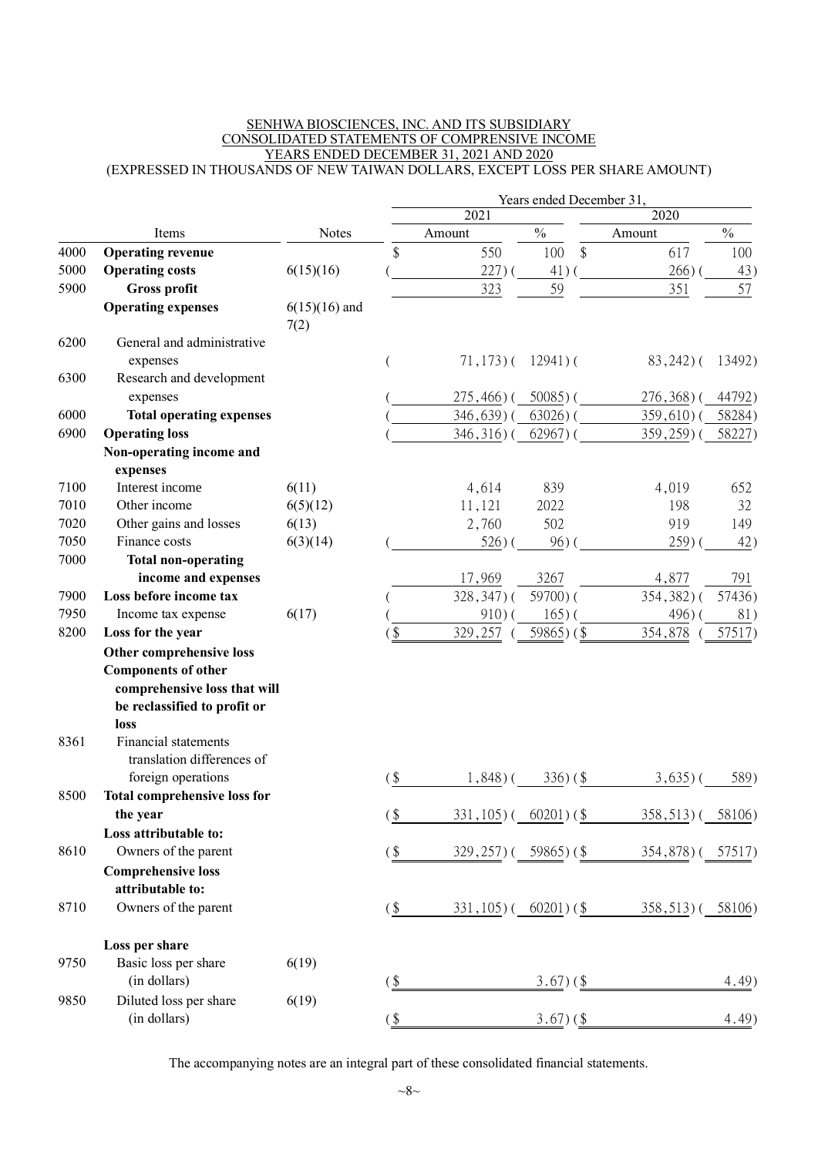#### SENHWA BIOSCIENCES, INC. AND ITS SUBSIDIARY CONSOLIDATED STATEMENTS OF COMPRENSIVE INCOME YEARS ENDED DECEMBER 31, 2021 AND 2020 (EXPRESSED IN THOUSANDS OF NEW TAIWAN DOLLARS, EXCEPT LOSS PER SHARE AMOUNT)

|      |                                                           |                         |                |                       | Years ended December 31, |                  |               |
|------|-----------------------------------------------------------|-------------------------|----------------|-----------------------|--------------------------|------------------|---------------|
|      |                                                           |                         |                | 2021                  |                          | 2020             |               |
|      | Items                                                     | <b>Notes</b>            |                | Amount                | $\frac{0}{0}$            | Amount           | $\frac{0}{0}$ |
| 4000 | <b>Operating revenue</b>                                  |                         | \$             | 550                   | \$<br>100                | 617              | 100           |
| 5000 | <b>Operating costs</b>                                    | 6(15)(16)               |                | 227)                  | 41)                      | $266)$ (         | 43)           |
| 5900 | <b>Gross profit</b>                                       |                         |                | 323                   | 59                       | 351              | 57            |
|      | <b>Operating expenses</b>                                 | $6(15)(16)$ and<br>7(2) |                |                       |                          |                  |               |
| 6200 | General and administrative<br>expenses                    |                         |                | $71,173$ ) (          | $12941$ ) (              | $83,242$ ) (     | 13492)        |
| 6300 | Research and development<br>expenses                      |                         |                | $275,466$ ) (         | $50085$ ) (              | $276,368$ ) (    | 44792)        |
| 6000 | <b>Total operating expenses</b>                           |                         |                | 346,639)              | $63026$ ) (              | 359,610) (       | 58284)        |
| 6900 | <b>Operating loss</b>                                     |                         |                | $346,316$ ) (         |                          |                  |               |
|      |                                                           |                         |                |                       | $62967$ ) (              | $359,259$ (      | 58227)        |
|      | Non-operating income and<br>expenses                      |                         |                |                       |                          |                  |               |
| 7100 | Interest income                                           | 6(11)                   |                | 4,614                 | 839                      | 4,019            | 652           |
| 7010 | Other income                                              | 6(5)(12)                |                | 11,121                | 2022                     | 198              | 32            |
| 7020 | Other gains and losses                                    | 6(13)                   |                | 2,760                 | 502                      | 919              | 149           |
| 7050 | Finance costs                                             | 6(3)(14)                |                | $526$ ) (             | $96)$ (                  | 259(             | 42)           |
| 7000 | <b>Total non-operating</b>                                |                         |                |                       |                          |                  |               |
|      | income and expenses                                       |                         |                | 17,969                | 3267                     | 4,877            | 791           |
| 7900 | Loss before income tax                                    |                         |                | $328,347$ ) (         | 59700)(                  | 354,382)(        | 57436)        |
| 7950 | Income tax expense                                        | 6(17)                   |                | 910(                  | $165$ ) (                | 496)             | 81)           |
| 8200 | Loss for the year                                         |                         | $\mathfrak{F}$ | 329,257               | 59865 $)$ (\$            | 354,878          | 57517)        |
|      | Other comprehensive loss                                  |                         |                |                       |                          |                  |               |
|      | <b>Components of other</b>                                |                         |                |                       |                          |                  |               |
|      | comprehensive loss that will                              |                         |                |                       |                          |                  |               |
|      | be reclassified to profit or                              |                         |                |                       |                          |                  |               |
|      | loss                                                      |                         |                |                       |                          |                  |               |
| 8361 | <b>Financial statements</b><br>translation differences of |                         |                |                       |                          |                  |               |
|      | foreign operations                                        |                         | $($ \$         | $1,848$ ) $($         | $336)(\$$                | $3,635$ )        | 589)          |
| 8500 | <b>Total comprehensive loss for</b>                       |                         |                |                       |                          |                  |               |
|      | the year                                                  |                         | (\$            | $331,105$ )           | $60201)$ (\$)            | 358,513)         | 58106)        |
|      | Loss attributable to:                                     |                         |                |                       |                          |                  |               |
| 8610 | Owners of the parent                                      |                         | $($ \$         | $329,257$ (59865) (\$ |                          | 354,878) (57517) |               |
|      | <b>Comprehensive loss</b>                                 |                         |                |                       |                          |                  |               |
|      | attributable to:                                          |                         |                |                       |                          |                  |               |
| 8710 | Owners of the parent                                      |                         | $\frac{1}{2}$  | $331,105$ ) (         | $60201)$ (\$)            | $358,513$ ) (    | 58106)        |
|      | Loss per share                                            |                         |                |                       |                          |                  |               |
| 9750 | Basic loss per share                                      | 6(19)                   |                |                       |                          |                  |               |
|      | (in dollars)                                              |                         | $($ \$         |                       | $3.67$ ) (\$             |                  | 4.49)         |
| 9850 | Diluted loss per share<br>(in dollars)                    | 6(19)                   | $($ \$         |                       | $3.67)$ (\$)             |                  | 4.49)         |
|      |                                                           |                         |                |                       |                          |                  |               |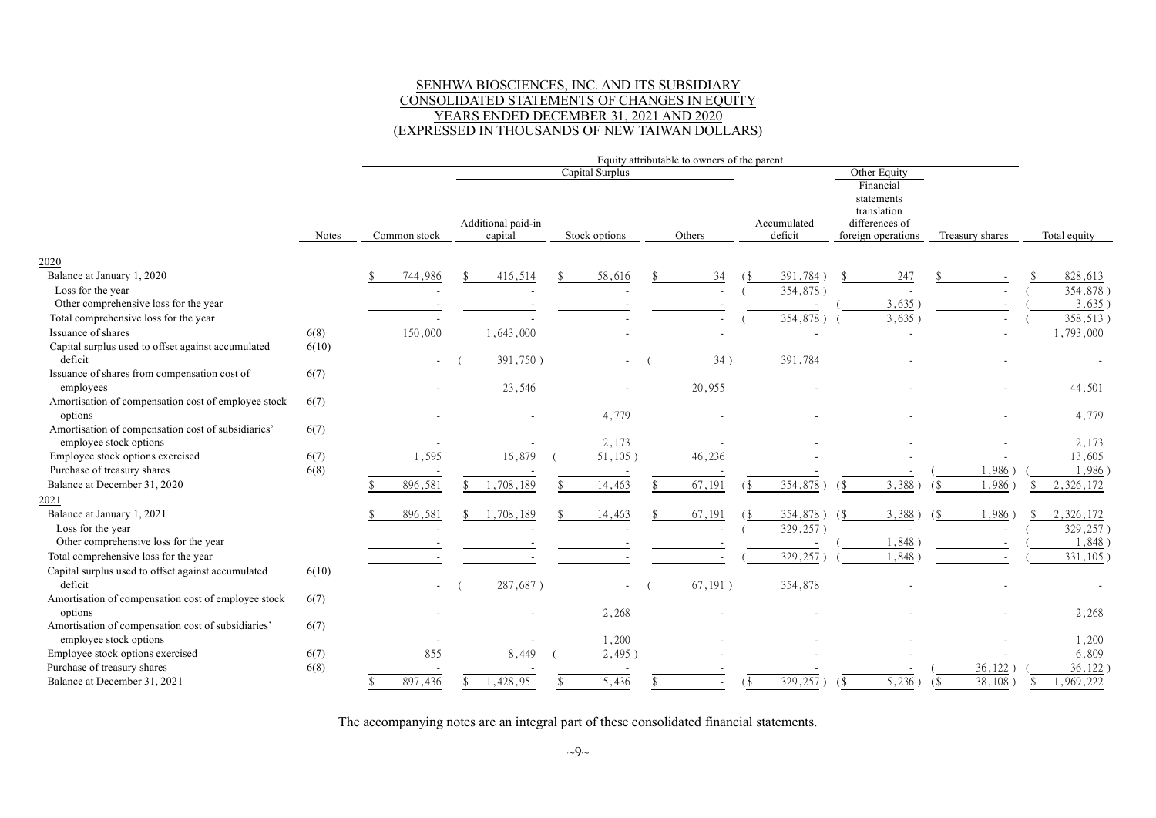#### SENHWA BIOSCIENCES, INC. AND ITS SUBSIDIARY CONSOLIDATED STATEMENTS OF CHANGES IN EQUITY YEARS ENDED DECEMBER 31, 2021 AND 2020 (EXPRESSED IN THOUSANDS OF NEW TAIWAN DOLLARS)

|                                                               |       |  |                          |  |                               |  |                 | Equity attributable to owners of the parent |         |     |                        |     |                                                                                |                           |                 |                        |
|---------------------------------------------------------------|-------|--|--------------------------|--|-------------------------------|--|-----------------|---------------------------------------------|---------|-----|------------------------|-----|--------------------------------------------------------------------------------|---------------------------|-----------------|------------------------|
|                                                               |       |  |                          |  |                               |  | Capital Surplus |                                             |         |     |                        |     | Other Equity                                                                   |                           |                 |                        |
|                                                               | Notes |  | Common stock             |  | Additional paid-in<br>capital |  | Stock options   |                                             | Others  |     | Accumulated<br>deficit |     | Financial<br>statements<br>translation<br>differences of<br>foreign operations |                           | Treasury shares | Total equity           |
| 2020                                                          |       |  |                          |  |                               |  |                 |                                             |         |     |                        |     |                                                                                |                           |                 |                        |
| Balance at January 1, 2020                                    |       |  | 744,986                  |  | 416,514                       |  | 58,616          |                                             | 34      |     | 391,784)               |     | 247                                                                            |                           |                 | 828,613                |
| Loss for the year                                             |       |  |                          |  |                               |  |                 |                                             |         |     | 354,878)               |     |                                                                                |                           |                 | 354,878)               |
| Other comprehensive loss for the year                         |       |  |                          |  |                               |  |                 |                                             |         |     |                        |     | 3,635                                                                          |                           |                 | 3,635)                 |
| Total comprehensive loss for the year                         |       |  |                          |  |                               |  |                 |                                             |         |     | $354,878$ )            |     | 3,635                                                                          |                           |                 | 358,513                |
| Issuance of shares                                            | 6(8)  |  | 150,000                  |  | 1,643,000                     |  |                 |                                             |         |     |                        |     |                                                                                |                           |                 | 1,793,000              |
| Capital surplus used to offset against accumulated            | 6(10) |  |                          |  |                               |  |                 |                                             |         |     |                        |     |                                                                                |                           |                 |                        |
| deficit                                                       |       |  | $\overline{\phantom{a}}$ |  | 391,750)                      |  | $\sim$          |                                             | 34)     |     | 391,784                |     |                                                                                |                           |                 |                        |
| Issuance of shares from compensation cost of                  | 6(7)  |  |                          |  |                               |  |                 |                                             |         |     |                        |     |                                                                                |                           |                 |                        |
| employees                                                     |       |  |                          |  | 23,546                        |  |                 |                                             | 20,955  |     |                        |     |                                                                                |                           |                 | 44,501                 |
| Amortisation of compensation cost of employee stock           | 6(7)  |  |                          |  |                               |  |                 |                                             |         |     |                        |     |                                                                                |                           |                 |                        |
| options                                                       |       |  |                          |  |                               |  | 4,779           |                                             |         |     |                        |     |                                                                                |                           |                 | 4,779                  |
| Amortisation of compensation cost of subsidiaries'            | 6(7)  |  |                          |  |                               |  |                 |                                             |         |     |                        |     |                                                                                |                           |                 |                        |
| employee stock options                                        |       |  |                          |  |                               |  | 2,173           |                                             |         |     |                        |     |                                                                                |                           |                 | 2,173                  |
| Employee stock options exercised                              | 6(7)  |  | 1,595                    |  | 16,879                        |  | 51,105)         |                                             | 46,236  |     |                        |     |                                                                                |                           |                 | 13,605                 |
| Purchase of treasury shares                                   | 6(8)  |  |                          |  |                               |  |                 |                                             |         |     |                        |     |                                                                                |                           | 1,986           | 1,986                  |
| Balance at December 31, 2020                                  |       |  | 896,581                  |  | 1,708,189                     |  | 14,463          |                                             | 67,191  |     | 354,878)               | (\$ | 3,388                                                                          |                           | 1,986           | 2,326,172              |
| 2021                                                          |       |  |                          |  |                               |  |                 |                                             |         |     |                        |     |                                                                                |                           |                 |                        |
| Balance at January 1, 2021                                    |       |  | 896,581                  |  | 1,708,189                     |  | 14,463          |                                             | 67,191  |     | 354,878)               | (\$ | 3,388)                                                                         | $\left( \text{S} \right)$ | 1,986           | 2,326,172              |
| Loss for the year                                             |       |  |                          |  |                               |  |                 |                                             |         |     | 329,257)               |     |                                                                                |                           |                 | 329,257)               |
| Other comprehensive loss for the year                         |       |  |                          |  |                               |  |                 |                                             |         |     |                        |     | 1,848                                                                          |                           |                 | 1,848                  |
| Total comprehensive loss for the year                         |       |  |                          |  |                               |  |                 |                                             |         |     | 329,257                |     | 1,848                                                                          |                           |                 | 331,105                |
| Capital surplus used to offset against accumulated<br>deficit | 6(10) |  | $\sim$                   |  | 287,687)                      |  |                 |                                             | 67,191) |     | 354,878                |     |                                                                                |                           |                 |                        |
| Amortisation of compensation cost of employee stock           | 6(7)  |  |                          |  |                               |  |                 |                                             |         |     |                        |     |                                                                                |                           |                 |                        |
| options                                                       |       |  |                          |  |                               |  | 2,268           |                                             |         |     |                        |     |                                                                                |                           |                 | 2,268                  |
| Amortisation of compensation cost of subsidiaries'            | 6(7)  |  |                          |  |                               |  |                 |                                             |         |     |                        |     |                                                                                |                           |                 |                        |
| employee stock options                                        |       |  |                          |  |                               |  | 1,200           |                                             |         |     |                        |     |                                                                                |                           |                 | 1,200                  |
| Employee stock options exercised                              | 6(7)  |  | 855                      |  | 8,449                         |  | 2,495)          |                                             |         |     |                        |     |                                                                                |                           |                 | 6,809                  |
| Purchase of treasury shares                                   | 6(8)  |  |                          |  |                               |  |                 |                                             |         |     |                        |     |                                                                                |                           | 36,122          | 36,122                 |
| Balance at December 31, 2021                                  |       |  | 897,436                  |  | 1,428,951                     |  | 15,436          |                                             |         | (\$ | 329,257                | (\$ | 5,236)                                                                         | $($ \$                    | 38,108          | $\overline{1,969,222}$ |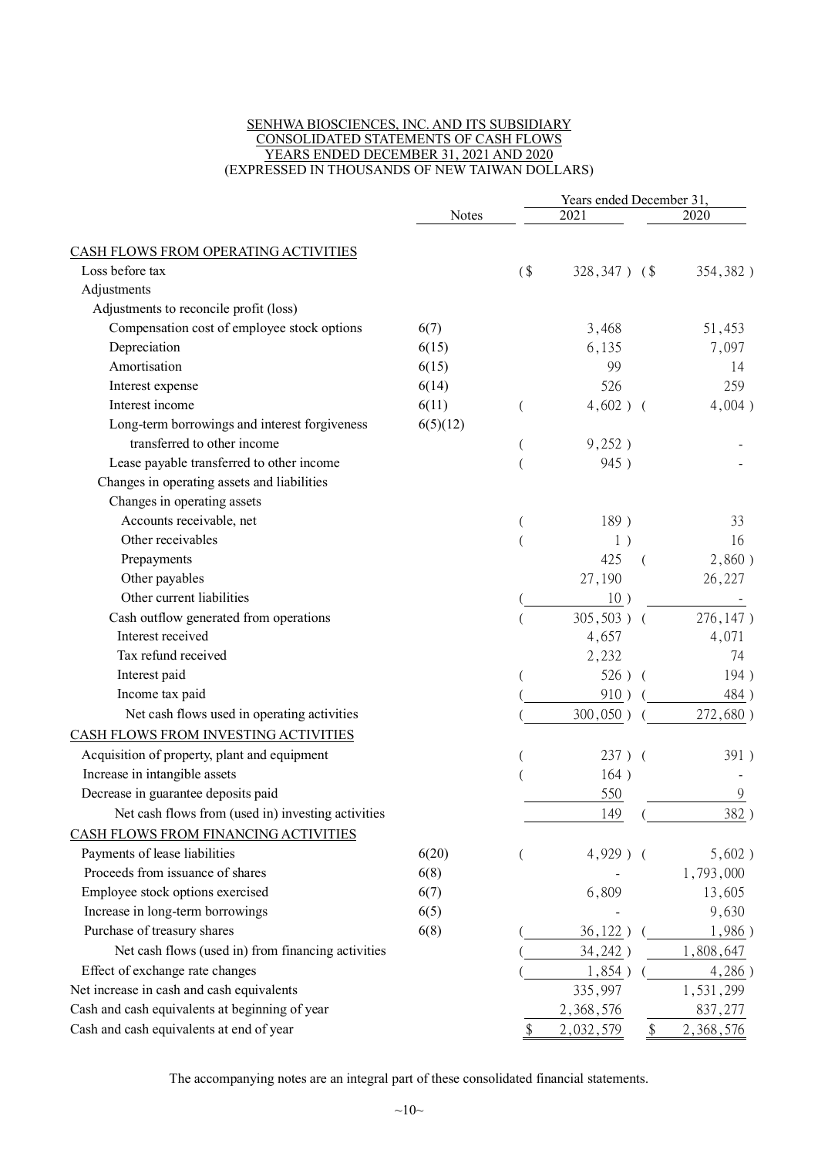#### SENHWA BIOSCIENCES, INC. AND ITS SUBSIDIARY CONSOLIDATED STATEMENTS OF CASH FLOWS YEARS ENDED DECEMBER 31, 2021 AND 2020 (EXPRESSED IN THOUSANDS OF NEW TAIWAN DOLLARS)

|                                                    |          |                |                  |          | Years ended December 31, |  |  |  |
|----------------------------------------------------|----------|----------------|------------------|----------|--------------------------|--|--|--|
|                                                    | Notes    |                | 2021             |          | 2020                     |  |  |  |
| CASH FLOWS FROM OPERATING ACTIVITIES               |          |                |                  |          |                          |  |  |  |
| Loss before tax                                    |          | (              | $328,347$ ) (\$) |          | 354,382)                 |  |  |  |
| Adjustments                                        |          |                |                  |          |                          |  |  |  |
| Adjustments to reconcile profit (loss)             |          |                |                  |          |                          |  |  |  |
| Compensation cost of employee stock options        | 6(7)     |                | 3,468            |          | 51,453                   |  |  |  |
| Depreciation                                       | 6(15)    |                | 6,135            |          | 7,097                    |  |  |  |
| Amortisation                                       | 6(15)    |                | 99               |          | 14                       |  |  |  |
| Interest expense                                   | 6(14)    |                | 526              |          | 259                      |  |  |  |
| Interest income                                    | 6(11)    | $\left($       | $4,602$ ) (      |          | 4,004)                   |  |  |  |
| Long-term borrowings and interest forgiveness      | 6(5)(12) |                |                  |          |                          |  |  |  |
| transferred to other income                        |          | $\overline{(}$ | 9,252)           |          |                          |  |  |  |
| Lease payable transferred to other income          |          |                | 945)             |          |                          |  |  |  |
| Changes in operating assets and liabilities        |          |                |                  |          |                          |  |  |  |
| Changes in operating assets                        |          |                |                  |          |                          |  |  |  |
| Accounts receivable, net                           |          |                | 189)             |          | 33                       |  |  |  |
| Other receivables                                  |          |                | 1)               |          | 16                       |  |  |  |
| Prepayments                                        |          |                | 425              | $\left($ | 2,860)                   |  |  |  |
| Other payables                                     |          |                | 27,190           |          | 26,227                   |  |  |  |
| Other current liabilities                          |          |                | 10)              |          |                          |  |  |  |
| Cash outflow generated from operations             |          |                | $305,503$ ) (    |          | 276,147)                 |  |  |  |
| Interest received                                  |          |                | 4,657            |          | 4,071                    |  |  |  |
| Tax refund received                                |          |                | 2,232            |          | 74                       |  |  |  |
| Interest paid                                      |          |                | 526)             |          | 194)                     |  |  |  |
| Income tax paid                                    |          |                | 910)             |          | 484)                     |  |  |  |
| Net cash flows used in operating activities        |          |                | 300,050)         |          | 272,680)                 |  |  |  |
| CASH FLOWS FROM INVESTING ACTIVITIES               |          |                |                  |          |                          |  |  |  |
| Acquisition of property, plant and equipment       |          |                | $237)$ (         |          | 391)                     |  |  |  |
| Increase in intangible assets                      |          |                | 164)             |          |                          |  |  |  |
| Decrease in guarantee deposits paid                |          |                | 550              |          | 9                        |  |  |  |
| Net cash flows from (used in) investing activities |          |                | 149              |          | 382)                     |  |  |  |
| CASH FLOWS FROM FINANCING ACTIVITIES               |          |                |                  |          |                          |  |  |  |
| Payments of lease liabilities                      | 6(20)    |                | $4,929$ ) (      |          | 5,602)                   |  |  |  |
| Proceeds from issuance of shares                   | 6(8)     |                |                  |          | 1,793,000                |  |  |  |
| Employee stock options exercised                   | 6(7)     |                | 6,809            |          | 13,605                   |  |  |  |
| Increase in long-term borrowings                   | 6(5)     |                |                  |          | 9,630                    |  |  |  |
| Purchase of treasury shares                        | 6(8)     |                |                  |          | 1,986)                   |  |  |  |
|                                                    |          |                | $36,122$ )       |          |                          |  |  |  |
| Net cash flows (used in) from financing activities |          |                | 34,242)          |          | 1,808,647                |  |  |  |
| Effect of exchange rate changes                    |          |                | 1,854)           |          | 4,286)                   |  |  |  |
| Net increase in cash and cash equivalents          |          |                | 335,997          |          | 1,531,299                |  |  |  |
| Cash and cash equivalents at beginning of year     |          |                | 2,368,576        |          | 837, 277                 |  |  |  |
| Cash and cash equivalents at end of year           |          | \$             | 2,032,579        | \$       | 2,368,576                |  |  |  |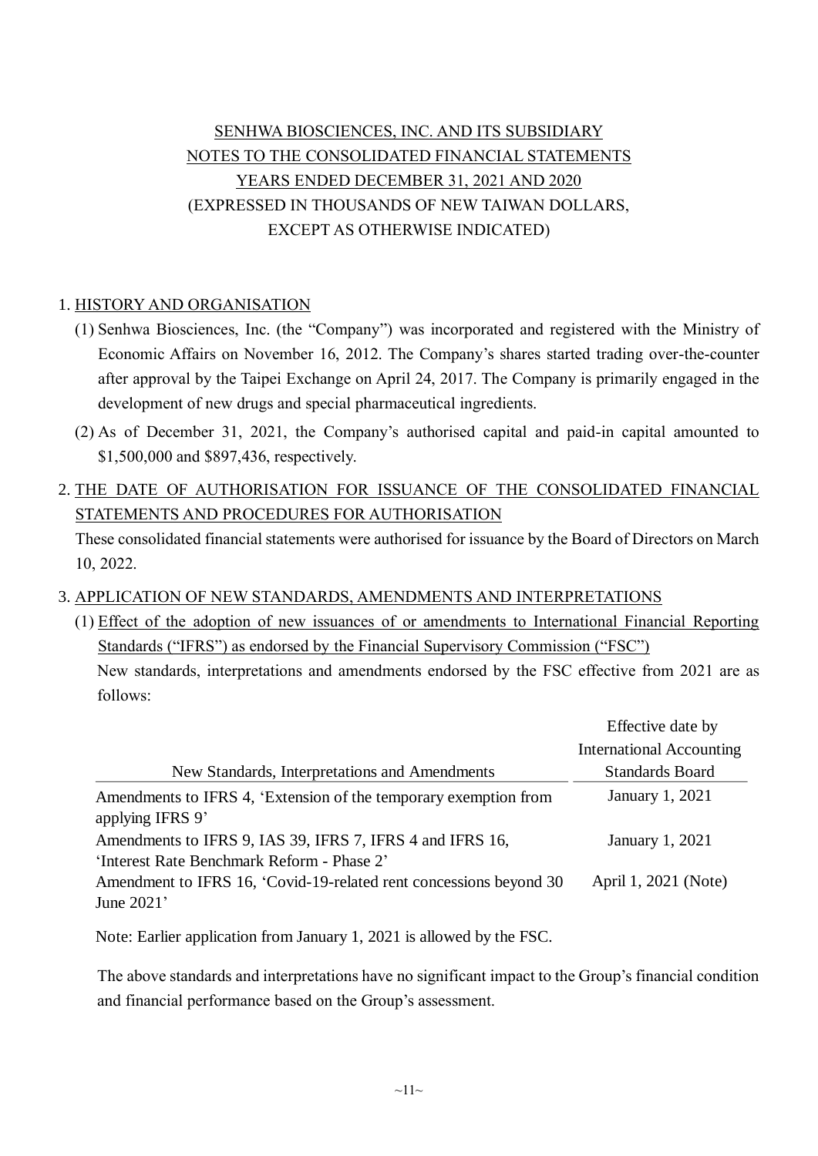## SENHWA BIOSCIENCES, INC. AND ITS SUBSIDIARY NOTES TO THE CONSOLIDATED FINANCIAL STATEMENTS YEARS ENDED DECEMBER 31, 2021 AND 2020 (EXPRESSED IN THOUSANDS OF NEW TAIWAN DOLLARS, EXCEPT AS OTHERWISE INDICATED)

## 1. HISTORY AND ORGANISATION

- (1) Senhwa Biosciences, Inc. (the "Company") was incorporated and registered with the Ministry of Economic Affairs on November 16, 2012. The Company's shares started trading over-the-counter after approval by the Taipei Exchange on April 24, 2017. The Company is primarily engaged in the development of new drugs and special pharmaceutical ingredients.
- (2) As of December 31, 2021, the Company's authorised capital and paid-in capital amounted to \$1,500,000 and \$897,436, respectively.
- 2. THE DATE OF AUTHORISATION FOR ISSUANCE OF THE CONSOLIDATED FINANCIAL STATEMENTS AND PROCEDURES FOR AUTHORISATION

These consolidated financial statements were authorised for issuance by the Board of Directors on March 10, 2022.

3. APPLICATION OF NEW STANDARDS, AMENDMENTS AND INTERPRETATIONS

(1) Effect of the adoption of new issuances of or amendments to International Financial Reporting Standards ("IFRS") as endorsed by the Financial Supervisory Commission ("FSC") New standards, interpretations and amendments endorsed by the FSC effective from 2021 are as follows:

|                                                                                                         | Effective date by               |
|---------------------------------------------------------------------------------------------------------|---------------------------------|
|                                                                                                         | <b>International Accounting</b> |
| New Standards, Interpretations and Amendments                                                           | <b>Standards Board</b>          |
| Amendments to IFRS 4, 'Extension of the temporary exemption from<br>applying IFRS 9'                    | January 1, 2021                 |
| Amendments to IFRS 9, IAS 39, IFRS 7, IFRS 4 and IFRS 16,<br>'Interest Rate Benchmark Reform - Phase 2' | January 1, 2021                 |
| Amendment to IFRS 16, 'Covid-19-related rent concessions beyond 30<br>June $2021'$                      | April 1, 2021 (Note)            |

Note: Earlier application from January 1, 2021 is allowed by the FSC.

The above standards and interpretations have no significant impact to the Group's financial condition and financial performance based on the Group's assessment.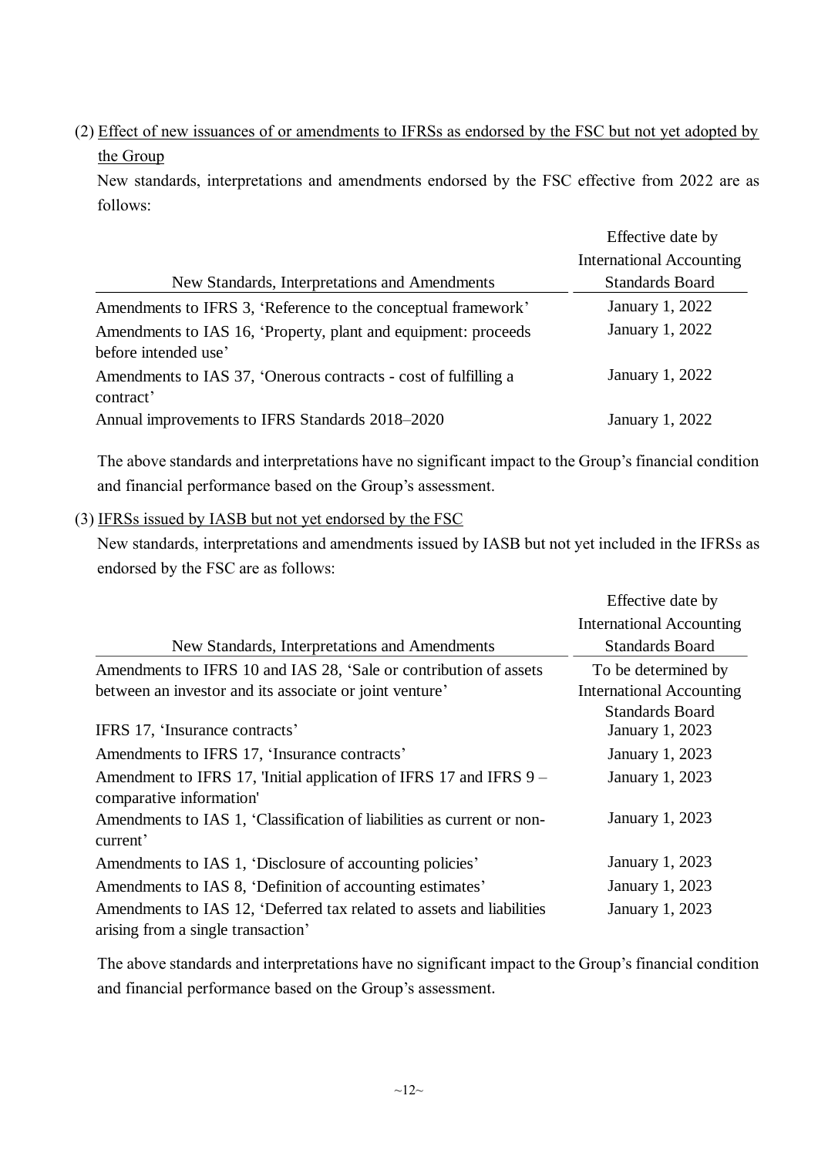(2) Effect of new issuances of or amendments to IFRSs as endorsed by the FSC but not yet adopted by the Group

New standards, interpretations and amendments endorsed by the FSC effective from 2022 are as follows:

|                                                                                        | Effective date by               |
|----------------------------------------------------------------------------------------|---------------------------------|
|                                                                                        | <b>International Accounting</b> |
| New Standards, Interpretations and Amendments                                          | <b>Standards Board</b>          |
| Amendments to IFRS 3, 'Reference to the conceptual framework'                          | January 1, 2022                 |
| Amendments to IAS 16, 'Property, plant and equipment: proceeds<br>before intended use' | January 1, 2022                 |
| Amendments to IAS 37, 'Onerous contracts - cost of fulfilling a<br>contract'           | January 1, 2022                 |
| Annual improvements to IFRS Standards 2018–2020                                        | January 1, 2022                 |

The above standards and interpretations have no significant impact to the Group's financial condition and financial performance based on the Group's assessment.

#### (3) IFRSs issued by IASB but not yet endorsed by the FSC

New standards, interpretations and amendments issued by IASB but not yet included in the IFRSs as endorsed by the FSC are as follows:

|                                                                        | Effective date by               |
|------------------------------------------------------------------------|---------------------------------|
|                                                                        | <b>International Accounting</b> |
| New Standards, Interpretations and Amendments                          | <b>Standards Board</b>          |
| Amendments to IFRS 10 and IAS 28, 'Sale or contribution of assets      | To be determined by             |
| between an investor and its associate or joint venture'                | <b>International Accounting</b> |
|                                                                        | <b>Standards Board</b>          |
| IFRS 17, 'Insurance contracts'                                         | January 1, 2023                 |
| Amendments to IFRS 17, 'Insurance contracts'                           | January 1, 2023                 |
| Amendment to IFRS 17, 'Initial application of IFRS 17 and IFRS 9 -     | January 1, 2023                 |
| comparative information'                                               |                                 |
| Amendments to IAS 1, 'Classification of liabilities as current or non- | January 1, 2023                 |
| current'                                                               |                                 |
| Amendments to IAS 1, 'Disclosure of accounting policies'               | January 1, 2023                 |
| Amendments to IAS 8, 'Definition of accounting estimates'              | January 1, 2023                 |
| Amendments to IAS 12, 'Deferred tax related to assets and liabilities  | January 1, 2023                 |
| arising from a single transaction'                                     |                                 |

The above standards and interpretations have no significant impact to the Group's financial condition and financial performance based on the Group's assessment.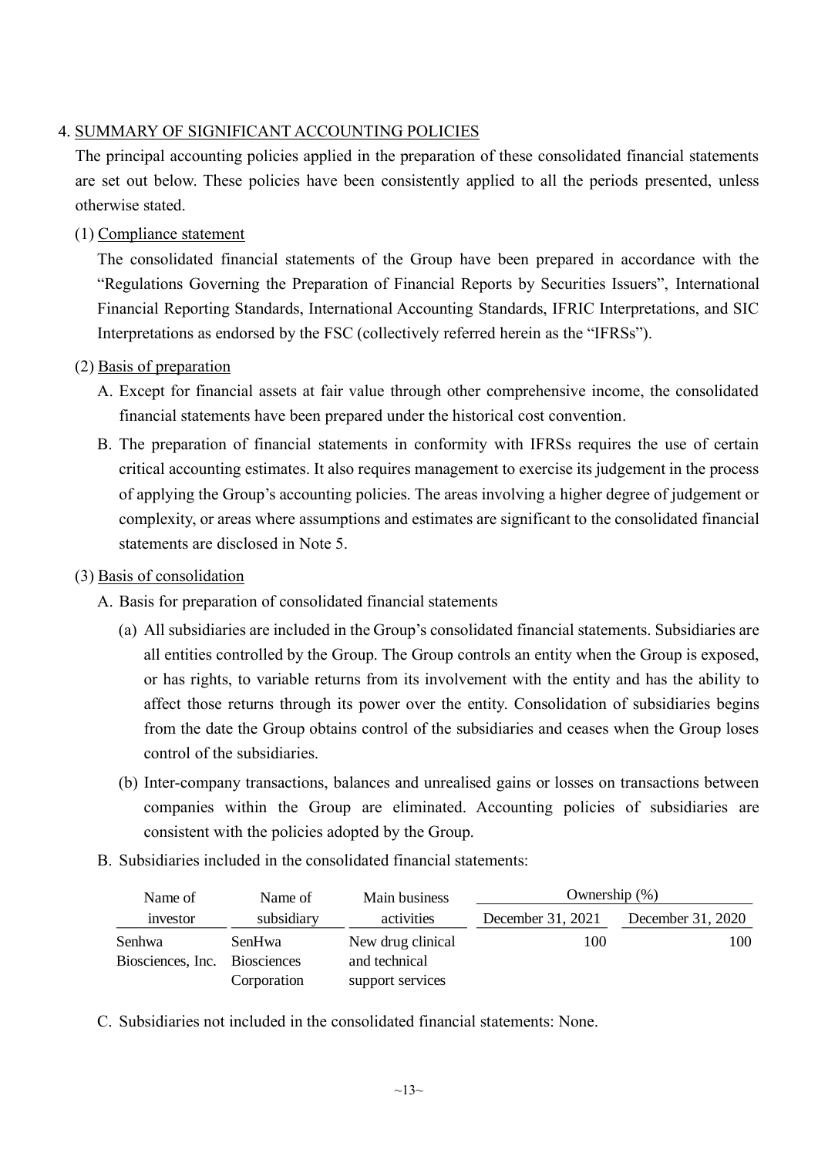## 4. SUMMARY OF SIGNIFICANT ACCOUNTING POLICIES

The principal accounting policies applied in the preparation of these consolidated financial statements are set out below. These policies have been consistently applied to all the periods presented, unless otherwise stated.

(1) Compliance statement

The consolidated financial statements of the Group have been prepared in accordance with the "Regulations Governing the Preparation of Financial Reports by Securities Issuers", International Financial Reporting Standards, International Accounting Standards, IFRIC Interpretations, and SIC Interpretations as endorsed by the FSC (collectively referred herein as the "IFRSs").

- (2) Basis of preparation
	- A. Except for financial assets at fair value through other comprehensive income, the consolidated financial statements have been prepared under the historical cost convention.
	- B. The preparation of financial statements in conformity with IFRSs requires the use of certain critical accounting estimates. It also requires management to exercise its judgement in the process of applying the Group's accounting policies. The areas involving a higher degree of judgement or complexity, or areas where assumptions and estimates are significant to the consolidated financial statements are disclosed in Note 5.

### (3) Basis of consolidation

- A. Basis for preparation of consolidated financial statements
	- (a) All subsidiaries are included in the Group's consolidated financial statements. Subsidiaries are all entities controlled by the Group. The Group controls an entity when the Group is exposed, or has rights, to variable returns from its involvement with the entity and has the ability to affect those returns through its power over the entity. Consolidation of subsidiaries begins from the date the Group obtains control of the subsidiaries and ceases when the Group loses control of the subsidiaries.
	- (b) Inter-company transactions, balances and unrealised gains or losses on transactions between companies within the Group are eliminated. Accounting policies of subsidiaries are consistent with the policies adopted by the Group.
- B. Subsidiaries included in the consolidated financial statements:

| Name of           | Name of            | Main business     | Ownership $(\%)$  |                   |
|-------------------|--------------------|-------------------|-------------------|-------------------|
| investor          | subsidiary         | activities        | December 31, 2021 | December 31, 2020 |
| Senhwa            | SenHwa             | New drug clinical | 100               | 100               |
| Biosciences, Inc. | <b>Biosciences</b> | and technical     |                   |                   |
|                   | Corporation        | support services  |                   |                   |

C. Subsidiaries not included in the consolidated financial statements: None.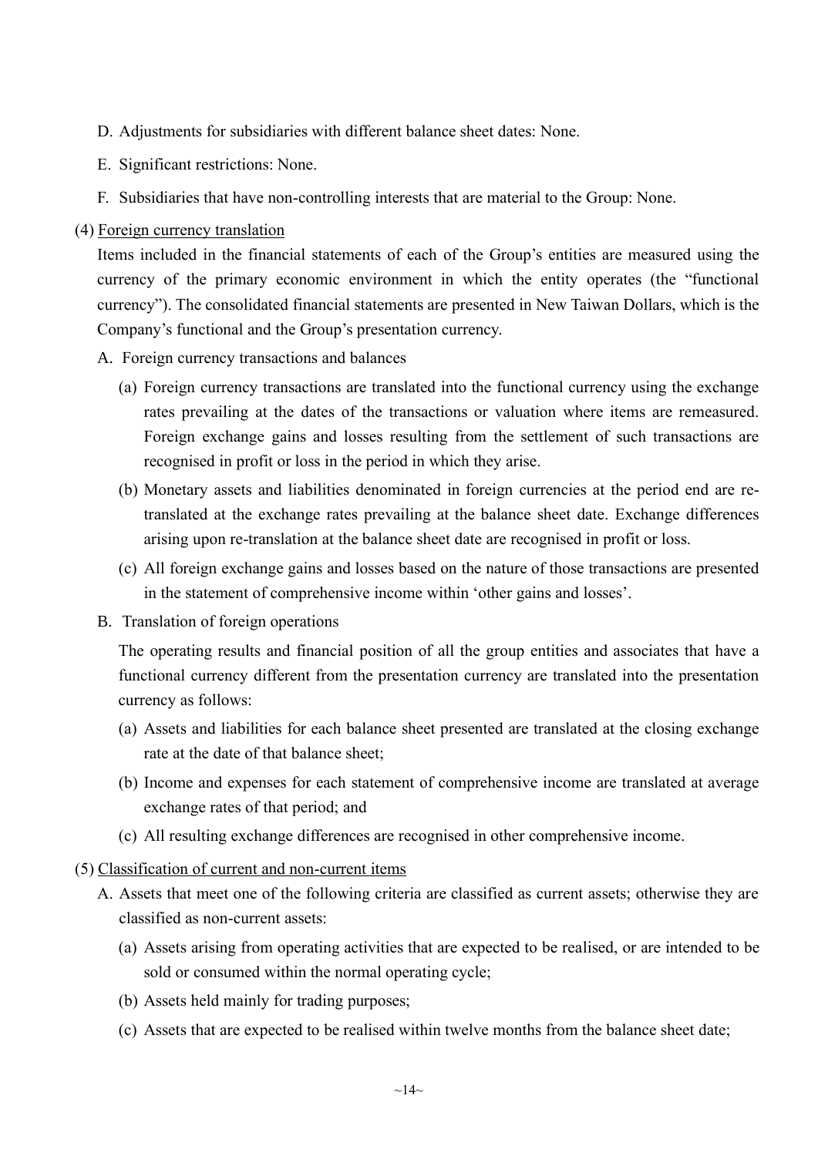- D. Adjustments for subsidiaries with different balance sheet dates: None.
- E. Significant restrictions: None.
- F. Subsidiaries that have non-controlling interests that are material to the Group: None.

#### (4) Foreign currency translation

Items included in the financial statements of each of the Group's entities are measured using the currency of the primary economic environment in which the entity operates (the "functional currency"). The consolidated financial statements are presented in New Taiwan Dollars, which is the Company's functional and the Group's presentation currency.

- A. Foreign currency transactions and balances
	- (a) Foreign currency transactions are translated into the functional currency using the exchange rates prevailing at the dates of the transactions or valuation where items are remeasured. Foreign exchange gains and losses resulting from the settlement of such transactions are recognised in profit or loss in the period in which they arise.
	- (b) Monetary assets and liabilities denominated in foreign currencies at the period end are retranslated at the exchange rates prevailing at the balance sheet date. Exchange differences arising upon re-translation at the balance sheet date are recognised in profit or loss.
	- (c) All foreign exchange gains and losses based on the nature of those transactions are presented in the statement of comprehensive income within 'other gains and losses'.
- B. Translation of foreign operations

The operating results and financial position of all the group entities and associates that have a functional currency different from the presentation currency are translated into the presentation currency as follows:

- (a) Assets and liabilities for each balance sheet presented are translated at the closing exchange rate at the date of that balance sheet;
- (b) Income and expenses for each statement of comprehensive income are translated at average exchange rates of that period; and
- (c) All resulting exchange differences are recognised in other comprehensive income.
- (5) Classification of current and non-current items
	- A. Assets that meet one of the following criteria are classified as current assets; otherwise they are classified as non-current assets:
		- (a) Assets arising from operating activities that are expected to be realised, or are intended to be sold or consumed within the normal operating cycle;
		- (b) Assets held mainly for trading purposes;
		- (c) Assets that are expected to be realised within twelve months from the balance sheet date;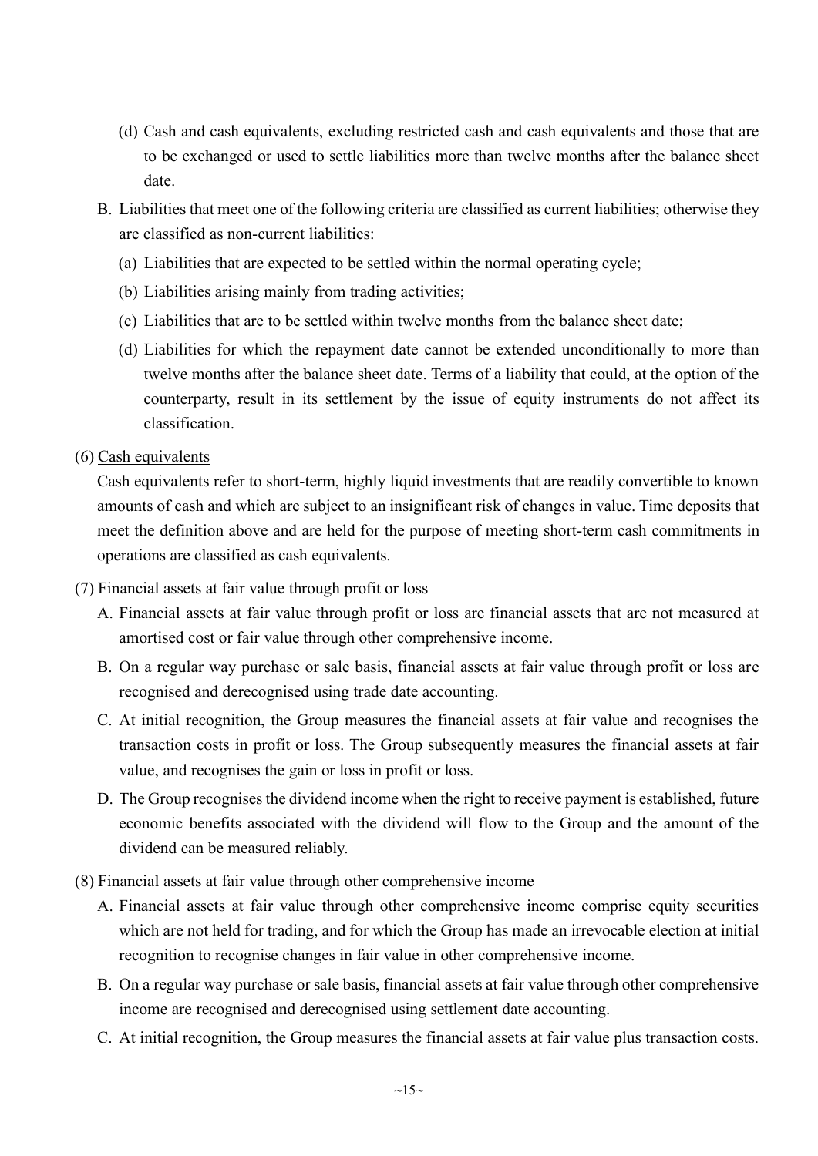- (d) Cash and cash equivalents, excluding restricted cash and cash equivalents and those that are to be exchanged or used to settle liabilities more than twelve months after the balance sheet date.
- B. Liabilities that meet one of the following criteria are classified as current liabilities; otherwise they are classified as non-current liabilities:
	- (a) Liabilities that are expected to be settled within the normal operating cycle;
	- (b) Liabilities arising mainly from trading activities;
	- (c) Liabilities that are to be settled within twelve months from the balance sheet date;
	- (d) Liabilities for which the repayment date cannot be extended unconditionally to more than twelve months after the balance sheet date. Terms of a liability that could, at the option of the counterparty, result in its settlement by the issue of equity instruments do not affect its classification.
- (6) Cash equivalents

Cash equivalents refer to short-term, highly liquid investments that are readily convertible to known amounts of cash and which are subject to an insignificant risk of changes in value. Time deposits that meet the definition above and are held for the purpose of meeting short-term cash commitments in operations are classified as cash equivalents.

- (7) Financial assets at fair value through profit or loss
	- A. Financial assets at fair value through profit or loss are financial assets that are not measured at amortised cost or fair value through other comprehensive income.
	- B. On a regular way purchase or sale basis, financial assets at fair value through profit or loss are recognised and derecognised using trade date accounting.
	- C. At initial recognition, the Group measures the financial assets at fair value and recognises the transaction costs in profit or loss. The Group subsequently measures the financial assets at fair value, and recognises the gain or loss in profit or loss.
	- D. The Group recognises the dividend income when the right to receive payment is established, future economic benefits associated with the dividend will flow to the Group and the amount of the dividend can be measured reliably.
- (8) Financial assets at fair value through other comprehensive income
	- A. Financial assets at fair value through other comprehensive income comprise equity securities which are not held for trading, and for which the Group has made an irrevocable election at initial recognition to recognise changes in fair value in other comprehensive income.
	- B. On a regular way purchase or sale basis, financial assets at fair value through other comprehensive income are recognised and derecognised using settlement date accounting.
	- C. At initial recognition, the Group measures the financial assets at fair value plus transaction costs.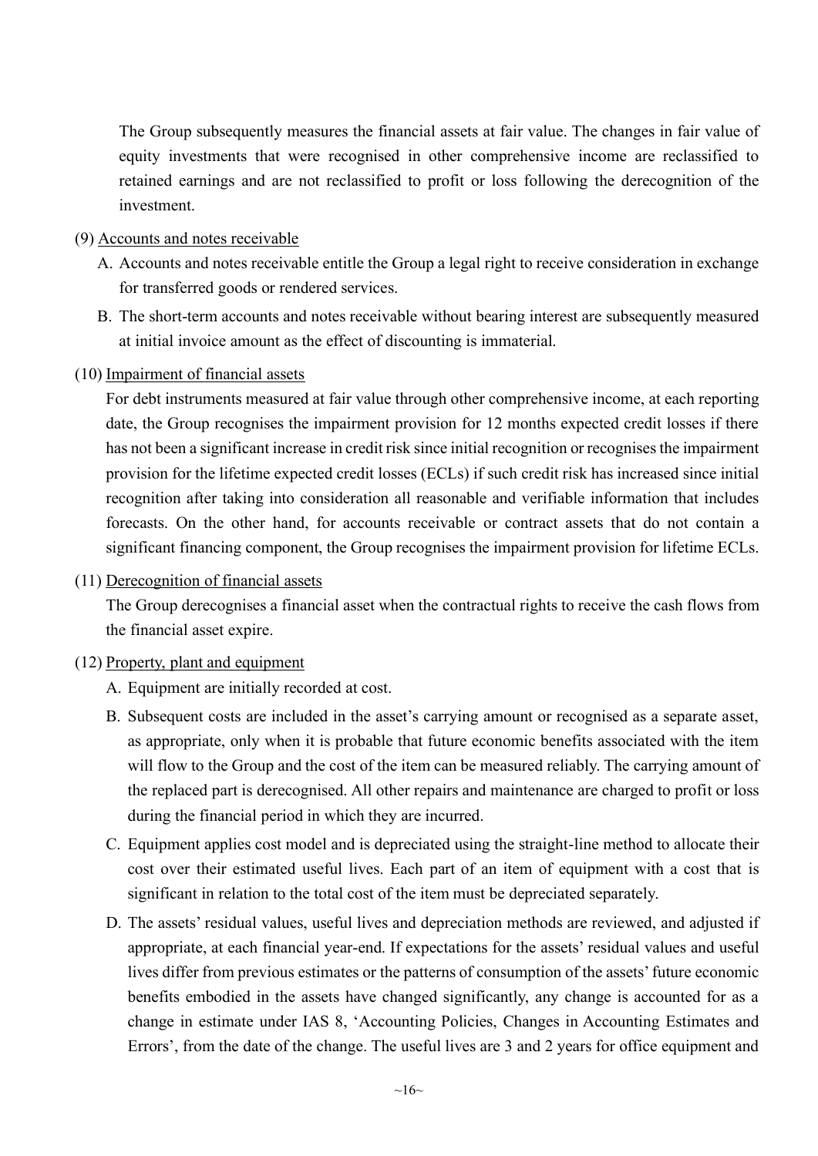The Group subsequently measures the financial assets at fair value. The changes in fair value of equity investments that were recognised in other comprehensive income are reclassified to retained earnings and are not reclassified to profit or loss following the derecognition of the investment.

- (9) Accounts and notes receivable
	- A. Accounts and notes receivable entitle the Group a legal right to receive consideration in exchange for transferred goods or rendered services.
	- B. The short-term accounts and notes receivable without bearing interest are subsequently measured at initial invoice amount as the effect of discounting is immaterial.
- (10) Impairment of financial assets

For debt instruments measured at fair value through other comprehensive income, at each reporting date, the Group recognises the impairment provision for 12 months expected credit losses if there has not been a significant increase in credit risk since initial recognition or recognises the impairment provision for the lifetime expected credit losses (ECLs) if such credit risk has increased since initial recognition after taking into consideration all reasonable and verifiable information that includes forecasts. On the other hand, for accounts receivable or contract assets that do not contain a significant financing component, the Group recognises the impairment provision for lifetime ECLs.

(11) Derecognition of financial assets

The Group derecognises a financial asset when the contractual rights to receive the cash flows from the financial asset expire.

### (12) Property, plant and equipment

- A. Equipment are initially recorded at cost.
- B. Subsequent costs are included in the asset's carrying amount or recognised as a separate asset, as appropriate, only when it is probable that future economic benefits associated with the item will flow to the Group and the cost of the item can be measured reliably. The carrying amount of the replaced part is derecognised. All other repairs and maintenance are charged to profit or loss during the financial period in which they are incurred.
- C. Equipment applies cost model and is depreciated using the straight-line method to allocate their cost over their estimated useful lives. Each part of an item of equipment with a cost that is significant in relation to the total cost of the item must be depreciated separately.
- D. The assets' residual values, useful lives and depreciation methods are reviewed, and adjusted if appropriate, at each financial year-end. If expectations for the assets' residual values and useful lives differ from previous estimates or the patterns of consumption of the assets' future economic benefits embodied in the assets have changed significantly, any change is accounted for as a change in estimate under IAS 8, 'Accounting Policies, Changes in Accounting Estimates and Errors', from the date of the change. The useful lives are 3 and 2 years for office equipment and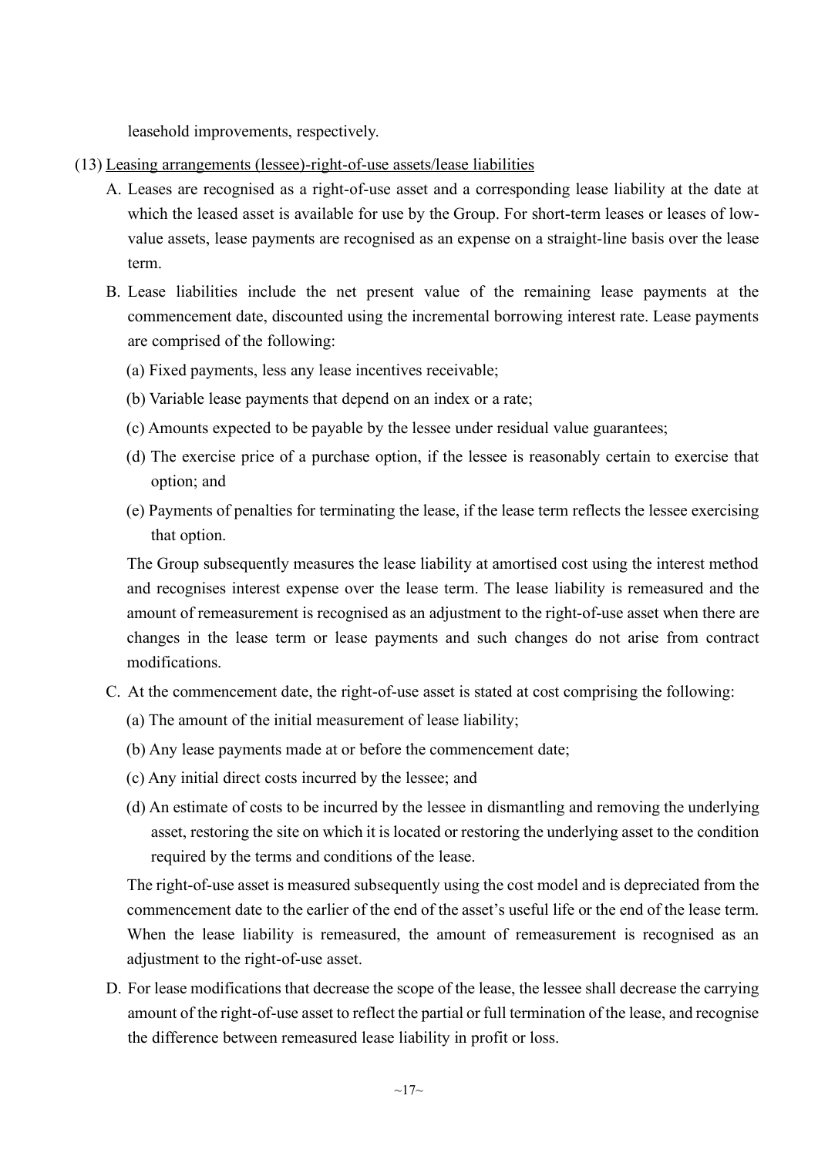leasehold improvements, respectively.

- (13) Leasing arrangements (lessee)-right-of-use assets/lease liabilities
	- A. Leases are recognised as a right-of-use asset and a corresponding lease liability at the date at which the leased asset is available for use by the Group. For short-term leases or leases of lowvalue assets, lease payments are recognised as an expense on a straight-line basis over the lease term.
	- B. Lease liabilities include the net present value of the remaining lease payments at the commencement date, discounted using the incremental borrowing interest rate. Lease payments are comprised of the following:
		- (a) Fixed payments, less any lease incentives receivable;
		- (b) Variable lease payments that depend on an index or a rate;
		- (c) Amounts expected to be payable by the lessee under residual value guarantees;
		- (d) The exercise price of a purchase option, if the lessee is reasonably certain to exercise that option; and
		- (e) Payments of penalties for terminating the lease, if the lease term reflects the lessee exercising that option.

The Group subsequently measures the lease liability at amortised cost using the interest method and recognises interest expense over the lease term. The lease liability is remeasured and the amount of remeasurement is recognised as an adjustment to the right-of-use asset when there are changes in the lease term or lease payments and such changes do not arise from contract modifications.

- C. At the commencement date, the right-of-use asset is stated at cost comprising the following:
	- (a) The amount of the initial measurement of lease liability;
	- (b) Any lease payments made at or before the commencement date;
	- (c) Any initial direct costs incurred by the lessee; and
	- (d) An estimate of costs to be incurred by the lessee in dismantling and removing the underlying asset, restoring the site on which it is located or restoring the underlying asset to the condition required by the terms and conditions of the lease.

The right-of-use asset is measured subsequently using the cost model and is depreciated from the commencement date to the earlier of the end of the asset's useful life or the end of the lease term. When the lease liability is remeasured, the amount of remeasurement is recognised as an adjustment to the right-of-use asset.

D. For lease modifications that decrease the scope of the lease, the lessee shall decrease the carrying amount of the right-of-use asset to reflect the partial or full termination of the lease, and recognise the difference between remeasured lease liability in profit or loss.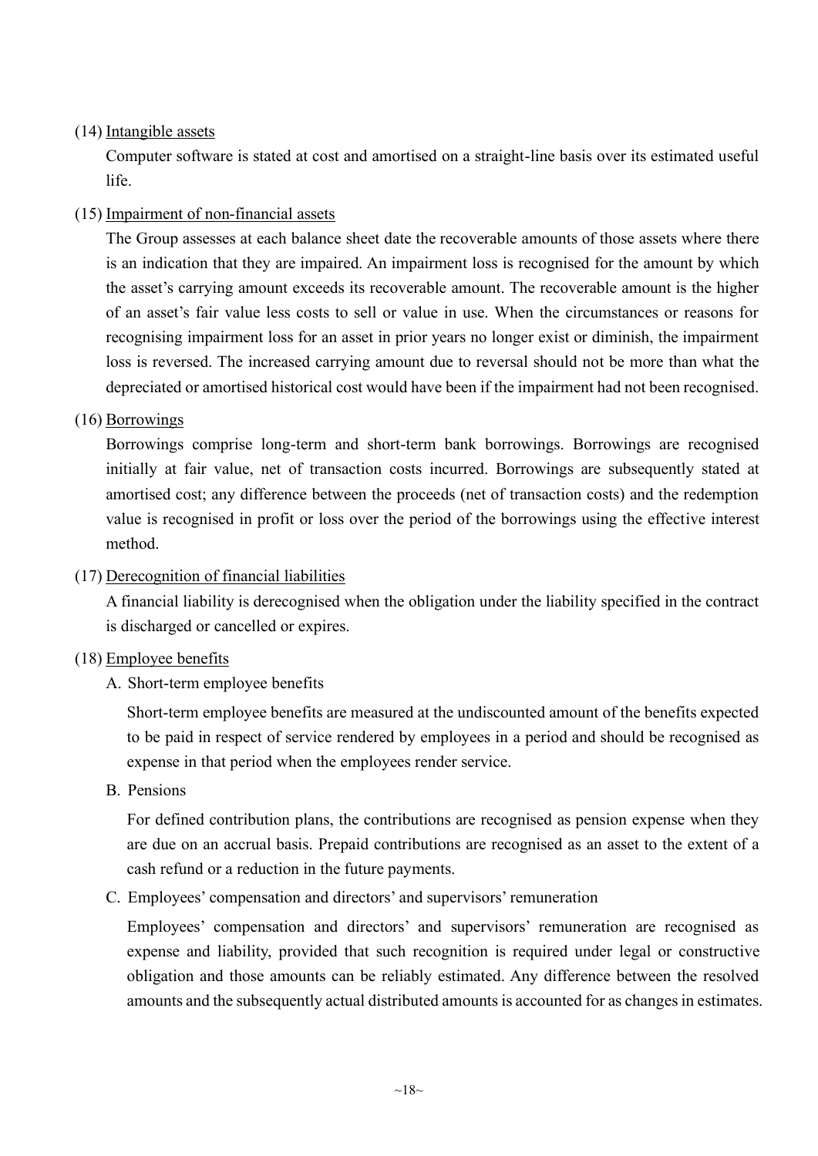### (14) Intangible assets

Computer software is stated at cost and amortised on a straight-line basis over its estimated useful life.

## (15) Impairment of non-financial assets

The Group assesses at each balance sheet date the recoverable amounts of those assets where there is an indication that they are impaired. An impairment loss is recognised for the amount by which the asset's carrying amount exceeds its recoverable amount. The recoverable amount is the higher of an asset's fair value less costs to sell or value in use. When the circumstances or reasons for recognising impairment loss for an asset in prior years no longer exist or diminish, the impairment loss is reversed. The increased carrying amount due to reversal should not be more than what the depreciated or amortised historical cost would have been if the impairment had not been recognised.

### (16) Borrowings

Borrowings comprise long-term and short-term bank borrowings. Borrowings are recognised initially at fair value, net of transaction costs incurred. Borrowings are subsequently stated at amortised cost; any difference between the proceeds (net of transaction costs) and the redemption value is recognised in profit or loss over the period of the borrowings using the effective interest method.

(17) Derecognition of financial liabilities

A financial liability is derecognised when the obligation under the liability specified in the contract is discharged or cancelled or expires.

### (18) Employee benefits

A. Short-term employee benefits

Short-term employee benefits are measured at the undiscounted amount of the benefits expected to be paid in respect of service rendered by employees in a period and should be recognised as expense in that period when the employees render service.

B. Pensions

For defined contribution plans, the contributions are recognised as pension expense when they are due on an accrual basis. Prepaid contributions are recognised as an asset to the extent of a cash refund or a reduction in the future payments.

C. Employees' compensation and directors' and supervisors' remuneration

Employees' compensation and directors' and supervisors' remuneration are recognised as expense and liability, provided that such recognition is required under legal or constructive obligation and those amounts can be reliably estimated. Any difference between the resolved amounts and the subsequently actual distributed amounts is accounted for as changes in estimates.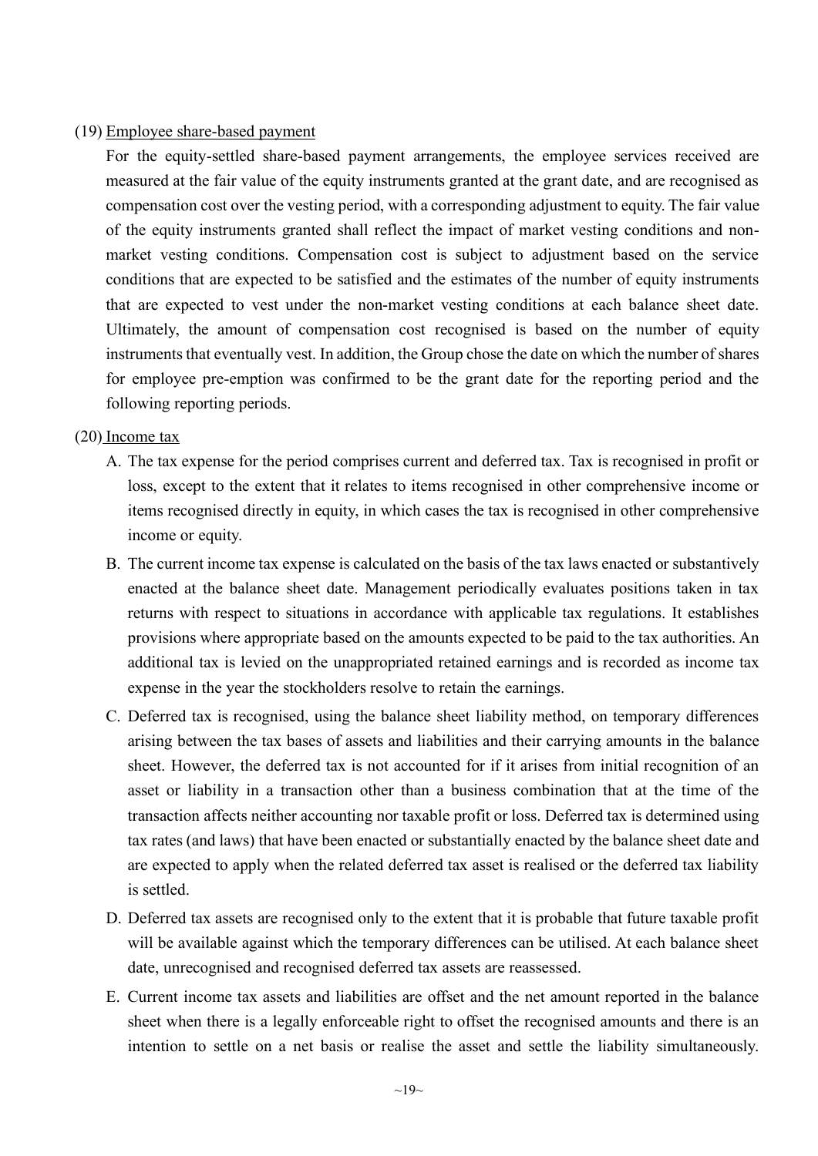#### (19) Employee share-based payment

For the equity-settled share-based payment arrangements, the employee services received are measured at the fair value of the equity instruments granted at the grant date, and are recognised as compensation cost over the vesting period, with a corresponding adjustment to equity. The fair value of the equity instruments granted shall reflect the impact of market vesting conditions and nonmarket vesting conditions. Compensation cost is subject to adjustment based on the service conditions that are expected to be satisfied and the estimates of the number of equity instruments that are expected to vest under the non-market vesting conditions at each balance sheet date. Ultimately, the amount of compensation cost recognised is based on the number of equity instruments that eventually vest. In addition, the Group chose the date on which the number of shares for employee pre-emption was confirmed to be the grant date for the reporting period and the following reporting periods.

#### (20) Income tax

- A. The tax expense for the period comprises current and deferred tax. Tax is recognised in profit or loss, except to the extent that it relates to items recognised in other comprehensive income or items recognised directly in equity, in which cases the tax is recognised in other comprehensive income or equity.
- B. The current income tax expense is calculated on the basis of the tax laws enacted or substantively enacted at the balance sheet date. Management periodically evaluates positions taken in tax returns with respect to situations in accordance with applicable tax regulations. It establishes provisions where appropriate based on the amounts expected to be paid to the tax authorities. An additional tax is levied on the unappropriated retained earnings and is recorded as income tax expense in the year the stockholders resolve to retain the earnings.
- C. Deferred tax is recognised, using the balance sheet liability method, on temporary differences arising between the tax bases of assets and liabilities and their carrying amounts in the balance sheet. However, the deferred tax is not accounted for if it arises from initial recognition of an asset or liability in a transaction other than a business combination that at the time of the transaction affects neither accounting nor taxable profit or loss. Deferred tax is determined using tax rates (and laws) that have been enacted or substantially enacted by the balance sheet date and are expected to apply when the related deferred tax asset is realised or the deferred tax liability is settled.
- D. Deferred tax assets are recognised only to the extent that it is probable that future taxable profit will be available against which the temporary differences can be utilised. At each balance sheet date, unrecognised and recognised deferred tax assets are reassessed.
- E. Current income tax assets and liabilities are offset and the net amount reported in the balance sheet when there is a legally enforceable right to offset the recognised amounts and there is an intention to settle on a net basis or realise the asset and settle the liability simultaneously.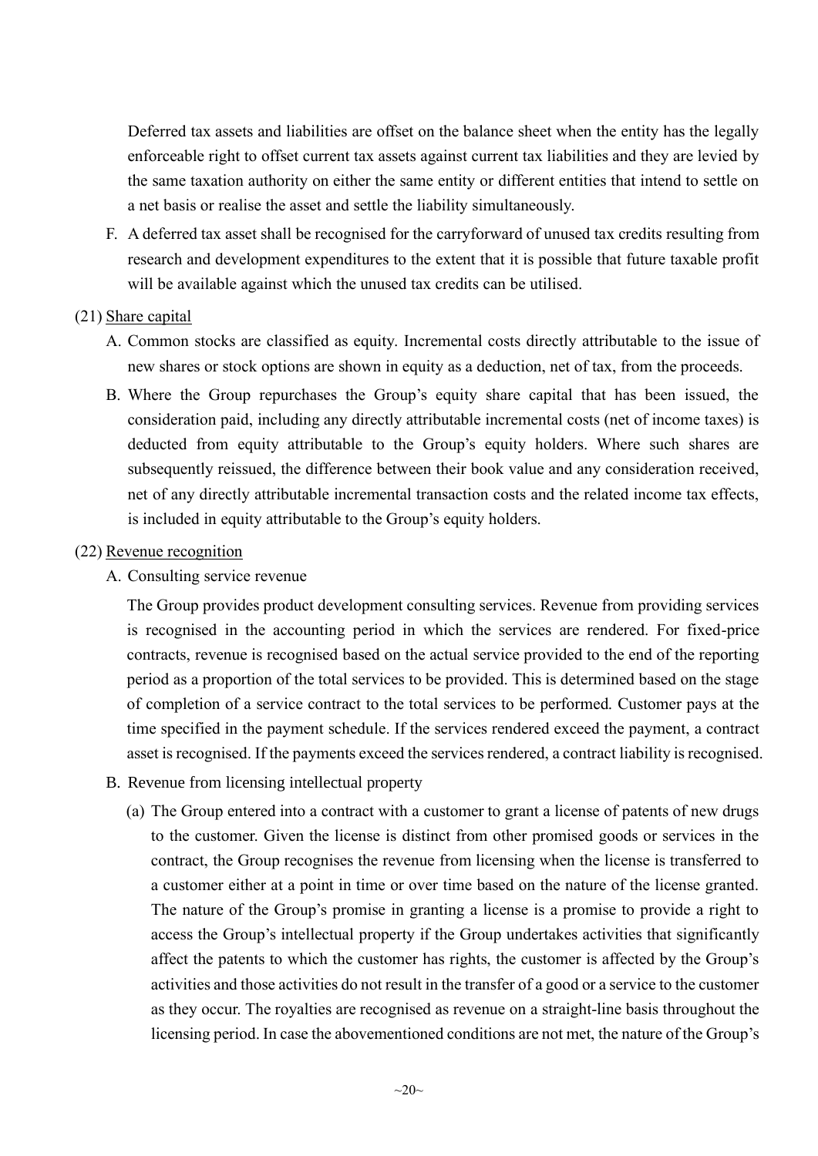Deferred tax assets and liabilities are offset on the balance sheet when the entity has the legally enforceable right to offset current tax assets against current tax liabilities and they are levied by the same taxation authority on either the same entity or different entities that intend to settle on a net basis or realise the asset and settle the liability simultaneously.

F. A deferred tax asset shall be recognised for the carryforward of unused tax credits resulting from research and development expenditures to the extent that it is possible that future taxable profit will be available against which the unused tax credits can be utilised.

#### (21) Share capital

- A. Common stocks are classified as equity. Incremental costs directly attributable to the issue of new shares or stock options are shown in equity as a deduction, net of tax, from the proceeds.
- B. Where the Group repurchases the Group's equity share capital that has been issued, the consideration paid, including any directly attributable incremental costs (net of income taxes) is deducted from equity attributable to the Group's equity holders. Where such shares are subsequently reissued, the difference between their book value and any consideration received, net of any directly attributable incremental transaction costs and the related income tax effects, is included in equity attributable to the Group's equity holders.

#### (22) Revenue recognition

A. Consulting service revenue

The Group provides product development consulting services. Revenue from providing services is recognised in the accounting period in which the services are rendered. For fixed-price contracts, revenue is recognised based on the actual service provided to the end of the reporting period as a proportion of the total services to be provided. This is determined based on the stage of completion of a service contract to the total services to be performed. Customer pays at the time specified in the payment schedule. If the services rendered exceed the payment, a contract asset is recognised. If the payments exceed the services rendered, a contract liability is recognised.

- B. Revenue from licensing intellectual property
	- (a) The Group entered into a contract with a customer to grant a license of patents of new drugs to the customer. Given the license is distinct from other promised goods or services in the contract, the Group recognises the revenue from licensing when the license is transferred to a customer either at a point in time or over time based on the nature of the license granted. The nature of the Group's promise in granting a license is a promise to provide a right to access the Group's intellectual property if the Group undertakes activities that significantly affect the patents to which the customer has rights, the customer is affected by the Group's activities and those activities do not result in the transfer of a good or a service to the customer as they occur. The royalties are recognised as revenue on a straight-line basis throughout the licensing period. In case the abovementioned conditions are not met, the nature of the Group's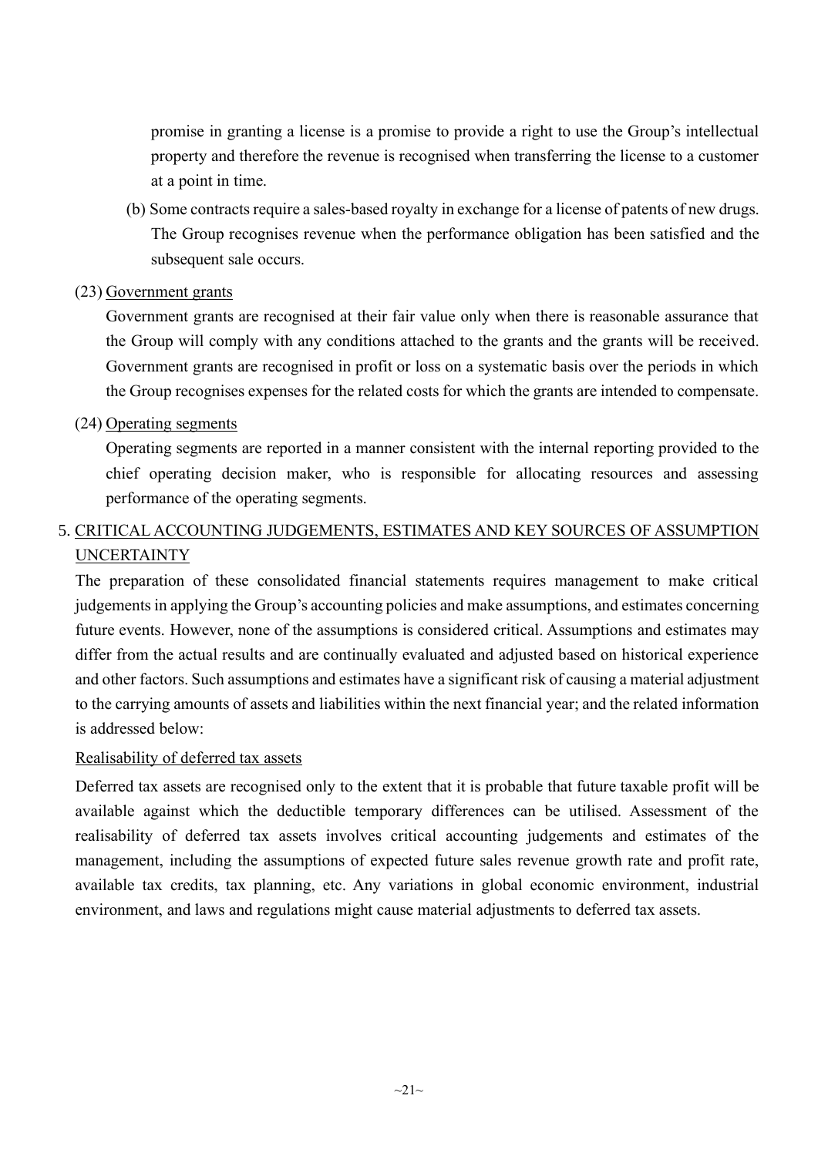promise in granting a license is a promise to provide a right to use the Group's intellectual property and therefore the revenue is recognised when transferring the license to a customer at a point in time.

- (b) Some contracts require a sales-based royalty in exchange for a license of patents of new drugs. The Group recognises revenue when the performance obligation has been satisfied and the subsequent sale occurs.
- (23) Government grants

Government grants are recognised at their fair value only when there is reasonable assurance that the Group will comply with any conditions attached to the grants and the grants will be received. Government grants are recognised in profit or loss on a systematic basis over the periods in which the Group recognises expenses for the related costs for which the grants are intended to compensate.

(24) Operating segments

Operating segments are reported in a manner consistent with the internal reporting provided to the chief operating decision maker, who is responsible for allocating resources and assessing performance of the operating segments.

## 5. CRITICAL ACCOUNTING JUDGEMENTS, ESTIMATES AND KEY SOURCES OF ASSUMPTION UNCERTAINTY

The preparation of these consolidated financial statements requires management to make critical judgements in applying the Group's accounting policies and make assumptions, and estimates concerning future events. However, none of the assumptions is considered critical. Assumptions and estimates may differ from the actual results and are continually evaluated and adjusted based on historical experience and other factors. Such assumptions and estimates have a significant risk of causing a material adjustment to the carrying amounts of assets and liabilities within the next financial year; and the related information is addressed below:

### Realisability of deferred tax assets

Deferred tax assets are recognised only to the extent that it is probable that future taxable profit will be available against which the deductible temporary differences can be utilised. Assessment of the realisability of deferred tax assets involves critical accounting judgements and estimates of the management, including the assumptions of expected future sales revenue growth rate and profit rate, available tax credits, tax planning, etc. Any variations in global economic environment, industrial environment, and laws and regulations might cause material adjustments to deferred tax assets.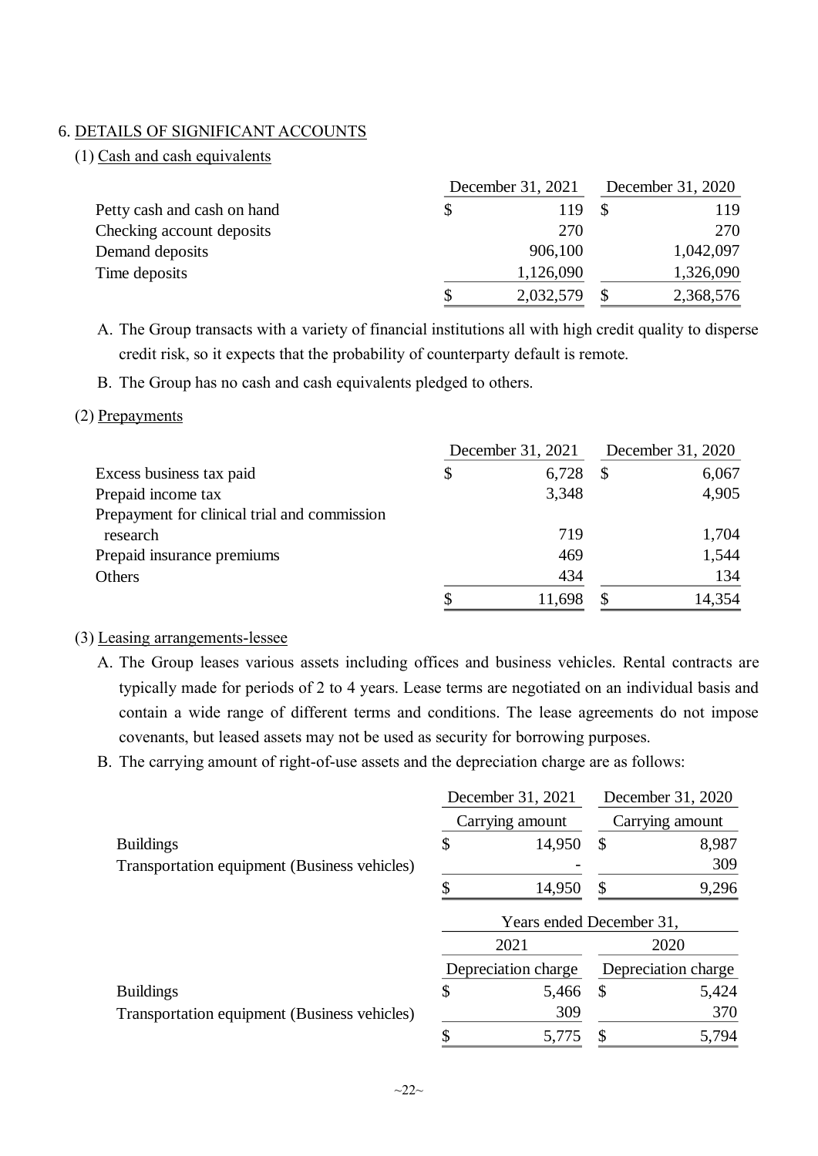#### 6. DETAILS OF SIGNIFICANT ACCOUNTS

#### (1) Cash and cash equivalents

|                             | December 31, 2021 | December 31, 2020 |  |           |
|-----------------------------|-------------------|-------------------|--|-----------|
| Petty cash and cash on hand | S                 | 119               |  | 119       |
| Checking account deposits   |                   | 270               |  | 270       |
| Demand deposits             |                   | 906,100           |  | 1,042,097 |
| Time deposits               |                   | 1,126,090         |  | 1,326,090 |
|                             | S                 | 2,032,579         |  | 2,368,576 |

A. The Group transacts with a variety of financial institutions all with high credit quality to disperse credit risk, so it expects that the probability of counterparty default is remote.

B. The Group has no cash and cash equivalents pledged to others.

#### (2) Prepayments

|                                              | December 31, 2021 | December 31, 2020 |        |  |
|----------------------------------------------|-------------------|-------------------|--------|--|
| Excess business tax paid                     | \$<br>6,728       |                   | 6,067  |  |
| Prepaid income tax                           | 3,348             |                   | 4,905  |  |
| Prepayment for clinical trial and commission |                   |                   |        |  |
| research                                     | 719               |                   | 1,704  |  |
| Prepaid insurance premiums                   | 469               |                   | 1,544  |  |
| Others                                       | 434               |                   | 134    |  |
|                                              | 11.698            |                   | 14,354 |  |

#### (3) Leasing arrangements-lessee

- A. The Group leases various assets including offices and business vehicles. Rental contracts are typically made for periods of 2 to 4 years. Lease terms are negotiated on an individual basis and contain a wide range of different terms and conditions. The lease agreements do not impose covenants, but leased assets may not be used as security for borrowing purposes.
- B. The carrying amount of right-of-use assets and the depreciation charge are as follows:

|                                              | December 31, 2021        |               | December 31, 2020   |
|----------------------------------------------|--------------------------|---------------|---------------------|
|                                              | Carrying amount          |               | Carrying amount     |
| <b>Buildings</b>                             | \$<br>14,950             | \$            | 8,987               |
| Transportation equipment (Business vehicles) |                          |               | 309                 |
|                                              | 14,950                   | \$            | 9,296               |
|                                              | Years ended December 31, |               |                     |
|                                              | 2021                     |               | 2020                |
|                                              | Depreciation charge      |               | Depreciation charge |
| <b>Buildings</b>                             | \$<br>5,466              | $\mathcal{S}$ | 5,424               |
| Transportation equipment (Business vehicles) | 309                      |               | 370                 |
|                                              | 5,775                    | \$            | 5,794               |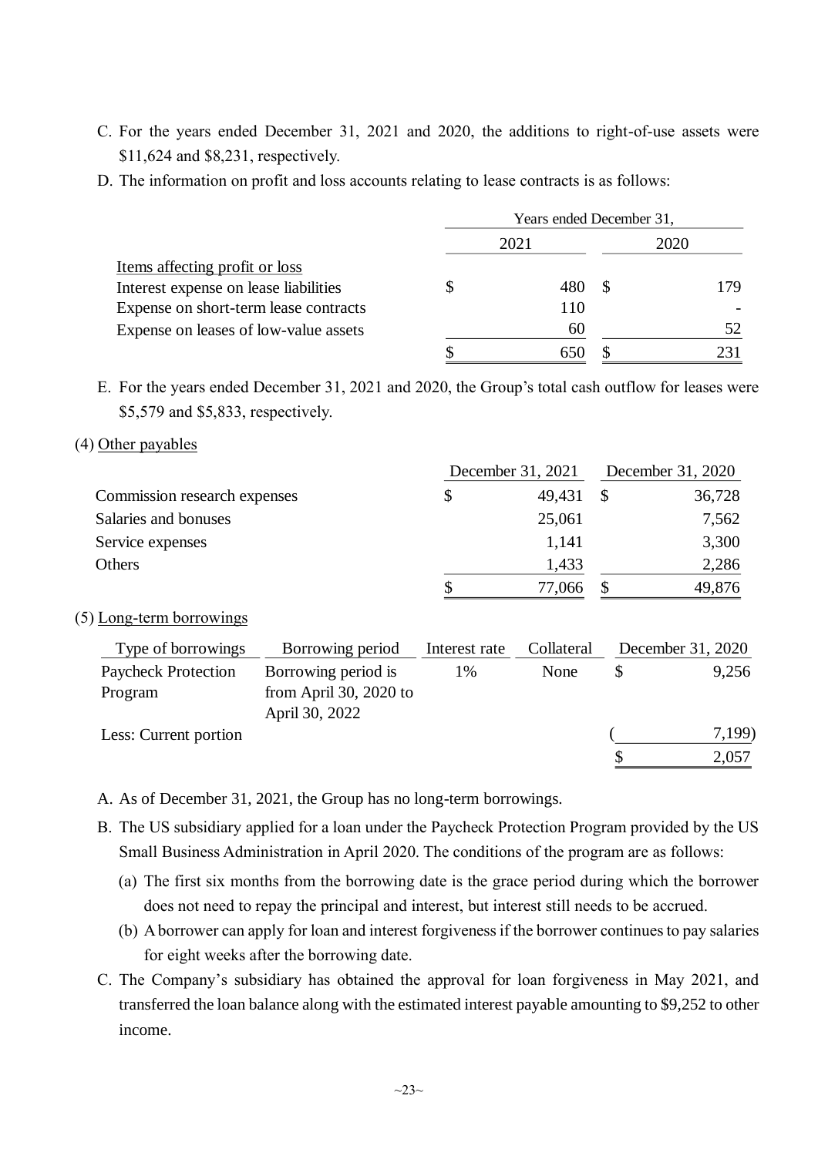- C. For the years ended December 31, 2021 and 2020, the additions to right-of-use assets were \$11,624 and \$8,231, respectively.
- D. The information on profit and loss accounts relating to lease contracts is as follows:

|                                       | Years ended December 31, |      |    |      |  |  |
|---------------------------------------|--------------------------|------|----|------|--|--|
|                                       |                          | 2021 |    | 2020 |  |  |
| Items affecting profit or loss        |                          |      |    |      |  |  |
| Interest expense on lease liabilities |                          | 480  | -S | 179  |  |  |
| Expense on short-term lease contracts |                          | 110  |    |      |  |  |
| Expense on leases of low-value assets |                          | 60   |    | 52   |  |  |
|                                       |                          |      |    |      |  |  |

E. For the years ended December 31, 2021 and 2020, the Group's total cash outflow for leases were \$5,579 and \$5,833, respectively.

#### (4) Other payables

|                              | December 31, 2021 | December 31, 2020 |  |        |
|------------------------------|-------------------|-------------------|--|--------|
| Commission research expenses |                   | 49,431            |  | 36,728 |
| Salaries and bonuses         |                   | 25,061            |  | 7,562  |
| Service expenses             |                   | 1,141             |  | 3,300  |
| Others                       |                   | 1,433             |  | 2,286  |
|                              |                   | 77,066            |  | 49,876 |

### (5) Long-term borrowings

| Type of borrowings         | Borrowing period       | Interest rate | Collateral | December 31, 2020 |
|----------------------------|------------------------|---------------|------------|-------------------|
| <b>Paycheck Protection</b> | Borrowing period is    | 1%            | None       | 9,256             |
| Program                    | from April 30, 2020 to |               |            |                   |
|                            | April 30, 2022         |               |            |                   |
| Less: Current portion      |                        |               |            | 7,199)            |
|                            |                        |               |            | 2,057             |

A. As of December 31, 2021, the Group has no long-term borrowings.

- B. The US subsidiary applied for a loan under the Paycheck Protection Program provided by the US Small Business Administration in April 2020. The conditions of the program are as follows:
	- (a) The first six months from the borrowing date is the grace period during which the borrower does not need to repay the principal and interest, but interest still needs to be accrued.
	- (b) A borrower can apply for loan and interest forgiveness if the borrower continues to pay salaries for eight weeks after the borrowing date.
- C. The Company's subsidiary has obtained the approval for loan forgiveness in May 2021, and transferred the loan balance along with the estimated interest payable amounting to \$9,252 to other income.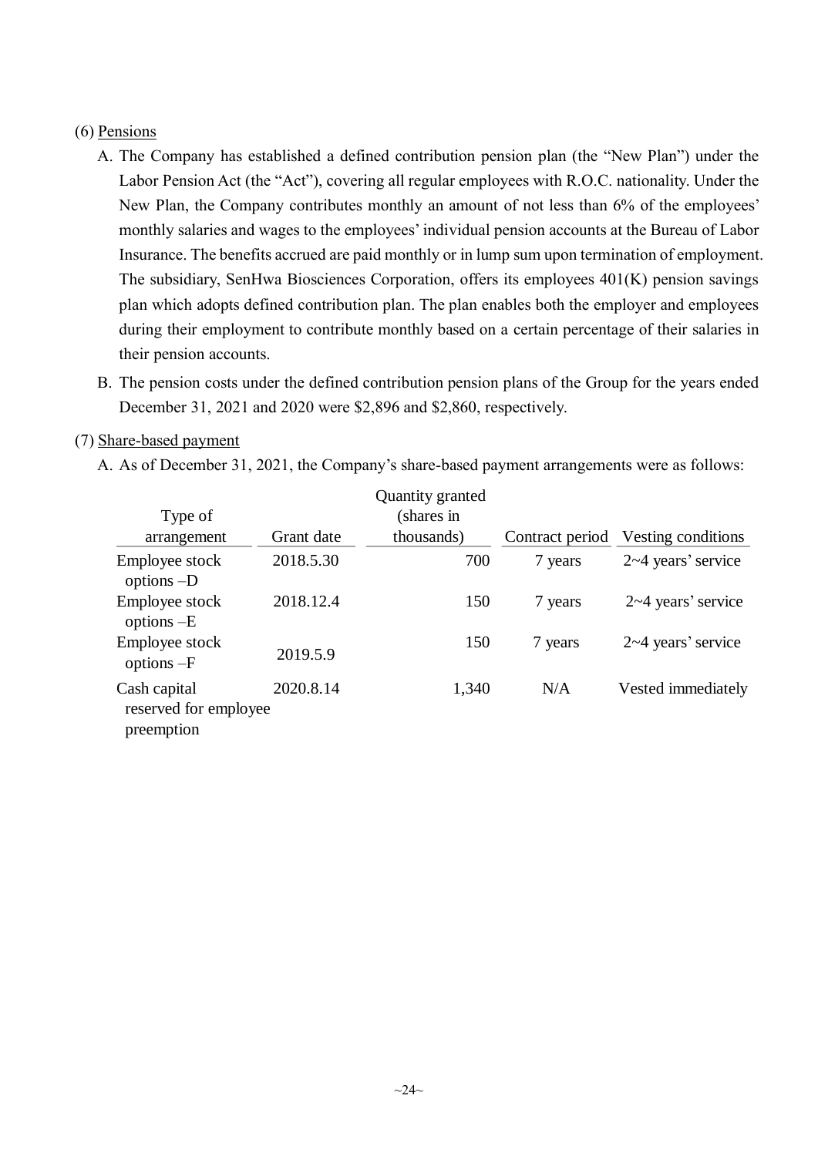#### (6) Pensions

- A. The Company has established a defined contribution pension plan (the "New Plan") under the Labor Pension Act (the "Act"), covering all regular employees with R.O.C. nationality. Under the New Plan, the Company contributes monthly an amount of not less than 6% of the employees' monthly salaries and wages to the employees' individual pension accounts at the Bureau of Labor Insurance. The benefits accrued are paid monthly or in lump sum upon termination of employment. The subsidiary, SenHwa Biosciences Corporation, offers its employees 401(K) pension savings plan which adopts defined contribution plan. The plan enables both the employer and employees during their employment to contribute monthly based on a certain percentage of their salaries in their pension accounts.
- B. The pension costs under the defined contribution pension plans of the Group for the years ended December 31, 2021 and 2020 were \$2,896 and \$2,860, respectively.

### (7) Share-based payment

A. As of December 31, 2021, the Company's share-based payment arrangements were as follows:

|                                                     |            | Quantity granted |                 |                         |
|-----------------------------------------------------|------------|------------------|-----------------|-------------------------|
| Type of                                             |            | (shares in       |                 |                         |
| arrangement                                         | Grant date | thousands)       | Contract period | Vesting conditions      |
| Employee stock<br>options $-D$                      | 2018.5.30  | 700              | 7 years         | $2\nu 4$ years' service |
| Employee stock<br>options $-E$                      | 2018.12.4  | 150              | 7 years         | $2\nu 4$ years' service |
| Employee stock<br>options $-F$                      | 2019.5.9   | 150              | 7 years         | $2\nu 4$ years' service |
| Cash capital<br>reserved for employee<br>preemption | 2020.8.14  | 1,340            | N/A             | Vested immediately      |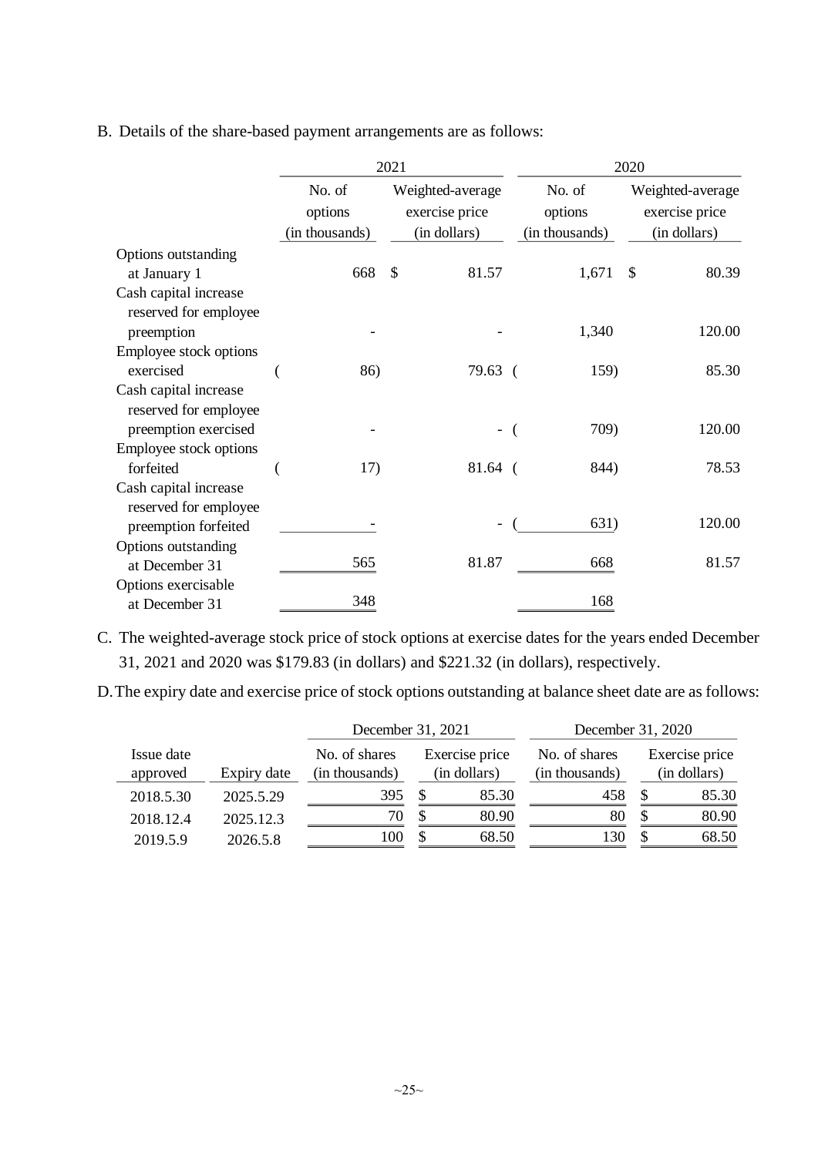B. Details of the share-based payment arrangements are as follows:

|                                                |                                     | 2021          |                                                    | 2020                                |               |                                                    |  |
|------------------------------------------------|-------------------------------------|---------------|----------------------------------------------------|-------------------------------------|---------------|----------------------------------------------------|--|
|                                                | No. of<br>options<br>(in thousands) |               | Weighted-average<br>exercise price<br>(in dollars) | No. of<br>options<br>(in thousands) |               | Weighted-average<br>exercise price<br>(in dollars) |  |
| Options outstanding                            |                                     |               |                                                    |                                     |               |                                                    |  |
| at January 1                                   | 668                                 | $\mathcal{S}$ | 81.57                                              | 1,671                               | $\mathcal{S}$ | 80.39                                              |  |
| Cash capital increase<br>reserved for employee |                                     |               |                                                    |                                     |               |                                                    |  |
| preemption                                     |                                     |               |                                                    | 1,340                               |               | 120.00                                             |  |
| Employee stock options                         |                                     |               |                                                    |                                     |               |                                                    |  |
| exercised                                      | 86)                                 |               | 79.63 (                                            | 159)                                |               | 85.30                                              |  |
| Cash capital increase<br>reserved for employee |                                     |               |                                                    |                                     |               |                                                    |  |
| preemption exercised                           |                                     |               |                                                    | 709)                                |               | 120.00                                             |  |
| Employee stock options                         |                                     |               |                                                    |                                     |               |                                                    |  |
| forfeited                                      | 17)                                 |               | $81.64$ (                                          | 844)                                |               | 78.53                                              |  |
| Cash capital increase<br>reserved for employee |                                     |               |                                                    |                                     |               |                                                    |  |
| preemption forfeited                           |                                     |               |                                                    | 631)                                |               | 120.00                                             |  |
| Options outstanding                            |                                     |               |                                                    |                                     |               |                                                    |  |
| at December 31                                 | 565                                 |               | 81.87                                              | 668                                 |               | 81.57                                              |  |
| Options exercisable                            |                                     |               |                                                    |                                     |               |                                                    |  |
| at December 31                                 | 348                                 |               |                                                    | 168                                 |               |                                                    |  |

C. The weighted-average stock price of stock options at exercise dates for the years ended December 31, 2021 and 2020 was \$179.83 (in dollars) and \$221.32 (in dollars), respectively.

D.The expiry date and exercise price of stock options outstanding at balance sheet date are as follows:

|                                       |           | December 31, 2021                                                 |    |                                 | December 31, 2020              |    |       |
|---------------------------------------|-----------|-------------------------------------------------------------------|----|---------------------------------|--------------------------------|----|-------|
| Issue date<br>Expiry date<br>approved |           | Exercise price<br>No. of shares<br>(in thousands)<br>(in dollars) |    | No. of shares<br>(in thousands) | Exercise price<br>(in dollars) |    |       |
| 2018.5.30                             | 2025.5.29 | 395                                                               |    | 85.30                           | 458                            |    | 85.30 |
| 2018.12.4                             | 2025.12.3 | 70                                                                |    | 80.90                           | 80                             |    | 80.90 |
| 2019.5.9                              | 2026.5.8  |                                                                   | \$ | 68.50                           | .30                            | \$ | 68.50 |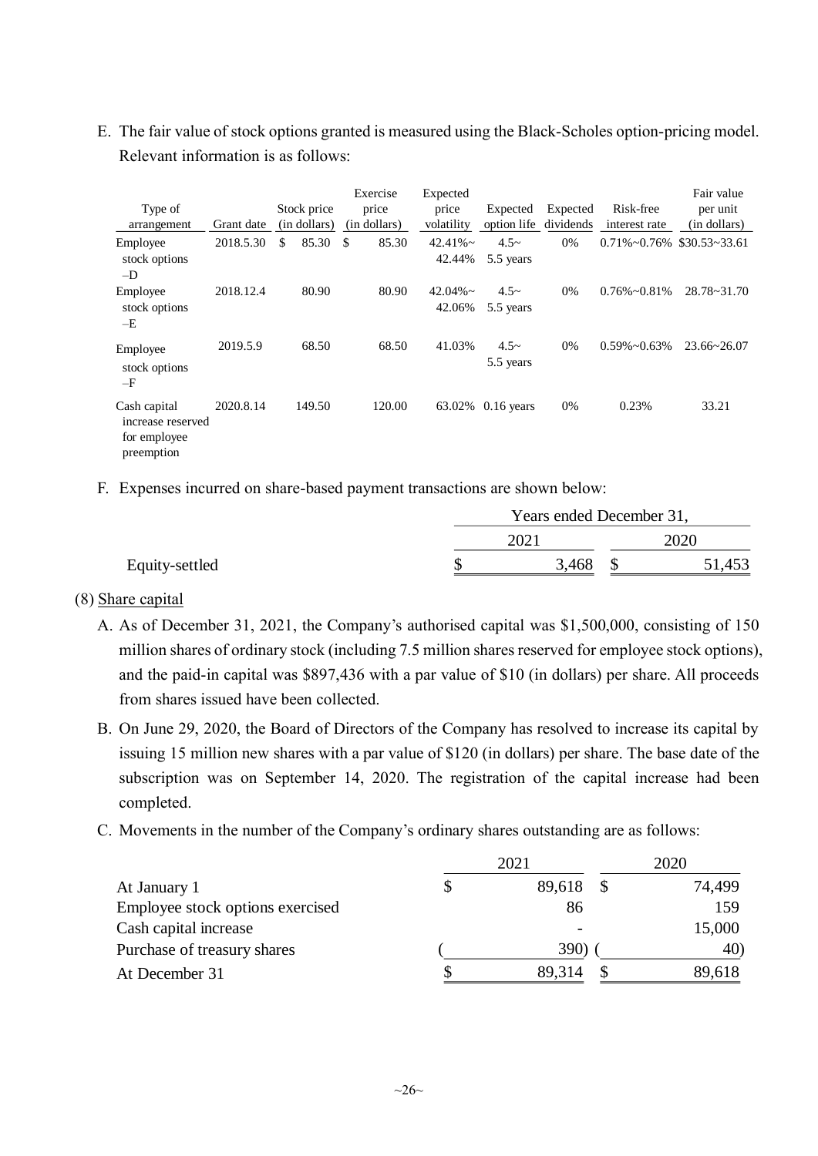E. The fair value of stock options granted is measured using the Black-Scholes option-pricing model. Relevant information is as follows:

| Type of<br>arrangement                                          | Grant date | Stock price<br>(in dollars) | Exercise<br>price<br>(in dollars) | Expected<br>price<br>volatility | Expected<br>option life | Expected<br>dividends | Risk-free<br>interest rate         | Fair value<br>per unit<br>(in dollars) |
|-----------------------------------------------------------------|------------|-----------------------------|-----------------------------------|---------------------------------|-------------------------|-----------------------|------------------------------------|----------------------------------------|
| Employee<br>stock options<br>$-D$                               | 2018.5.30  | 85.30<br>\$                 | 85.30<br>\$                       | $42.41\%$ ~<br>42.44%           | $4.5-$<br>5.5 years     | 0%                    | $0.71\% \sim 0.76\%$ \$30.53~33.61 |                                        |
| Employee<br>stock options<br>$-E$                               | 2018.12.4  | 80.90                       | 80.90                             | $42.04\%$ ~<br>42.06%           | $4.5-$<br>5.5 years     | $0\%$                 | $0.76\% \sim 0.81\%$               | $28.78 - 31.70$                        |
| Employee<br>stock options<br>$-F$                               | 2019.5.9   | 68.50                       | 68.50                             | 41.03%                          | $4.5-$<br>5.5 years     | 0%                    | $0.59\% \sim 0.63\%$               | $23.66 \times 26.07$                   |
| Cash capital<br>increase reserved<br>for employee<br>preemption | 2020.8.14  | 149.50                      | 120.00                            | 63.02%                          | $0.16$ years            | 0%                    | 0.23%                              | 33.21                                  |

F. Expenses incurred on share-based payment transactions are shown below:

|                | Years ended December 31, |       |  |        |  |
|----------------|--------------------------|-------|--|--------|--|
|                |                          | 2021  |  | 2020   |  |
| Equity-settled |                          | 3,468 |  | 51,453 |  |

### (8) Share capital

- A. As of December 31, 2021, the Company's authorised capital was \$1,500,000, consisting of 150 million shares of ordinary stock (including 7.5 million shares reserved for employee stock options), and the paid-in capital was \$897,436 with a par value of \$10 (in dollars) per share. All proceeds from shares issued have been collected.
- B. On June 29, 2020, the Board of Directors of the Company has resolved to increase its capital by issuing 15 million new shares with a par value of \$120 (in dollars) per share. The base date of the subscription was on September 14, 2020. The registration of the capital increase had been completed.
- C. Movements in the number of the Company's ordinary shares outstanding are as follows:

|                                  | 2021        | 2020   |  |  |
|----------------------------------|-------------|--------|--|--|
| At January 1                     | 89,618      | 74,499 |  |  |
| Employee stock options exercised | 86          | 159    |  |  |
| Cash capital increase            |             | 15,000 |  |  |
| Purchase of treasury shares      | <b>390)</b> | 40)    |  |  |
| At December 31                   | 89,314      | 89,618 |  |  |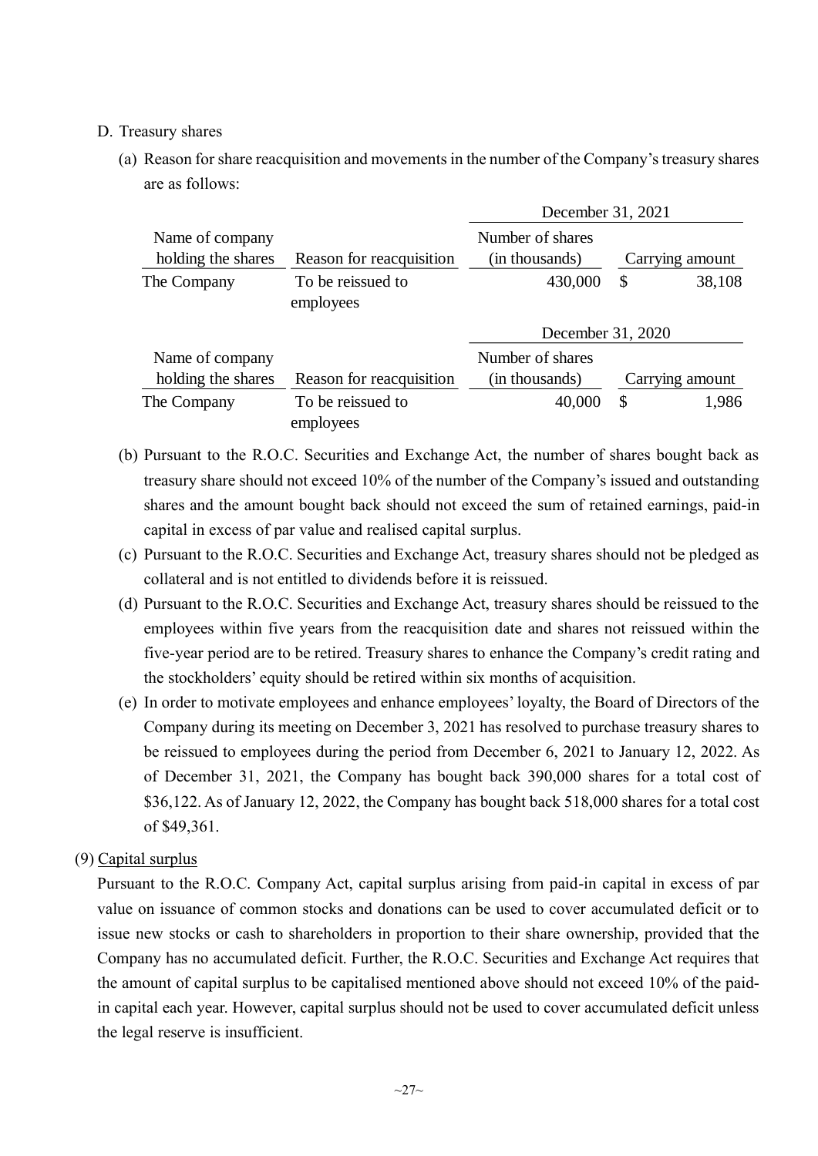#### D. Treasury shares

(a) Reason for share reacquisition and movements in the number of the Company's treasury shares are as follows:

|                    |                                | December 31, 2021 |    |                 |  |  |
|--------------------|--------------------------------|-------------------|----|-----------------|--|--|
| Name of company    |                                | Number of shares  |    |                 |  |  |
| holding the shares | Reason for reacquisition       | (in thousands)    |    | Carrying amount |  |  |
| The Company        | To be reissued to<br>employees | 430,000           | \$ | 38,108          |  |  |
|                    |                                | December 31, 2020 |    |                 |  |  |
| Name of company    |                                | Number of shares  |    |                 |  |  |
| holding the shares | Reason for reacquisition       | (in thousands)    |    | Carrying amount |  |  |
| The Company        | To be reissued to<br>employees | 40,000            | \$ | 1,986           |  |  |

- (b) Pursuant to the R.O.C. Securities and Exchange Act, the number of shares bought back as treasury share should not exceed 10% of the number of the Company's issued and outstanding shares and the amount bought back should not exceed the sum of retained earnings, paid-in capital in excess of par value and realised capital surplus.
- (c) Pursuant to the R.O.C. Securities and Exchange Act, treasury shares should not be pledged as collateral and is not entitled to dividends before it is reissued.
- (d) Pursuant to the R.O.C. Securities and Exchange Act, treasury shares should be reissued to the employees within five years from the reacquisition date and shares not reissued within the five-year period are to be retired. Treasury shares to enhance the Company's credit rating and the stockholders' equity should be retired within six months of acquisition.
- (e) In order to motivate employees and enhance employees' loyalty, the Board of Directors of the Company during its meeting on December 3, 2021 has resolved to purchase treasury shares to be reissued to employees during the period from December 6, 2021 to January 12, 2022. As of December 31, 2021, the Company has bought back 390,000 shares for a total cost of \$36,122. As of January 12, 2022, the Company has bought back 518,000 shares for a total cost of \$49,361.

## (9) Capital surplus

Pursuant to the R.O.C. Company Act, capital surplus arising from paid-in capital in excess of par value on issuance of common stocks and donations can be used to cover accumulated deficit or to issue new stocks or cash to shareholders in proportion to their share ownership, provided that the Company has no accumulated deficit. Further, the R.O.C. Securities and Exchange Act requires that the amount of capital surplus to be capitalised mentioned above should not exceed 10% of the paidin capital each year. However, capital surplus should not be used to cover accumulated deficit unless the legal reserve is insufficient.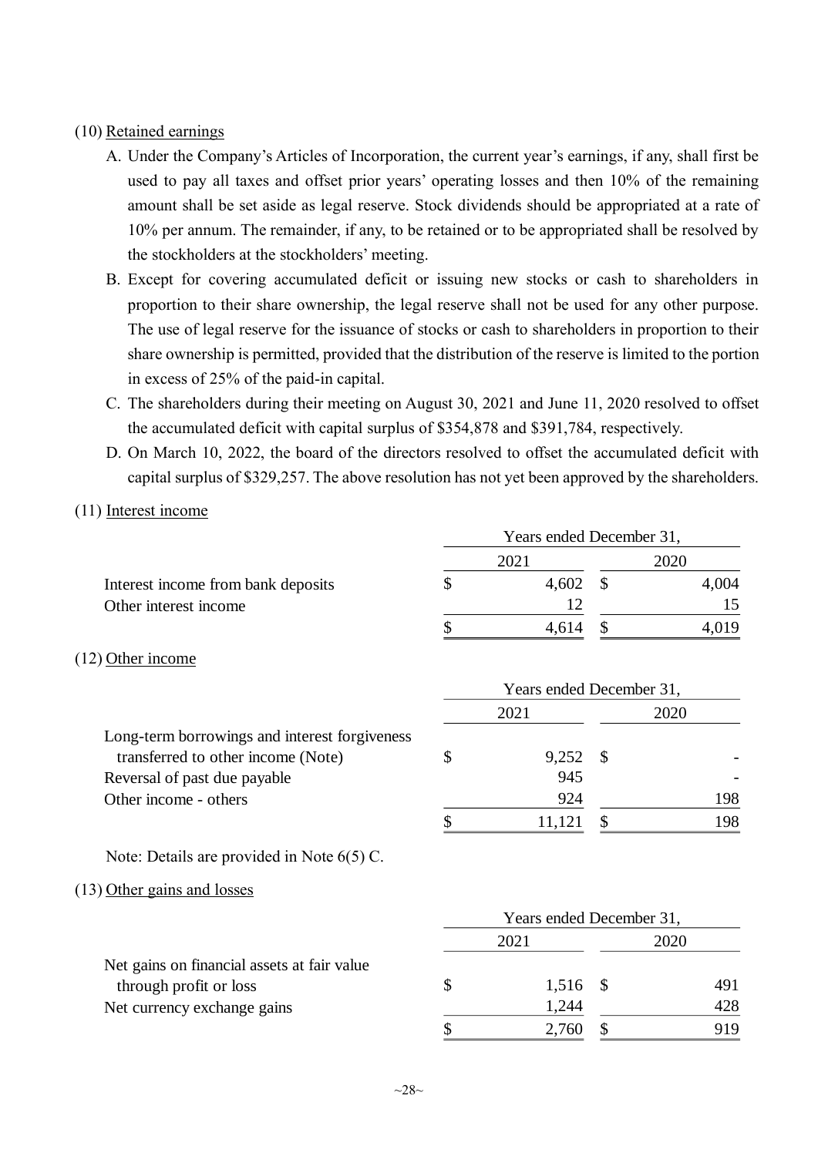#### (10) Retained earnings

- A. Under the Company's Articles of Incorporation, the current year's earnings, if any, shall first be used to pay all taxes and offset prior years' operating losses and then 10% of the remaining amount shall be set aside as legal reserve. Stock dividends should be appropriated at a rate of 10% per annum. The remainder, if any, to be retained or to be appropriated shall be resolved by the stockholders at the stockholders' meeting.
- B. Except for covering accumulated deficit or issuing new stocks or cash to shareholders in proportion to their share ownership, the legal reserve shall not be used for any other purpose. The use of legal reserve for the issuance of stocks or cash to shareholders in proportion to their share ownership is permitted, provided that the distribution of the reserve is limited to the portion in excess of 25% of the paid-in capital.
- C. The shareholders during their meeting on August 30, 2021 and June 11, 2020 resolved to offset the accumulated deficit with capital surplus of \$354,878 and \$391,784, respectively.
- D. On March 10, 2022, the board of the directors resolved to offset the accumulated deficit with capital surplus of \$329,257. The above resolution has not yet been approved by the shareholders.

#### (11) Interest income

|                                    | Years ended December 31, |       |  |       |  |  |
|------------------------------------|--------------------------|-------|--|-------|--|--|
|                                    | 2021                     | 2020  |  |       |  |  |
| Interest income from bank deposits |                          | 4,602 |  | 4,004 |  |  |
| Other interest income              |                          |       |  |       |  |  |
|                                    |                          | 4.614 |  | 4.019 |  |  |

#### (12) Other income

|                                               |      | I CAIS CHUCU D'OUCHIDEL JI, |  |      |  |  |
|-----------------------------------------------|------|-----------------------------|--|------|--|--|
|                                               | 2021 |                             |  | 2020 |  |  |
| Long-term borrowings and interest forgiveness |      |                             |  |      |  |  |
| transferred to other income (Note)            |      | $9,252$ \$                  |  |      |  |  |
| Reversal of past due payable                  |      | 945                         |  |      |  |  |
| Other income - others                         |      | 924                         |  | 198. |  |  |
|                                               |      |                             |  | 198  |  |  |

Years ended December 31,

Years ended December 31,

Note: Details are provided in Note 6(5) C.

#### (13) Other gains and losses

|                                             | 2021 |            | 2020 |     |  |
|---------------------------------------------|------|------------|------|-----|--|
| Net gains on financial assets at fair value |      |            |      |     |  |
| through profit or loss                      | S    | $1,516$ \$ |      | 491 |  |
| Net currency exchange gains                 |      | 1,244      |      | 428 |  |
|                                             |      | 2,760      |      | 919 |  |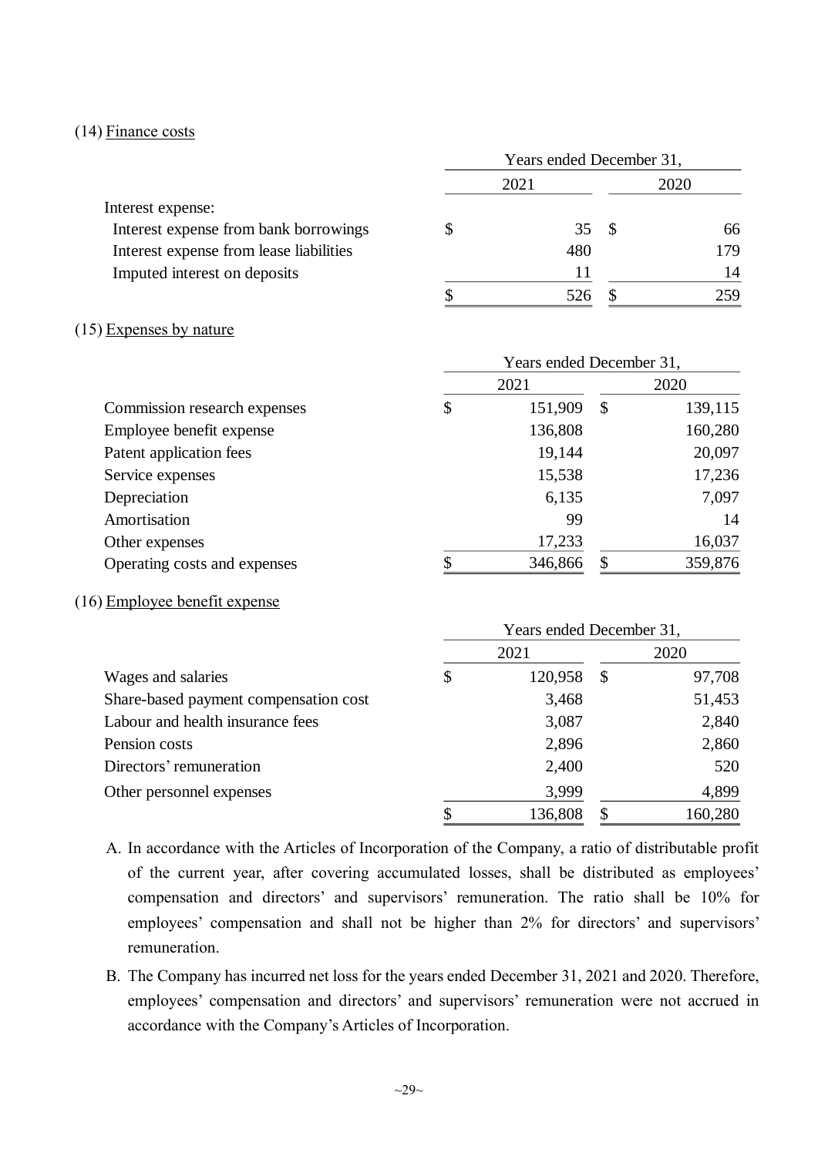#### (14) Finance costs

|                                         | Years ended December 31, |      |      |     |  |
|-----------------------------------------|--------------------------|------|------|-----|--|
|                                         |                          | 2021 | 2020 |     |  |
| Interest expense:                       |                          |      |      |     |  |
| Interest expense from bank borrowings   |                          | 35   | - \$ | 66  |  |
| Interest expense from lease liabilities |                          | 480  |      | 179 |  |
| Imputed interest on deposits            |                          | 11   |      | 14  |  |
|                                         |                          |      |      | 259 |  |

#### (15) Expenses by nature

|                              | Years ended December 31, |         |               |         |  |  |
|------------------------------|--------------------------|---------|---------------|---------|--|--|
|                              |                          | 2021    |               | 2020    |  |  |
| Commission research expenses | \$                       | 151,909 | $\mathcal{S}$ | 139,115 |  |  |
| Employee benefit expense     |                          | 136,808 |               | 160,280 |  |  |
| Patent application fees      |                          | 19,144  |               | 20,097  |  |  |
| Service expenses             |                          | 15,538  |               | 17,236  |  |  |
| Depreciation                 |                          | 6,135   |               | 7,097   |  |  |
| Amortisation                 |                          | 99      |               | 14      |  |  |
| Other expenses               |                          | 17,233  |               | 16,037  |  |  |
| Operating costs and expenses | ¢                        | 346,866 |               | 359,876 |  |  |

## (16) Employee benefit expense

|                                       | Years ended December 31, |         |    |         |  |
|---------------------------------------|--------------------------|---------|----|---------|--|
|                                       |                          | 2021    |    | 2020    |  |
| Wages and salaries                    | \$                       | 120,958 | \$ | 97,708  |  |
| Share-based payment compensation cost |                          | 3,468   |    | 51,453  |  |
| Labour and health insurance fees      |                          | 3,087   |    | 2,840   |  |
| Pension costs                         |                          | 2,896   |    | 2,860   |  |
| Directors' remuneration               |                          | 2,400   |    | 520     |  |
| Other personnel expenses              |                          | 3,999   |    | 4,899   |  |
|                                       |                          | 136,808 |    | 160,280 |  |

- A. In accordance with the Articles of Incorporation of the Company, a ratio of distributable profit of the current year, after covering accumulated losses, shall be distributed as employees' compensation and directors' and supervisors' remuneration. The ratio shall be 10% for employees' compensation and shall not be higher than 2% for directors' and supervisors' remuneration.
- B. The Company has incurred net loss for the years ended December 31, 2021 and 2020. Therefore, employees' compensation and directors' and supervisors' remuneration were not accrued in accordance with the Company's Articles of Incorporation.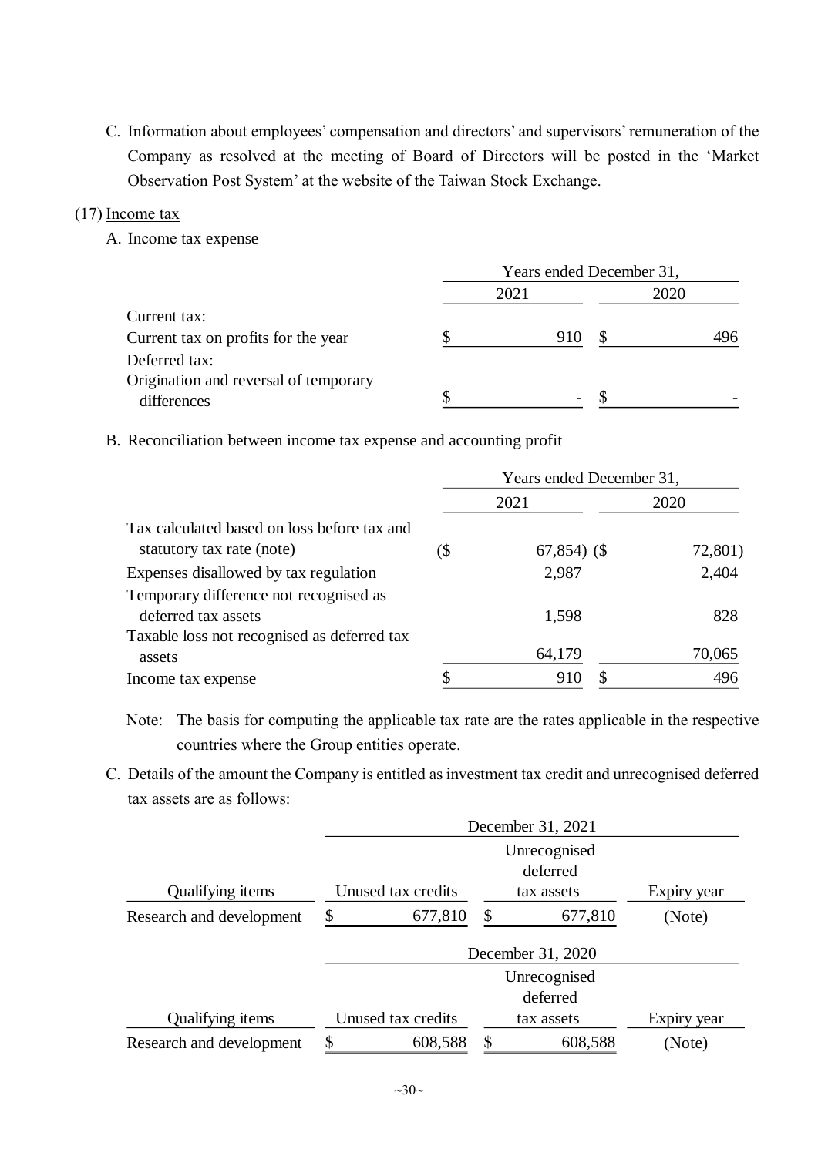C. Information about employees' compensation and directors' and supervisors' remuneration of the Company as resolved at the meeting of Board of Directors will be posted in the 'Market Observation Post System' at the website of the Taiwan Stock Exchange.

#### $(17)$  Income tax

A. Income tax expense

|                                       | Years ended December 31, |                          |      |     |  |  |
|---------------------------------------|--------------------------|--------------------------|------|-----|--|--|
|                                       |                          | 2021                     | 2020 |     |  |  |
| Current tax:                          |                          |                          |      |     |  |  |
| Current tax on profits for the year   |                          | 910                      |      | 496 |  |  |
| Deferred tax:                         |                          |                          |      |     |  |  |
| Origination and reversal of temporary |                          |                          |      |     |  |  |
| differences                           |                          | $\overline{\phantom{0}}$ |      |     |  |  |

B. Reconciliation between income tax expense and accounting profit

|                                                                          | Years ended December 31, |                |  |         |  |  |
|--------------------------------------------------------------------------|--------------------------|----------------|--|---------|--|--|
|                                                                          | 2021                     |                |  | 2020    |  |  |
| Tax calculated based on loss before tax and<br>statutory tax rate (note) | (\$                      | $67,854$ ) (\$ |  | 72,801) |  |  |
| Expenses disallowed by tax regulation                                    |                          | 2,987          |  | 2,404   |  |  |
| Temporary difference not recognised as<br>deferred tax assets            |                          | 1,598          |  | 828     |  |  |
| Taxable loss not recognised as deferred tax<br>assets                    |                          | 64,179         |  | 70,065  |  |  |
| Income tax expense                                                       |                          | 910            |  | 496     |  |  |

Note: The basis for computing the applicable tax rate are the rates applicable in the respective countries where the Group entities operate.

C. Details of the amount the Company is entitled as investment tax credit and unrecognised deferred tax assets are as follows:

|                          | December 31, 2021        |               |             |  |  |  |  |
|--------------------------|--------------------------|---------------|-------------|--|--|--|--|
|                          | Unrecognised<br>deferred |               |             |  |  |  |  |
| Qualifying items         | Unused tax credits       | tax assets    | Expiry year |  |  |  |  |
| Research and development | \$<br>677,810            | \$<br>677,810 | (Note)      |  |  |  |  |
|                          | December 31, 2020        |               |             |  |  |  |  |
|                          |                          | Unrecognised  |             |  |  |  |  |
|                          |                          | deferred      |             |  |  |  |  |
| Qualifying items         | Unused tax credits       | tax assets    | Expiry year |  |  |  |  |
| Research and development | \$<br>608,588            | \$<br>608,588 | (Note)      |  |  |  |  |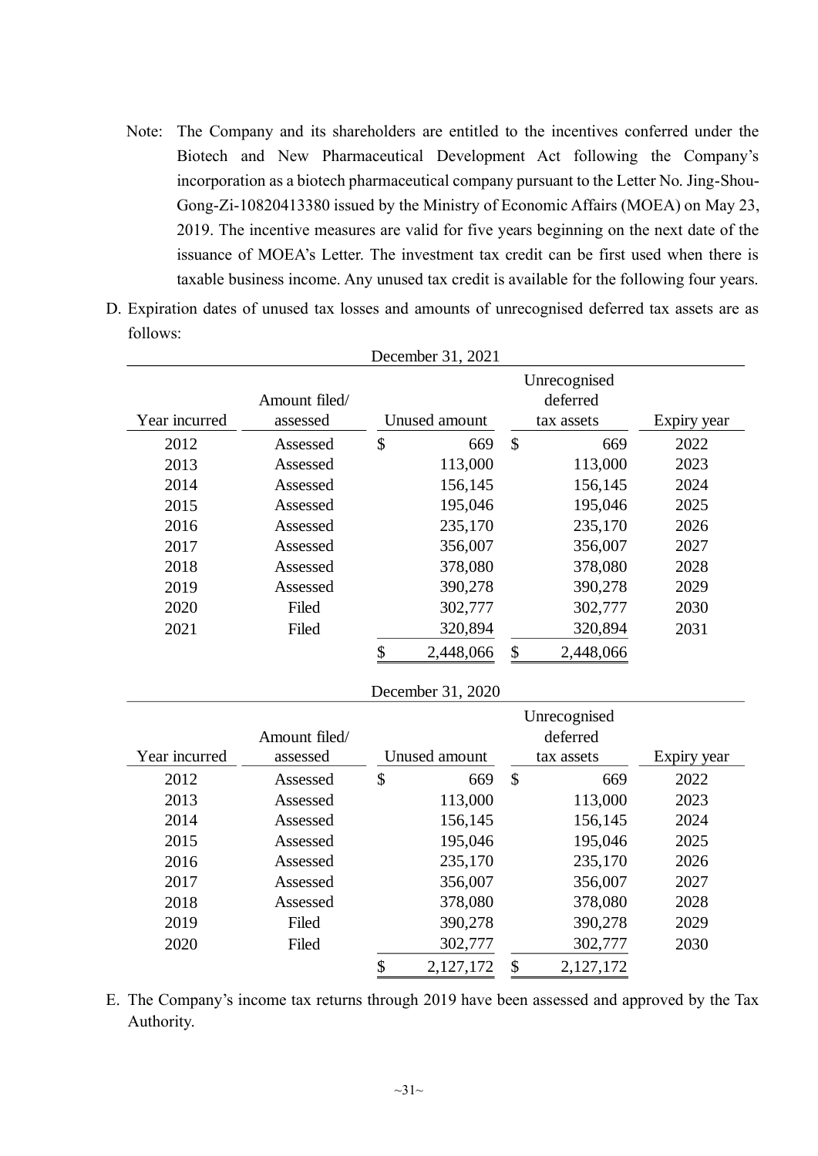- Note: The Company and its shareholders are entitled to the incentives conferred under the Biotech and New Pharmaceutical Development Act following the Company's incorporation as a biotech pharmaceutical company pursuant to the Letter No. Jing-Shou-Gong-Zi-10820413380 issued by the Ministry of Economic Affairs (MOEA) on May 23, 2019. The incentive measures are valid for five years beginning on the next date of the issuance of MOEA's Letter. The investment tax credit can be first used when there is taxable business income. Any unused tax credit is available for the following four years.
- D. Expiration dates of unused tax losses and amounts of unrecognised deferred tax assets are as follows:

December 31, 2021

|               |               |                            | DUULIIUU 91, 2021 |               |              |             |
|---------------|---------------|----------------------------|-------------------|---------------|--------------|-------------|
|               |               |                            |                   |               | Unrecognised |             |
|               | Amount filed/ |                            |                   |               | deferred     |             |
| Year incurred | assessed      |                            | Unused amount     |               | tax assets   | Expiry year |
| 2012          | Assessed      | \$                         | 669               | $\mathsf{\$}$ | 669          | 2022        |
| 2013          | Assessed      |                            | 113,000           |               | 113,000      | 2023        |
| 2014          | Assessed      |                            | 156,145           |               | 156,145      | 2024        |
| 2015          | Assessed      |                            | 195,046           |               | 195,046      | 2025        |
| 2016          | Assessed      |                            | 235,170           |               | 235,170      | 2026        |
| 2017          | Assessed      |                            | 356,007           |               | 356,007      | 2027        |
| 2018          | Assessed      |                            | 378,080           |               | 378,080      | 2028        |
| 2019          | Assessed      |                            | 390,278           |               | 390,278      | 2029        |
| 2020          | Filed         |                            | 302,777           |               | 302,777      | 2030        |
| 2021          | Filed         |                            | 320,894           |               | 320,894      | 2031        |
|               |               | \$                         | 2,448,066         | \$            | 2,448,066    |             |
|               |               |                            |                   |               |              |             |
|               |               |                            | December 31, 2020 |               |              |             |
|               |               |                            |                   |               | Unrecognised |             |
|               | Amount filed/ |                            |                   |               | deferred     |             |
| Year incurred | assessed      |                            | Unused amount     |               | tax assets   | Expiry year |
| 2012          | Assessed      | $\boldsymbol{\mathsf{\$}}$ | 669               | $\mathsf{\$}$ | 669          | 2022        |
| 2013          | Assessed      |                            | 113,000           |               | 113,000      | 2023        |
| 2014          | Assessed      |                            | 156,145           |               | 156,145      | 2024        |
| 2015          | Assessed      |                            | 195,046           |               | 195,046      | 2025        |
| 2016          | Assessed      |                            | 235,170           |               | 235,170      | 2026        |
| 2017          | Assessed      |                            | 356,007           |               | 356,007      | 2027        |
| 2018          | Assessed      |                            | 378,080           |               | 378,080      | 2028        |
| 2019          | Filed         |                            | 390,278           |               | 390,278      | 2029        |
| 2020          | Filed         |                            | 302,777           |               | 302,777      | 2030        |
|               |               | \$                         | 2,127,172         | \$            | 2,127,172    |             |

E. The Company's income tax returns through 2019 have been assessed and approved by the Tax Authority.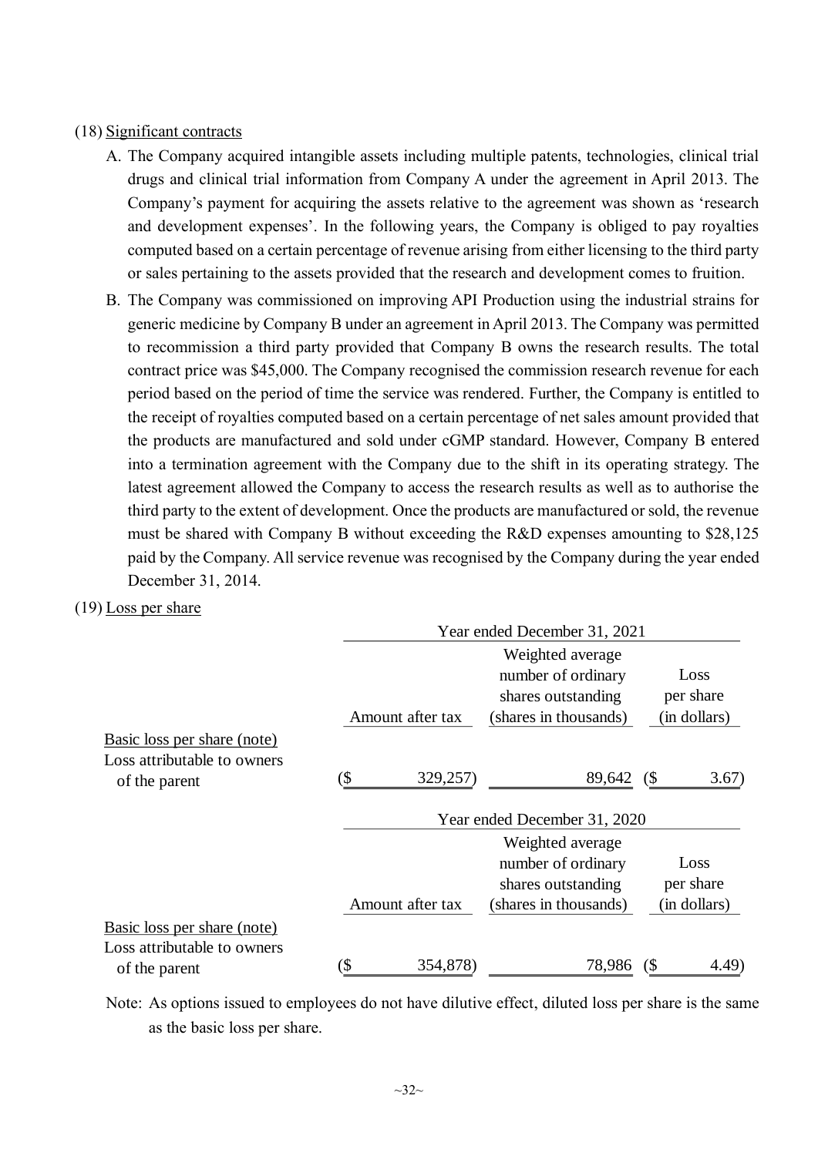#### (18) Significant contracts

- A. The Company acquired intangible assets including multiple patents, technologies, clinical trial drugs and clinical trial information from Company A under the agreement in April 2013. The Company's payment for acquiring the assets relative to the agreement was shown as 'research and development expenses'. In the following years, the Company is obliged to pay royalties computed based on a certain percentage of revenue arising from either licensing to the third party or sales pertaining to the assets provided that the research and development comes to fruition.
- B. The Company was commissioned on improving API Production using the industrial strains for generic medicine by Company B under an agreement in April 2013. The Company was permitted to recommission a third party provided that Company B owns the research results. The total contract price was \$45,000. The Company recognised the commission research revenue for each period based on the period of time the service was rendered. Further, the Company is entitled to the receipt of royalties computed based on a certain percentage of net sales amount provided that the products are manufactured and sold under cGMP standard. However, Company B entered into a termination agreement with the Company due to the shift in its operating strategy. The latest agreement allowed the Company to access the research results as well as to authorise the third party to the extent of development. Once the products are manufactured or sold, the revenue must be shared with Company B without exceeding the R&D expenses amounting to \$28,125 paid by the Company. All service revenue was recognised by the Company during the year ended December 31, 2014.
- (19) Loss per share

|                                                                             | Year ended December 31, 2021 |                  |                                                                                       |                                   |  |  |  |
|-----------------------------------------------------------------------------|------------------------------|------------------|---------------------------------------------------------------------------------------|-----------------------------------|--|--|--|
|                                                                             |                              | Amount after tax | Weighted average<br>number of ordinary<br>shares outstanding<br>(shares in thousands) | Loss<br>per share<br>(in dollars) |  |  |  |
| Basic loss per share (note)<br>Loss attributable to owners<br>of the parent | (\$                          | 329,257)         | 89,642<br>Year ended December 31, 2020                                                | (S<br>3.67)                       |  |  |  |
|                                                                             |                              | Amount after tax | Weighted average<br>number of ordinary<br>shares outstanding<br>(shares in thousands) | Loss<br>per share<br>(in dollars) |  |  |  |
| Basic loss per share (note)<br>Loss attributable to owners<br>of the parent | (\$                          | 354,878)         | 78,986                                                                                | $($ \$<br>(4.49)                  |  |  |  |

Note: As options issued to employees do not have dilutive effect, diluted loss per share is the same as the basic loss per share.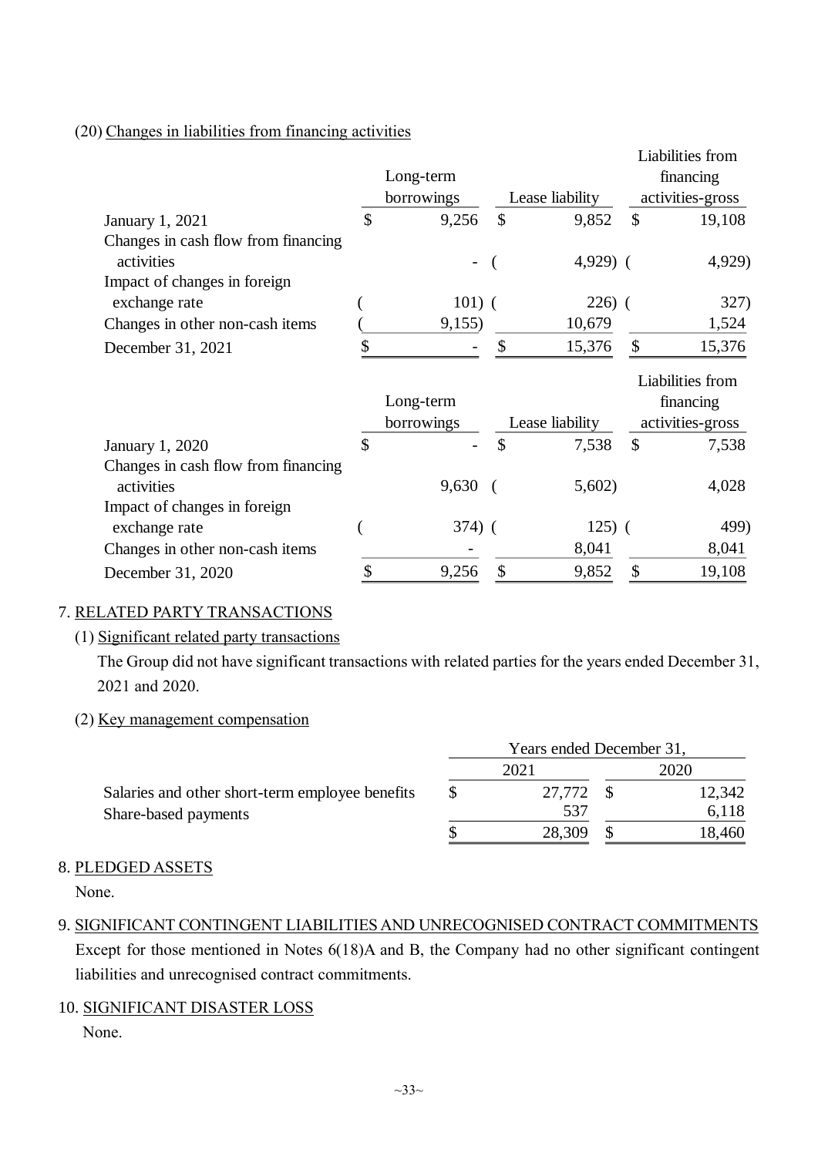#### (20) Changes in liabilities from financing activities

|                                     |               |            |               |                 |                  | Liabilities from              |
|-------------------------------------|---------------|------------|---------------|-----------------|------------------|-------------------------------|
|                                     |               | Long-term  |               |                 |                  | financing                     |
|                                     |               | borrowings |               | Lease liability | activities-gross |                               |
| January 1, 2021                     | $\mathcal{S}$ | 9,256      | $\mathcal{S}$ | 9,852           | \$               | 19,108                        |
| Changes in cash flow from financing |               |            |               |                 |                  |                               |
| activities                          |               |            |               | $4,929$ (       |                  | 4,929)                        |
| Impact of changes in foreign        |               |            |               |                 |                  |                               |
| exchange rate                       |               | $101)$ (   |               | $226)$ (        |                  | 327)                          |
| Changes in other non-cash items     |               | 9,155      |               | 10,679          |                  | 1,524                         |
| December 31, 2021                   | \$            |            | \$            | 15,376          | \$               | 15,376                        |
|                                     |               | Long-term  |               |                 |                  | Liabilities from<br>financing |
|                                     |               | borrowings |               | Lease liability |                  | activities-gross              |
| January 1, 2020                     | \$            |            | \$            | 7,538           | $\mathcal{S}$    | 7,538                         |
| Changes in cash flow from financing |               |            |               |                 |                  |                               |
| activities                          |               | 9,630      |               | 5,602)          |                  | 4,028                         |
| Impact of changes in foreign        |               |            |               |                 |                  |                               |
| exchange rate                       |               | $374)$ (   |               | $125)$ (        |                  | 499)                          |
| Changes in other non-cash items     |               |            |               | 8,041           |                  | 8,041                         |
| December 31, 2020                   |               | 9,256      | \$            | 9,852           | \$               | 19,108                        |

## 7. RELATED PARTY TRANSACTIONS

#### (1) Significant related party transactions

The Group did not have significant transactions with related parties for the years ended December 31, 2021 and 2020.

#### (2) Key management compensation

|                                                 | Years ended December 31, |        |  |        |  |
|-------------------------------------------------|--------------------------|--------|--|--------|--|
|                                                 |                          | 2021   |  | 2020   |  |
| Salaries and other short-term employee benefits |                          | 27,772 |  | 12,342 |  |
| Share-based payments                            |                          | 537    |  | 6,118  |  |
|                                                 |                          | 28,309 |  | 18,460 |  |

### 8. PLEDGED ASSETS

None.

9. SIGNIFICANT CONTINGENT LIABILITIES AND UNRECOGNISED CONTRACT COMMITMENTS Except for those mentioned in Notes 6(18)A and B, the Company had no other significant contingent liabilities and unrecognised contract commitments.

### 10. SIGNIFICANT DISASTER LOSS

None.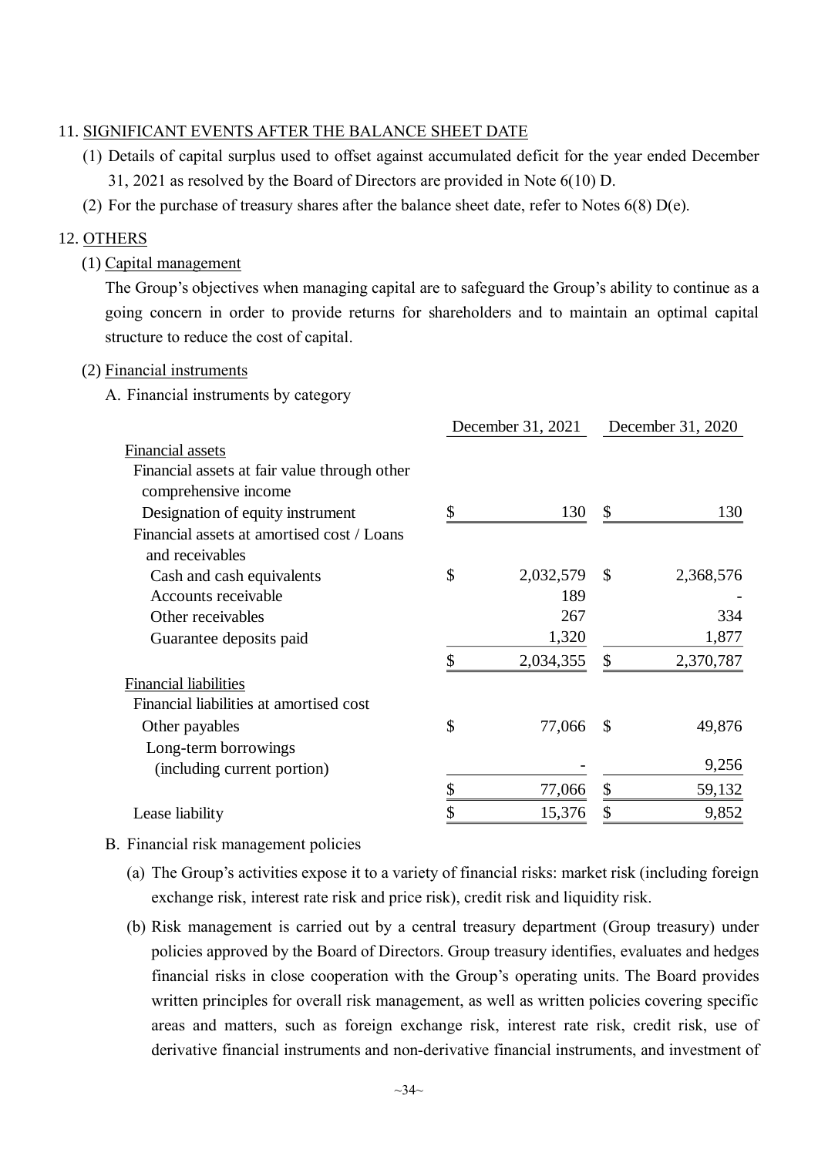#### 11. SIGNIFICANT EVENTS AFTER THE BALANCE SHEET DATE

- (1) Details of capital surplus used to offset against accumulated deficit for the year ended December 31, 2021 as resolved by the Board of Directors are provided in Note 6(10) D.
- (2) For the purchase of treasury shares after the balance sheet date, refer to Notes  $6(8)$  D(e).

#### 12. OTHERS

(1) Capital management

The Group's objectives when managing capital are to safeguard the Group's ability to continue as a going concern in order to provide returns for shareholders and to maintain an optimal capital structure to reduce the cost of capital.

#### (2) Financial instruments

A. Financial instruments by category

| December 31, 2021 |           | December 31, 2020         |           |
|-------------------|-----------|---------------------------|-----------|
|                   |           |                           |           |
|                   |           |                           |           |
|                   |           |                           |           |
| \$                | 130       | \$                        | 130       |
|                   |           |                           |           |
| \$                | 2,032,579 | $\boldsymbol{\mathsf{S}}$ | 2,368,576 |
|                   | 189       |                           |           |
|                   | 267       |                           | 334       |
|                   | 1,320     |                           | 1,877     |
| \$                | 2,034,355 | \$                        | 2,370,787 |
|                   |           |                           |           |
|                   |           |                           |           |
| \$                | 77,066    | $\boldsymbol{\mathsf{S}}$ | 49,876    |
|                   |           |                           |           |
|                   |           |                           | 9,256     |
|                   | 77,066    | \$                        | 59,132    |
|                   | 15,376    | \$                        | 9,852     |
|                   |           |                           |           |

#### B. Financial risk management policies

- (a) The Group's activities expose it to a variety of financial risks: market risk (including foreign exchange risk, interest rate risk and price risk), credit risk and liquidity risk.
- (b) Risk management is carried out by a central treasury department (Group treasury) under policies approved by the Board of Directors. Group treasury identifies, evaluates and hedges financial risks in close cooperation with the Group's operating units. The Board provides written principles for overall risk management, as well as written policies covering specific areas and matters, such as foreign exchange risk, interest rate risk, credit risk, use of derivative financial instruments and non-derivative financial instruments, and investment of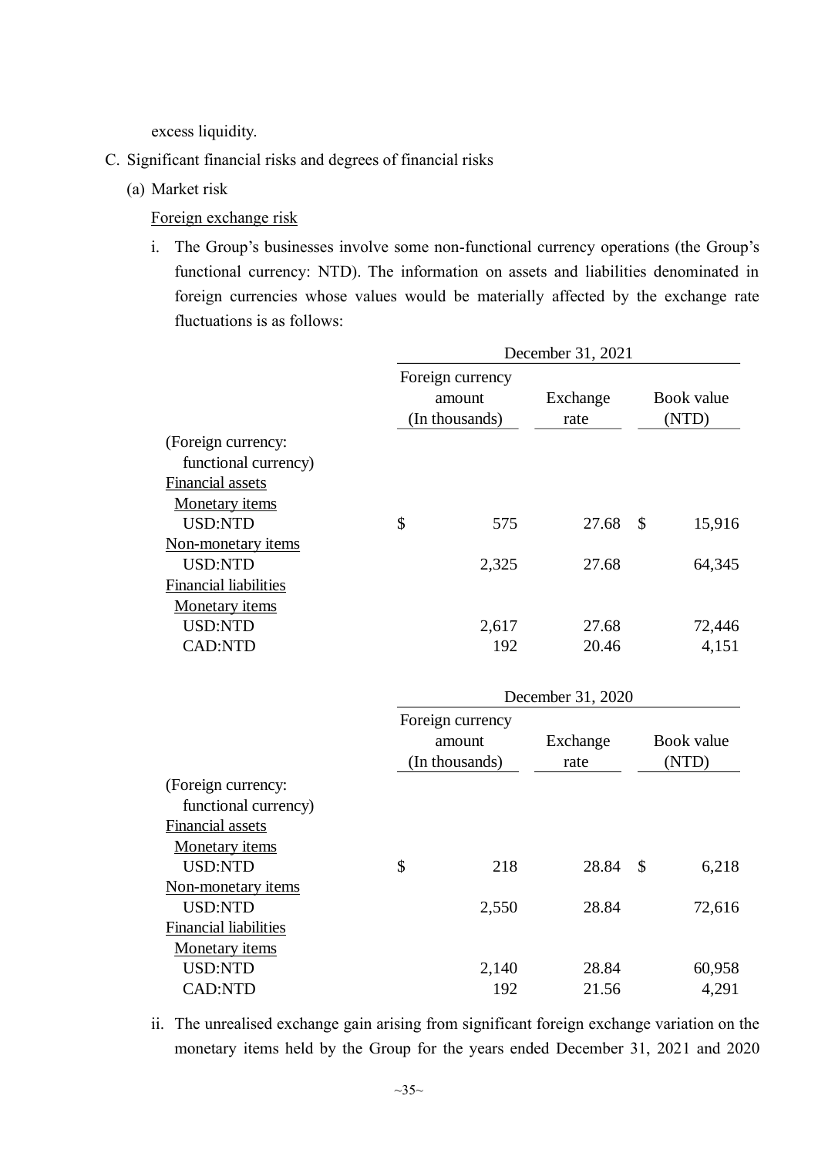excess liquidity.

- C. Significant financial risks and degrees of financial risks
	- (a) Market risk

Foreign exchange risk

i. The Group's businesses involve some non-functional currency operations (the Group's functional currency: NTD). The information on assets and liabilities denominated in foreign currencies whose values would be materially affected by the exchange rate fluctuations is as follows:

|                                            | December 31, 2021                            |                  |                  |                     |            |  |  |
|--------------------------------------------|----------------------------------------------|------------------|------------------|---------------------|------------|--|--|
|                                            | Foreign currency<br>amount<br>(In thousands) |                  | Exchange<br>rate | Book value<br>(NTD) |            |  |  |
| (Foreign currency:<br>functional currency) |                                              |                  |                  |                     |            |  |  |
| Financial assets                           |                                              |                  |                  |                     |            |  |  |
| <b>Monetary</b> items                      |                                              |                  |                  |                     |            |  |  |
| <b>USD:NTD</b>                             | \$                                           | 575              | 27.68            | $\mathcal{S}$       | 15,916     |  |  |
| Non-monetary items                         |                                              |                  |                  |                     |            |  |  |
| <b>USD:NTD</b>                             |                                              | 2,325            | 27.68            |                     | 64,345     |  |  |
| <b>Financial liabilities</b>               |                                              |                  |                  |                     |            |  |  |
| Monetary items                             |                                              |                  |                  |                     |            |  |  |
| <b>USD:NTD</b>                             |                                              | 2,617            | 27.68            |                     | 72,446     |  |  |
| <b>CAD:NTD</b>                             |                                              | 192              | 20.46            |                     | 4,151      |  |  |
|                                            | December 31, 2020                            |                  |                  |                     |            |  |  |
|                                            |                                              | Foreign currency |                  |                     |            |  |  |
|                                            |                                              | amount           | Exchange         |                     | Book value |  |  |
|                                            |                                              | (In thousands)   | rate             |                     | (NTD)      |  |  |
| (Foreign currency:<br>functional currency) |                                              |                  |                  |                     |            |  |  |
| <b>Financial assets</b>                    |                                              |                  |                  |                     |            |  |  |
| Monetary items                             |                                              |                  |                  |                     |            |  |  |
| <b>USD:NTD</b>                             | \$                                           | 218              | 28.84            | $\mathcal{S}$       | 6,218      |  |  |
| Non-monetary items                         |                                              |                  |                  |                     |            |  |  |
| <b>USD:NTD</b>                             |                                              | 2,550            | 28.84            |                     | 72,616     |  |  |
| <b>Financial liabilities</b>               |                                              |                  |                  |                     |            |  |  |
| Monetary items                             |                                              |                  |                  |                     |            |  |  |
| <b>USD:NTD</b>                             |                                              | 2,140            | 28.84            |                     | 60,958     |  |  |
| <b>CAD:NTD</b>                             |                                              | 192              | 21.56            |                     | 4,291      |  |  |

ii. The unrealised exchange gain arising from significant foreign exchange variation on the monetary items held by the Group for the years ended December 31, 2021 and 2020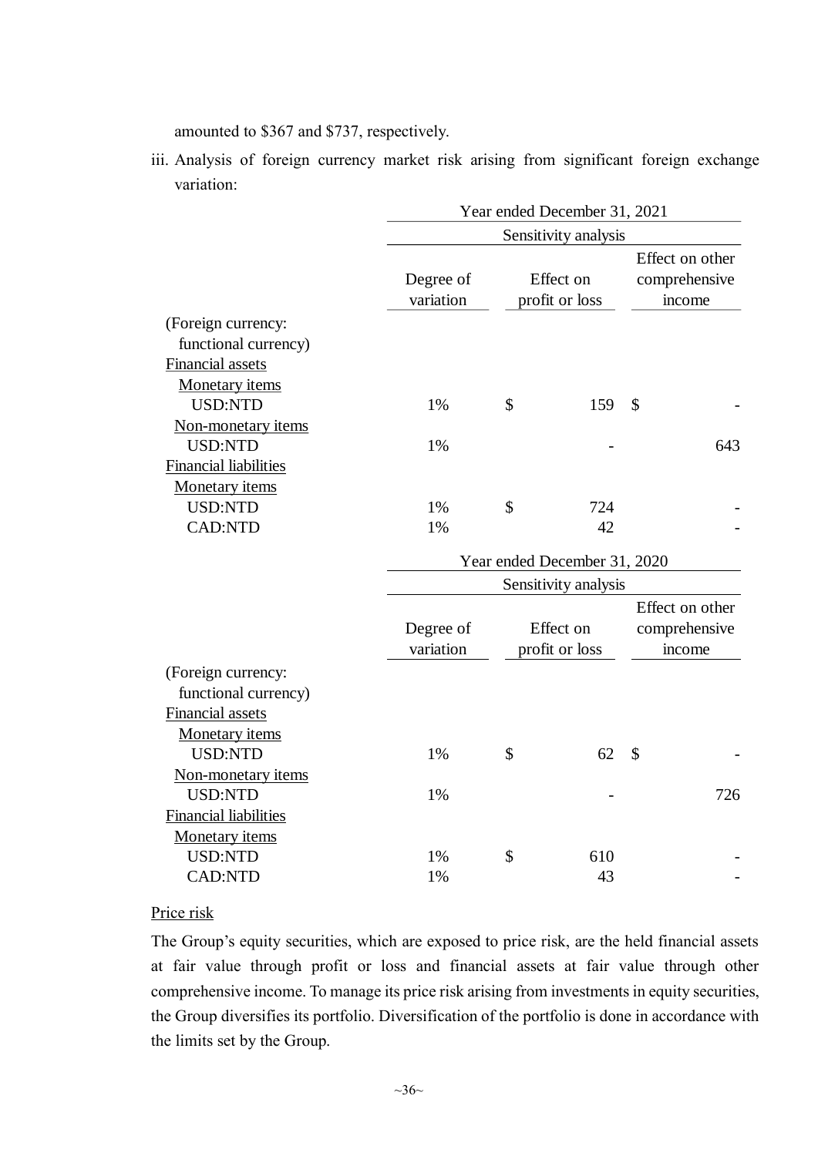amounted to \$367 and \$737, respectively.

iii. Analysis of foreign currency market risk arising from significant foreign exchange variation:

|                                                                                                           |                        | Year ended December 31, 2021 |                              |                                            |     |  |  |  |  |  |
|-----------------------------------------------------------------------------------------------------------|------------------------|------------------------------|------------------------------|--------------------------------------------|-----|--|--|--|--|--|
|                                                                                                           |                        |                              | Sensitivity analysis         |                                            |     |  |  |  |  |  |
|                                                                                                           | Degree of<br>variation |                              | Effect on<br>profit or loss  | Effect on other<br>comprehensive<br>income |     |  |  |  |  |  |
| (Foreign currency:<br>functional currency)<br>Financial assets<br><b>Monetary</b> items<br><b>USD:NTD</b> | 1%                     | \$                           | 159                          | \$                                         |     |  |  |  |  |  |
| Non-monetary items<br><b>USD:NTD</b><br><b>Financial liabilities</b>                                      | 1%                     |                              |                              |                                            | 643 |  |  |  |  |  |
| Monetary items<br><b>USD:NTD</b><br><b>CAD:NTD</b>                                                        | 1%<br>1%               | \$                           | 724<br>42                    |                                            |     |  |  |  |  |  |
|                                                                                                           |                        |                              | Year ended December 31, 2020 |                                            |     |  |  |  |  |  |
|                                                                                                           |                        | Sensitivity analysis         |                              |                                            |     |  |  |  |  |  |
|                                                                                                           | Degree of<br>variation |                              | Effect on<br>profit or loss  | Effect on other<br>comprehensive<br>income |     |  |  |  |  |  |
| (Foreign currency:<br>functional currency)<br>Financial assets<br><b>Monetary</b> items                   |                        |                              |                              |                                            |     |  |  |  |  |  |
| <b>USD:NTD</b><br>Non-monetary items                                                                      | 1%                     | \$                           | 62                           | $\mathcal{S}$                              |     |  |  |  |  |  |
| <b>USD:NTD</b><br><b>Financial liabilities</b><br>Monetary items                                          | 1%                     |                              |                              |                                            | 726 |  |  |  |  |  |
| <b>USD:NTD</b><br><b>CAD:NTD</b>                                                                          | 1%<br>1%               | \$                           | 610<br>43                    |                                            |     |  |  |  |  |  |

## Price risk

The Group's equity securities, which are exposed to price risk, are the held financial assets at fair value through profit or loss and financial assets at fair value through other comprehensive income. To manage its price risk arising from investments in equity securities, the Group diversifies its portfolio. Diversification of the portfolio is done in accordance with the limits set by the Group.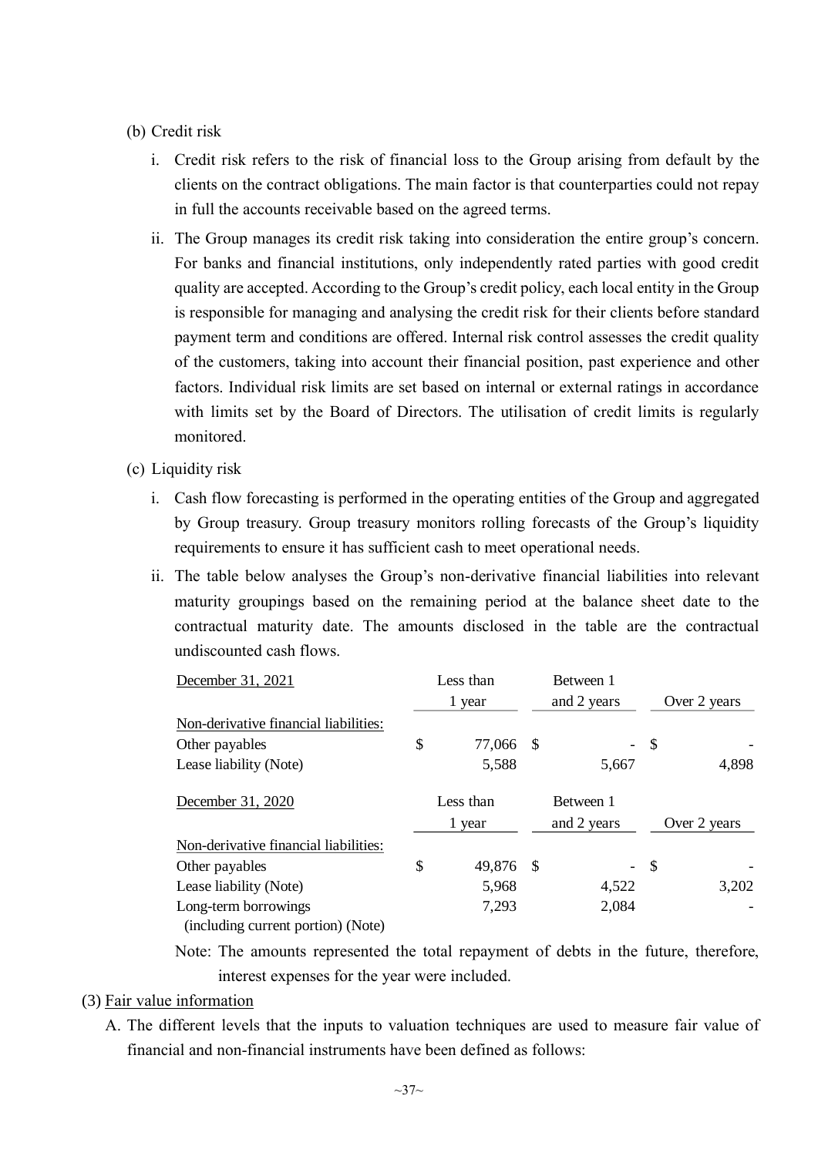#### (b) Credit risk

- i. Credit risk refers to the risk of financial loss to the Group arising from default by the clients on the contract obligations. The main factor is that counterparties could not repay in full the accounts receivable based on the agreed terms.
- ii. The Group manages its credit risk taking into consideration the entire group's concern. For banks and financial institutions, only independently rated parties with good credit quality are accepted. According to the Group's credit policy, each local entity in the Group is responsible for managing and analysing the credit risk for their clients before standard payment term and conditions are offered. Internal risk control assesses the credit quality of the customers, taking into account their financial position, past experience and other factors. Individual risk limits are set based on internal or external ratings in accordance with limits set by the Board of Directors. The utilisation of credit limits is regularly monitored.
- (c) Liquidity risk
	- i. Cash flow forecasting is performed in the operating entities of the Group and aggregated by Group treasury. Group treasury monitors rolling forecasts of the Group's liquidity requirements to ensure it has sufficient cash to meet operational needs.
	- ii. The table below analyses the Group's non-derivative financial liabilities into relevant maturity groupings based on the remaining period at the balance sheet date to the contractual maturity date. The amounts disclosed in the table are the contractual undiscounted cash flows.

| December 31, 2021                     |        | Less than |      | Between 1   |                           |              |  |
|---------------------------------------|--------|-----------|------|-------------|---------------------------|--------------|--|
|                                       | 1 year |           |      | and 2 years | Over 2 years              |              |  |
| Non-derivative financial liabilities: |        |           |      |             |                           |              |  |
| Other payables                        | \$     | 77,066    | - \$ |             | $\boldsymbol{\mathsf{S}}$ |              |  |
| Lease liability (Note)                |        | 5,588     |      | 5,667       |                           | 4,898        |  |
| December 31, 2020                     |        | Less than |      | Between 1   |                           |              |  |
|                                       | 1 year |           |      | and 2 years |                           | Over 2 years |  |
| Non-derivative financial liabilities: |        |           |      |             |                           |              |  |
| Other payables                        | \$     | 49,876 \$ |      |             | $-$ \$                    |              |  |
| Lease liability (Note)                |        | 5,968     |      | 4,522       |                           | 3,202        |  |
| Long-term borrowings                  |        | 7,293     |      | 2,084       |                           |              |  |
| (including current portion) (Note)    |        |           |      |             |                           |              |  |

Note: The amounts represented the total repayment of debts in the future, therefore, interest expenses for the year were included.

#### (3) Fair value information

A. The different levels that the inputs to valuation techniques are used to measure fair value of financial and non-financial instruments have been defined as follows: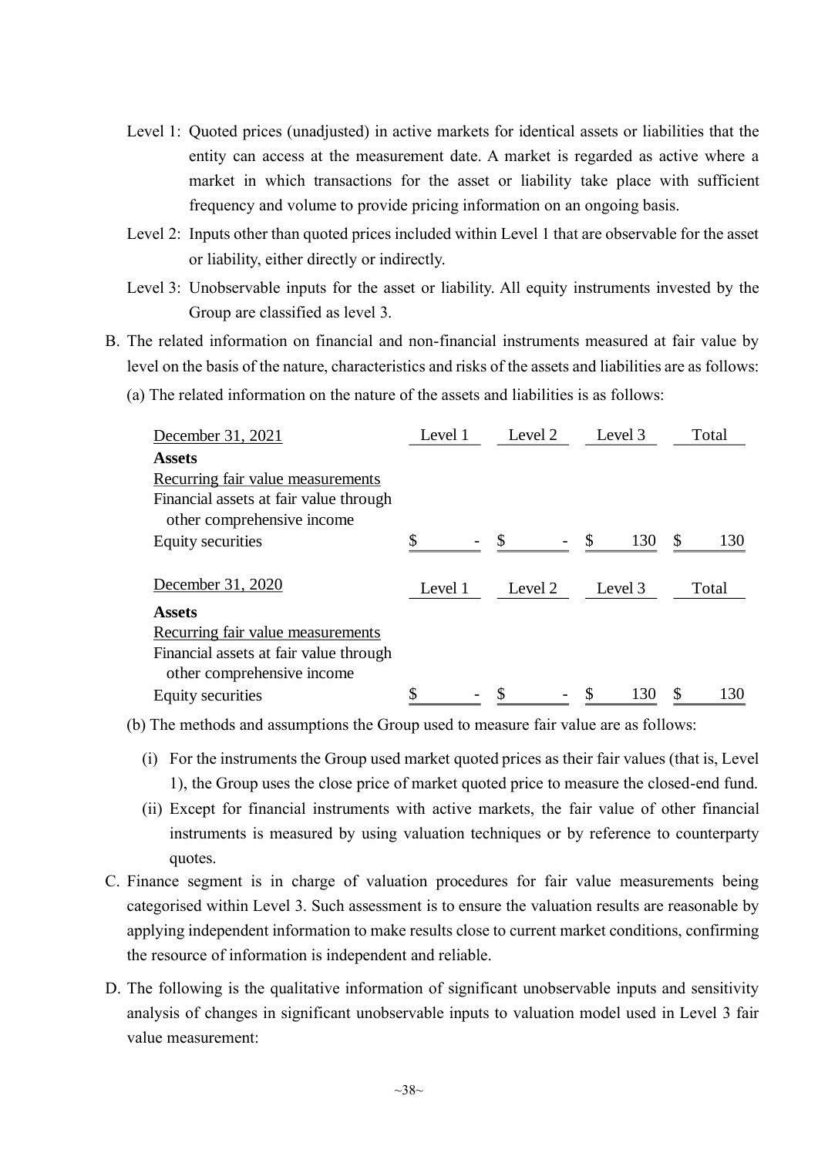- Level 1: Quoted prices (unadjusted) in active markets for identical assets or liabilities that the entity can access at the measurement date. A market is regarded as active where a market in which transactions for the asset or liability take place with sufficient frequency and volume to provide pricing information on an ongoing basis.
- Level 2: Inputs other than quoted prices included within Level 1 that are observable for the asset or liability, either directly or indirectly.
- Level 3: Unobservable inputs for the asset or liability. All equity instruments invested by the Group are classified as level 3.
- B. The related information on financial and non-financial instruments measured at fair value by level on the basis of the nature, characteristics and risks of the assets and liabilities are as follows:
	- (a) The related information on the nature of the assets and liabilities is as follows:

| December 31, 2021                      | Level 1 | Level 2 | Level 3  | Total     |
|----------------------------------------|---------|---------|----------|-----------|
| <b>Assets</b>                          |         |         |          |           |
| Recurring fair value measurements      |         |         |          |           |
| Financial assets at fair value through |         |         |          |           |
| other comprehensive income             |         |         |          |           |
| Equity securities                      |         |         | S<br>130 | \$<br>130 |
| December 31, 2020                      | Level 1 | Level 2 | Level 3  | Total     |
| <b>Assets</b>                          |         |         |          |           |
| Recurring fair value measurements      |         |         |          |           |
| Financial assets at fair value through |         |         |          |           |
| other comprehensive income             |         |         |          |           |
| Equity securities                      |         |         | 130      | \$<br>130 |

(b) The methods and assumptions the Group used to measure fair value are as follows:

- (i) For the instruments the Group used market quoted prices as their fair values (that is, Level 1), the Group uses the close price of market quoted price to measure the closed-end fund.
- (ii) Except for financial instruments with active markets, the fair value of other financial instruments is measured by using valuation techniques or by reference to counterparty quotes.
- C. Finance segment is in charge of valuation procedures for fair value measurements being categorised within Level 3. Such assessment is to ensure the valuation results are reasonable by applying independent information to make results close to current market conditions, confirming the resource of information is independent and reliable.
- D. The following is the qualitative information of significant unobservable inputs and sensitivity analysis of changes in significant unobservable inputs to valuation model used in Level 3 fair value measurement: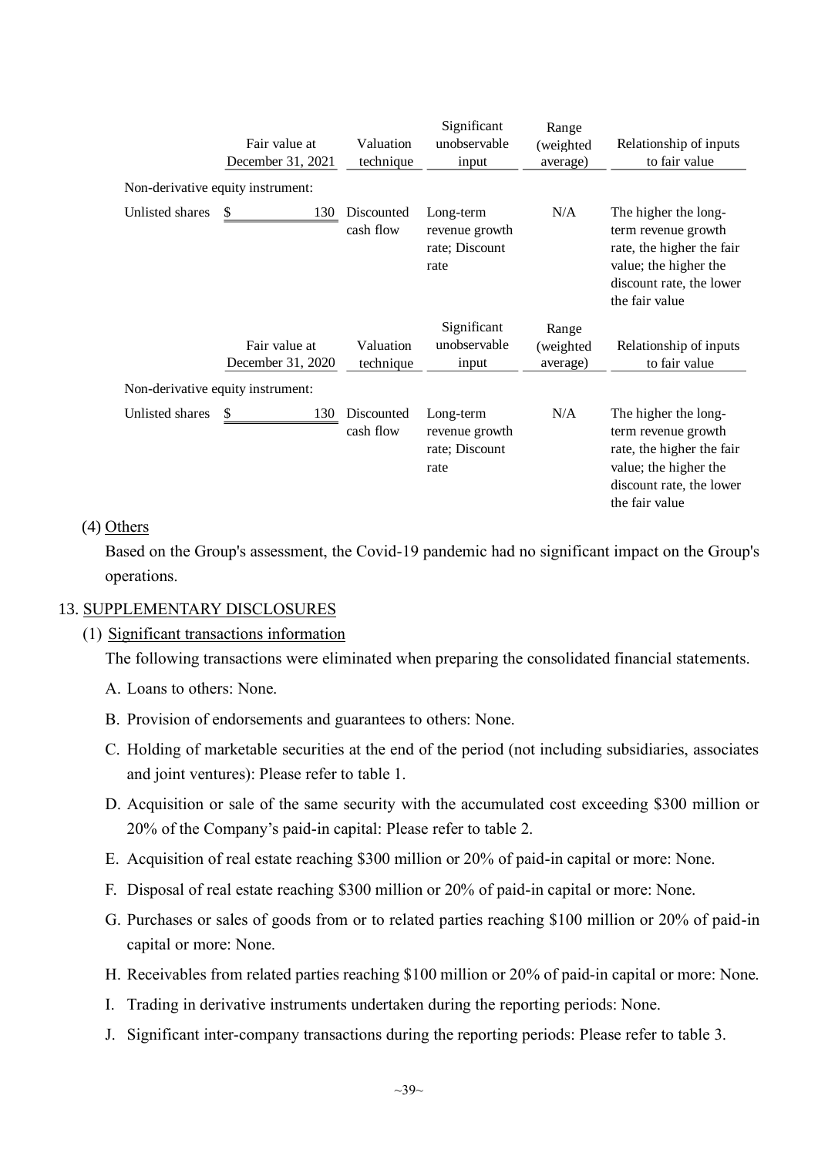|                 | Fair value at<br>December 31, 2021<br>Non-derivative equity instrument: | Valuation<br>technique  | Significant<br>unobservable<br>input                  | Range<br>(weighted)<br>average) | Relationship of inputs<br>to fair value                                                                                                         |
|-----------------|-------------------------------------------------------------------------|-------------------------|-------------------------------------------------------|---------------------------------|-------------------------------------------------------------------------------------------------------------------------------------------------|
| Unlisted shares | 130                                                                     | Discounted<br>cash flow | Long-term<br>revenue growth<br>rate; Discount<br>rate | N/A                             | The higher the long-<br>term revenue growth<br>rate, the higher the fair<br>value; the higher the<br>discount rate, the lower<br>the fair value |
|                 | Fair value at<br>December 31, 2020                                      | Valuation<br>technique  | Significant<br>unobservable<br>input                  | Range<br>(weighted)<br>average) | Relationship of inputs<br>to fair value                                                                                                         |
|                 | Non-derivative equity instrument:                                       |                         |                                                       |                                 |                                                                                                                                                 |
| Unlisted shares | \$<br>130                                                               | Discounted<br>cash flow | Long-term<br>revenue growth<br>rate; Discount<br>rate | N/A                             | The higher the long-<br>term revenue growth<br>rate, the higher the fair<br>value; the higher the<br>discount rate, the lower<br>the fair value |

#### (4) Others

Based on the Group's assessment, the Covid-19 pandemic had no significant impact on the Group's operations.

### 13. SUPPLEMENTARY DISCLOSURES

#### (1) Significant transactions information

The following transactions were eliminated when preparing the consolidated financial statements.

- A. Loans to others: None.
- B. Provision of endorsements and guarantees to others: None.
- C. Holding of marketable securities at the end of the period (not including subsidiaries, associates and joint ventures): Please refer to table 1.
- D. Acquisition or sale of the same security with the accumulated cost exceeding \$300 million or 20% of the Company's paid-in capital: Please refer to table 2.
- E. Acquisition of real estate reaching \$300 million or 20% of paid-in capital or more: None.
- F. Disposal of real estate reaching \$300 million or 20% of paid-in capital or more: None.
- G. Purchases or sales of goods from or to related parties reaching \$100 million or 20% of paid-in capital or more: None.
- H. Receivables from related parties reaching \$100 million or 20% of paid-in capital or more: None.
- I. Trading in derivative instruments undertaken during the reporting periods: None.
- J. Significant inter-company transactions during the reporting periods: Please refer to table 3.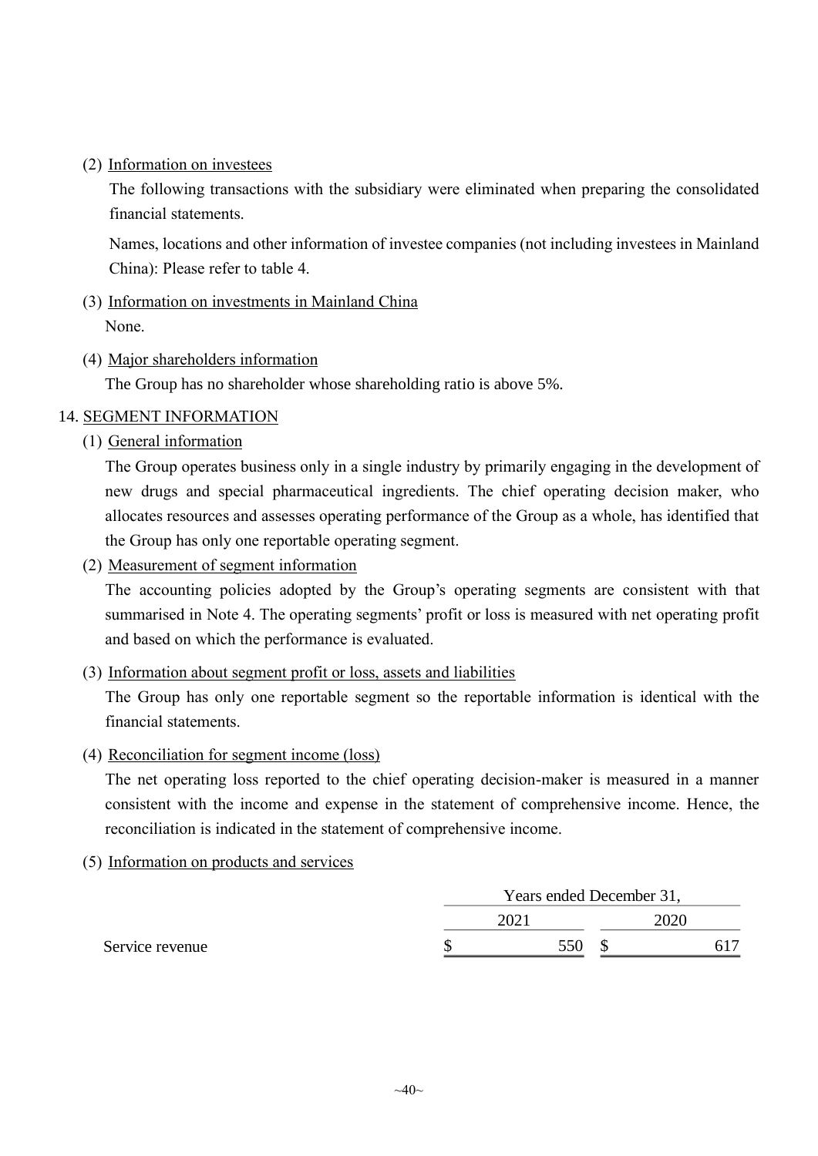(2) Information on investees

The following transactions with the subsidiary were eliminated when preparing the consolidated financial statements.

Names, locations and other information of investee companies (not including investees in Mainland China): Please refer to table 4.

- (3) Information on investments in Mainland China None.
- (4) Major shareholders information

The Group has no shareholder whose shareholding ratio is above 5%.

### 14. SEGMENT INFORMATION

(1) General information

The Group operates business only in a single industry by primarily engaging in the development of new drugs and special pharmaceutical ingredients. The chief operating decision maker, who allocates resources and assesses operating performance of the Group as a whole, has identified that the Group has only one reportable operating segment.

(2) Measurement of segment information

The accounting policies adopted by the Group's operating segments are consistent with that summarised in Note 4. The operating segments' profit or loss is measured with net operating profit and based on which the performance is evaluated.

(3) Information about segment profit or loss, assets and liabilities

The Group has only one reportable segment so the reportable information is identical with the financial statements.

(4) Reconciliation for segment income (loss)

The net operating loss reported to the chief operating decision-maker is measured in a manner consistent with the income and expense in the statement of comprehensive income. Hence, the reconciliation is indicated in the statement of comprehensive income.

(5) Information on products and services

|                 | Years ended December 31, |     |  |  |  |  |  |
|-----------------|--------------------------|-----|--|--|--|--|--|
|                 |                          |     |  |  |  |  |  |
| Service revenue |                          | 550 |  |  |  |  |  |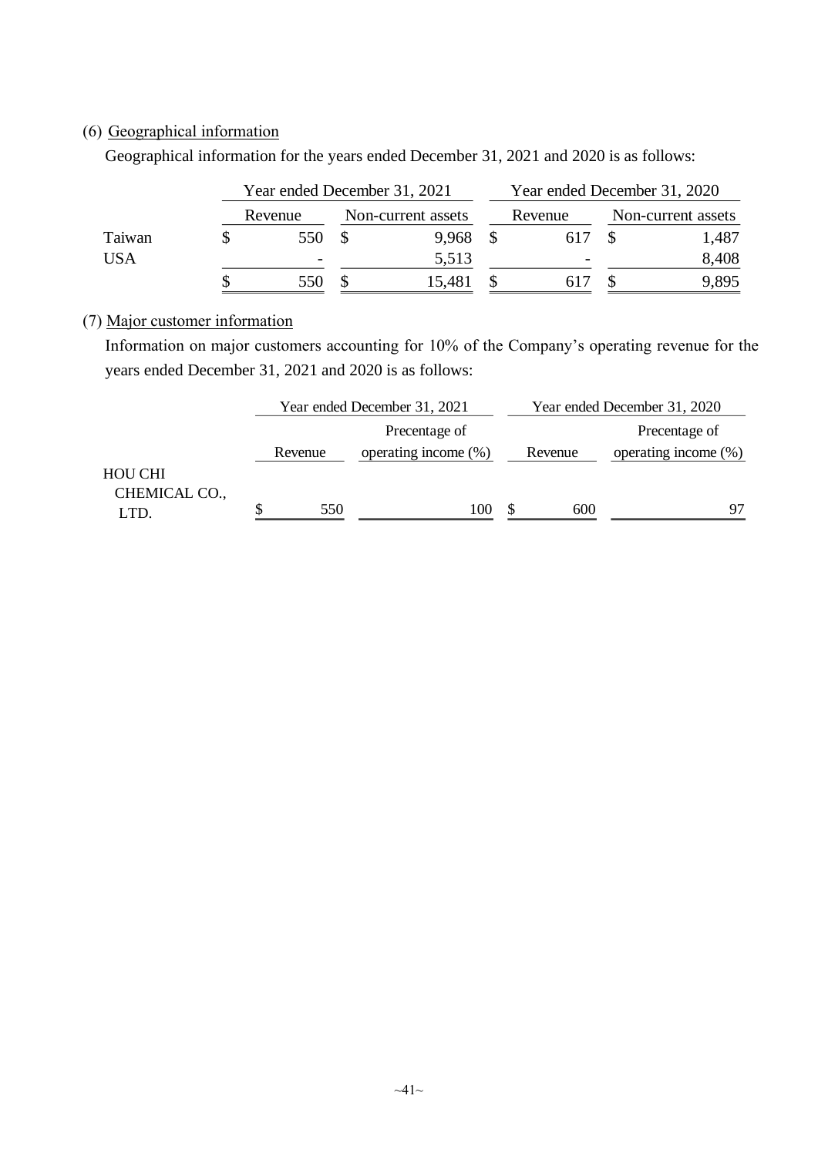## (6) Geographical information

Geographical information for the years ended December 31, 2021 and 2020 is as follows:

|            | Year ended December 31, 2021 |                    | Year ended December 31, 2020 |         |  |                    |       |
|------------|------------------------------|--------------------|------------------------------|---------|--|--------------------|-------|
|            | Revenue                      | Non-current assets |                              | Revenue |  | Non-current assets |       |
| Taiwan     | 550                          |                    | 9.968                        |         |  |                    | 1,487 |
| <b>USA</b> | $\overline{\phantom{0}}$     |                    | 5,513                        |         |  |                    | 8,408 |
|            | 550                          |                    | 15,481                       |         |  |                    | 9,895 |

## (7) Major customer information

Information on major customers accounting for 10% of the Company's operating revenue for the years ended December 31, 2021 and 2020 is as follows:

|                                 |         | Year ended December 31, 2021 | Year ended December 31, 2020 |                         |  |  |
|---------------------------------|---------|------------------------------|------------------------------|-------------------------|--|--|
|                                 |         | Precentage of                |                              | Precentage of           |  |  |
|                                 | Revenue | operating income $(\%)$      | Revenue                      | operating income $(\%)$ |  |  |
| <b>HOU CHI</b><br>CHEMICAL CO., |         |                              |                              |                         |  |  |
| LTD.                            | 550     | 100                          | 600                          | 97                      |  |  |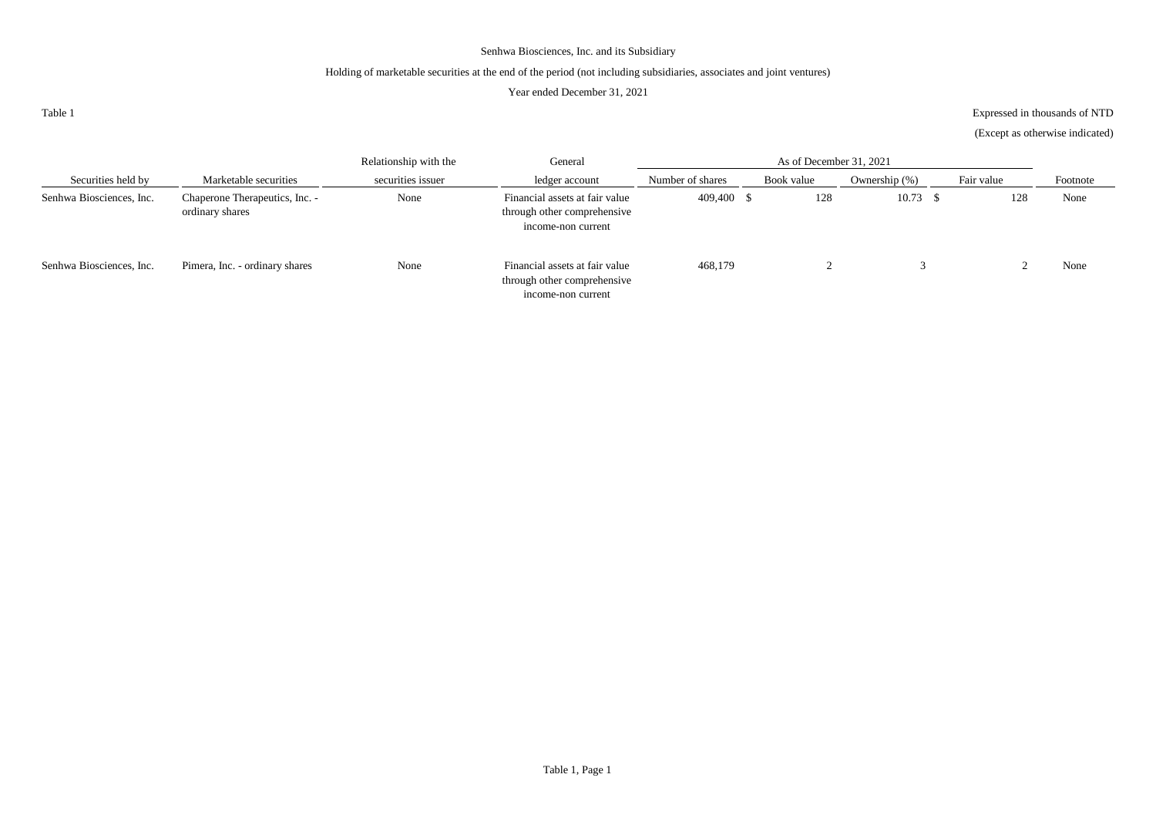#### Holding of marketable securities at the end of the period (not including subsidiaries, associates and joint ventures)

#### Year ended December 31, 2021

Table 1

Expressed in thousands of NTD

(Except as otherwise indicated)

|                          |                                                   | Relationship with the | General                                                                             |                  |            |                  |            |          |
|--------------------------|---------------------------------------------------|-----------------------|-------------------------------------------------------------------------------------|------------------|------------|------------------|------------|----------|
| Securities held by       | Marketable securities                             | securities issuer     | ledger account                                                                      | Number of shares | Book value | Ownership $(\%)$ | Fair value | Footnote |
| Senhwa Biosciences, Inc. | Chaperone Therapeutics, Inc. -<br>ordinary shares | None                  | Financial assets at fair value<br>through other comprehensive<br>income-non current | 409.400 \$       | 128        | $10.73$ \$       | 128        | None     |
| Senhwa Biosciences, Inc. | Pimera, Inc. - ordinary shares                    | None                  | Financial assets at fair value<br>through other comprehensive<br>income-non current | 468,179          |            |                  |            | None     |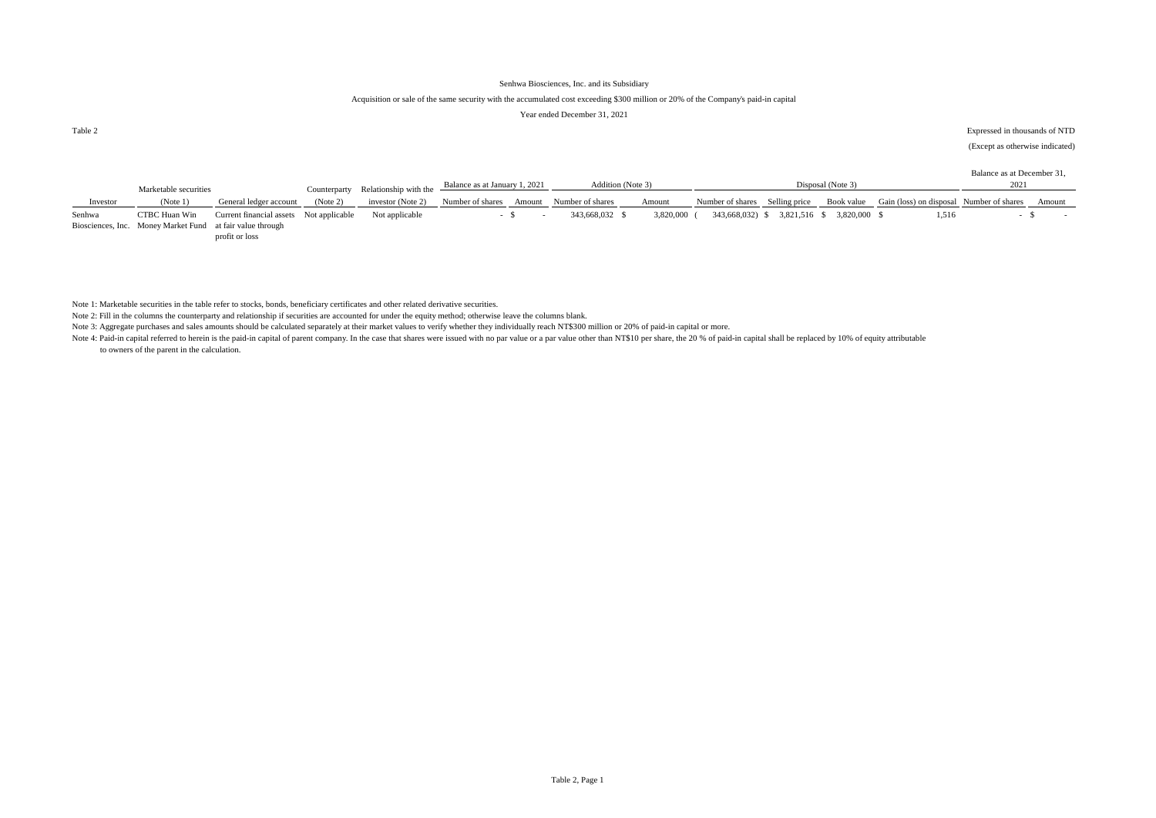#### Acquisition or sale of the same security with the accumulated cost exceeding \$300 million or 20% of the Company's paid-in capital

#### Year ended December 31, 2021

Table 2 Expressed in thousands of NTD

(Except as otherwise indicated)

|          |                                                           |                                         |          |                                                                                                                        |                  |        |                   |           |                                |                              |                   |                                          | Balance as at December 31, |        |
|----------|-----------------------------------------------------------|-----------------------------------------|----------|------------------------------------------------------------------------------------------------------------------------|------------------|--------|-------------------|-----------|--------------------------------|------------------------------|-------------------|------------------------------------------|----------------------------|--------|
|          | Marketable securities                                     |                                         |          | Counterparty Relationship with the $\frac{\text{Balance as at January 1, 2021}}{\text{Balance as at January 1, 2021}}$ |                  |        | Addition (Note 3) |           |                                |                              | Disposal (Note 3) |                                          |                            |        |
| Investor | (Note 1)                                                  | General ledger account                  | (Note 2) | investor (Note 2)                                                                                                      | Number of shares | Amount | Number of shares  | Amount    | Number of shares Selling price |                              | Book value        | Gain (loss) on disposal Number of shares |                            | Amount |
|          |                                                           |                                         |          |                                                                                                                        |                  |        |                   |           |                                |                              |                   |                                          |                            |        |
| Senhwa   | CTBC Huan Win                                             | Current financial assets Not applicable |          | Not applicable                                                                                                         |                  |        | 343,668,032 \$    | 3,820,000 |                                | 343,668,032) \$ 3,821,516 \$ | 3.820.000         | 1.516                                    |                            |        |
|          | Biosciences, Inc. Money Market Fund at fair value through |                                         |          |                                                                                                                        |                  |        |                   |           |                                |                              |                   |                                          |                            |        |
|          |                                                           | profit or loss                          |          |                                                                                                                        |                  |        |                   |           |                                |                              |                   |                                          |                            |        |

Note 1: Marketable securities in the table refer to stocks, bonds, beneficiary certificates and other related derivative securities.

Note 2: Fill in the columns the counterparty and relationship if securities are accounted for under the equity method; otherwise leave the columns blank.

Note 3: Aggregate purchases and sales amounts should be calculated separately at their market values to verify whether they individually reach NT\$300 million or 20% of paid-in capital or more.

Note 4: Paid-in capital referred to herein is the paid-in capital of parent company. In the case that shares were issued with no par value or a par value other than NT\$10 per share, the 20 % of paid-in capital shall be rep to owners of the parent in the calculation.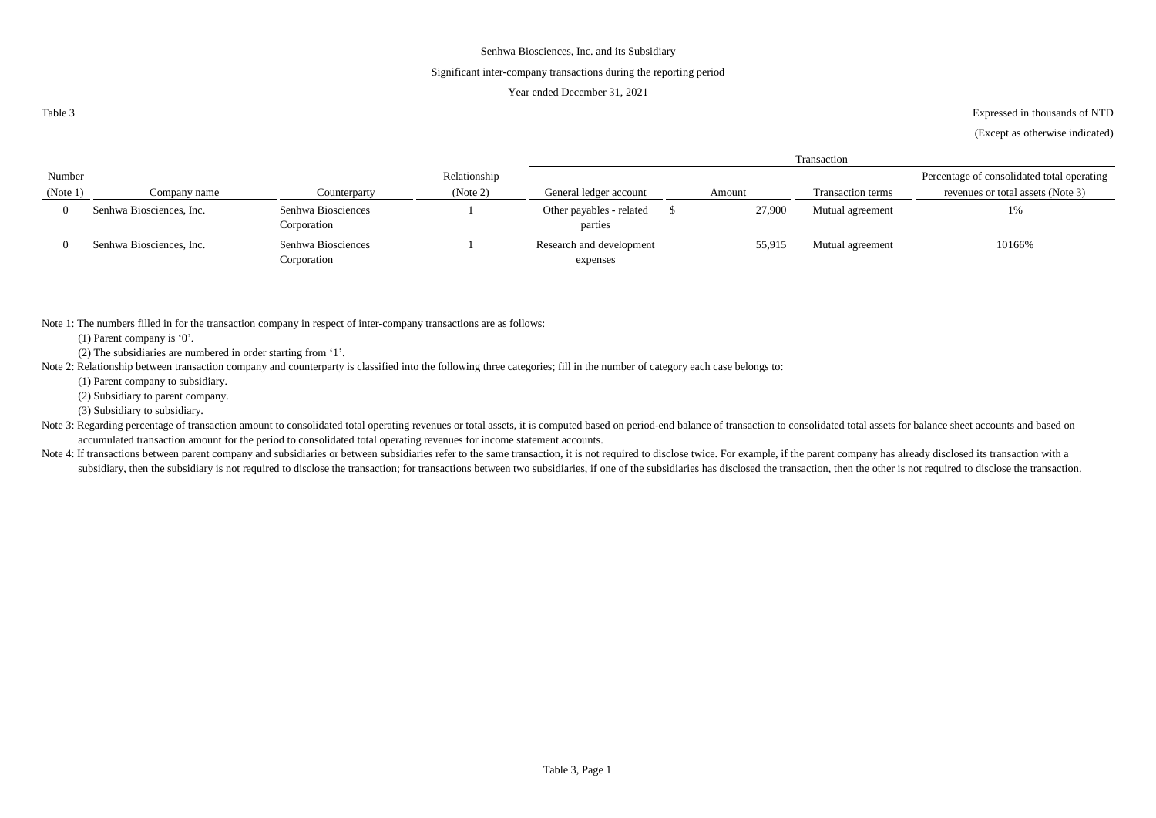#### Significant inter-company transactions during the reporting period

#### Year ended December 31, 2021

Table 3

Expressed in thousands of NTD

(Except as otherwise indicated)

|          |                          |                                   |              | Transaction                          |  |        |                          |                                            |  |  |
|----------|--------------------------|-----------------------------------|--------------|--------------------------------------|--|--------|--------------------------|--------------------------------------------|--|--|
| Number   |                          |                                   | Relationship |                                      |  |        |                          | Percentage of consolidated total operating |  |  |
| (Note 1) | Company name             | Counterparty                      | (Note 2)     | General ledger account               |  | Amount | <b>Transaction terms</b> | revenues or total assets (Note 3)          |  |  |
|          | Senhwa Biosciences, Inc. | Senhwa Biosciences<br>Corporation |              | Other payables - related<br>parties  |  | 27,900 | Mutual agreement         | 1%                                         |  |  |
|          | Senhwa Biosciences, Inc. | Senhwa Biosciences<br>Corporation |              | Research and development<br>expenses |  | 55,915 | Mutual agreement         | 10166%                                     |  |  |

Note 1: The numbers filled in for the transaction company in respect of inter-company transactions are as follows:

(1) Parent company is '0'.

(2) The subsidiaries are numbered in order starting from '1'.

Note 2: Relationship between transaction company and counterparty is classified into the following three categories; fill in the number of category each case belongs to:

(1) Parent company to subsidiary.

(2) Subsidiary to parent company.

(3) Subsidiary to subsidiary.

Note 3: Regarding percentage of transaction amount to consolidated total operating revenues or total assets, it is computed based on period-end balance of transaction to consolidated total assets for balance sheet accounts accumulated transaction amount for the period to consolidated total operating revenues for income statement accounts.

Note 4: If transactions between parent company and subsidiaries or between subsidiaries refer to the same transaction, it is not required to disclose twice. For example, if the parent company has already disclosed its tran subsidiary, then the subsidiary is not required to disclose the transaction; for transactions between two subsidiaries, if one of the subsidiaries has disclosed the transaction, then the other is not required to disclose t